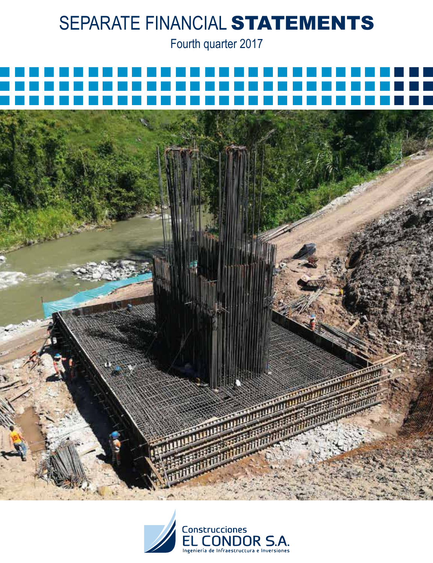Fourth quarter 2017



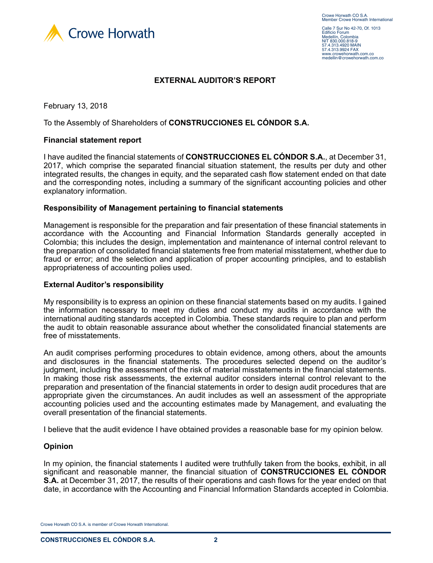

Calle 7 Sur No 42-70, Of. 1013 Edificio Forum Medellín, Colombia NIT 830.000.818-9 57.4.313.4920 MAIN 57.4.313.9924 FAX www.crowehorwath.com.co medellin@crowehorwath.com.co

### **EXTERNAL AUDITOR'S REPORT**

February 13, 2018

To the Assembly of Shareholders of **CONSTRUCCIONES EL CÓNDOR S.A.**

#### **Financial statement report**

I have audited the financial statements of **CONSTRUCCIONES EL CÓNDOR S.A.**, at December 31, 2017, which comprise the separated financial situation statement, the results per duty and other integrated results, the changes in equity, and the separated cash flow statement ended on that date and the corresponding notes, including a summary of the significant accounting policies and other explanatory information.

#### **Responsibility of Management pertaining to financial statements**

Management is responsible for the preparation and fair presentation of these financial statements in accordance with the Accounting and Financial Information Standards generally accepted in Colombia; this includes the design, implementation and maintenance of internal control relevant to the preparation of consolidated financial statements free from material misstatement, whether due to fraud or error; and the selection and application of proper accounting principles, and to establish appropriateness of accounting polies used.

#### **External Auditor's responsibility**

My responsibility is to express an opinion on these financial statements based on my audits. I gained the information necessary to meet my duties and conduct my audits in accordance with the international auditing standards accepted in Colombia. These standards require to plan and perform the audit to obtain reasonable assurance about whether the consolidated financial statements are free of misstatements.

An audit comprises performing procedures to obtain evidence, among others, about the amounts and disclosures in the financial statements. The procedures selected depend on the auditor's judgment, including the assessment of the risk of material misstatements in the financial statements. In making those risk assessments, the external auditor considers internal control relevant to the preparation and presentation of the financial statements in order to design audit procedures that are appropriate given the circumstances. An audit includes as well an assessment of the appropriate accounting policies used and the accounting estimates made by Management, and evaluating the overall presentation of the financial statements.

I believe that the audit evidence I have obtained provides a reasonable base for my opinion below.

#### **Opinion**

In my opinion, the financial statements I audited were truthfully taken from the books, exhibit, in all significant and reasonable manner, the financial situation of **CONSTRUCCIONES EL CÓNDOR S.A.** at December 31, 2017, the results of their operations and cash flows for the year ended on that date, in accordance with the Accounting and Financial Information Standards accepted in Colombia.

Crowe Horwath CO S.A. is member of Crowe Horwath International.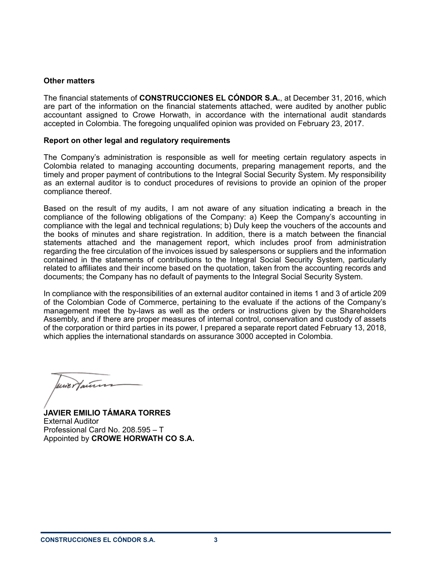#### **Other matters**

The financial statements of **CONSTRUCCIONES EL CÓNDOR S.A.**, at December 31, 2016, which are part of the information on the financial statements attached, were audited by another public accountant assigned to Crowe Horwath, in accordance with the international audit standards accepted in Colombia. The foregoing unqualifed opinion was provided on February 23, 2017.

### **Report on other legal and regulatory requirements**

The Company's administration is responsible as well for meeting certain regulatory aspects in Colombia related to managing accounting documents, preparing management reports, and the timely and proper payment of contributions to the Integral Social Security System. My responsibility as an external auditor is to conduct procedures of revisions to provide an opinion of the proper compliance thereof.

Based on the result of my audits, I am not aware of any situation indicating a breach in the compliance of the following obligations of the Company: a) Keep the Company's accounting in compliance with the legal and technical regulations; b) Duly keep the vouchers of the accounts and the books of minutes and share registration. In addition, there is a match between the financial statements attached and the management report, which includes proof from administration regarding the free circulation of the invoices issued by salespersons or suppliers and the information contained in the statements of contributions to the Integral Social Security System, particularly related to affiliates and their income based on the quotation, taken from the accounting records and documents; the Company has no default of payments to the Integral Social Security System.

In compliance with the responsibilities of an external auditor contained in items 1 and 3 of article 209 of the Colombian Code of Commerce, pertaining to the evaluate if the actions of the Company's management meet the by-laws as well as the orders or instructions given by the Shareholders Assembly, and if there are proper measures of internal control, conservation and custody of assets of the corporation or third parties in its power, I prepared a separate report dated February 13, 2018, which applies the international standards on assurance 3000 accepted in Colombia.

une Hauten

**JAVIER EMILIO TÁMARA TORRES** External Auditor Professional Card No. 208.595 – T Appointed by **CROWE HORWATH CO S.A.**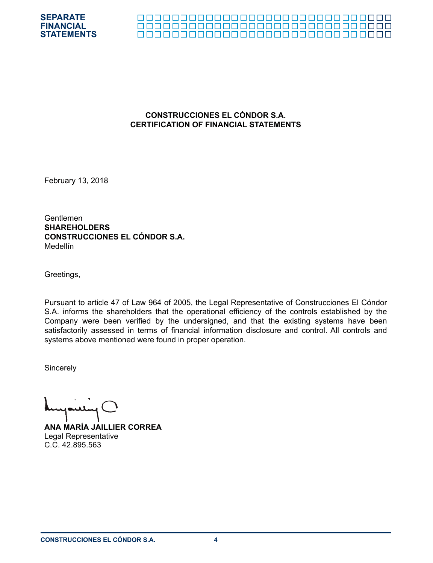



## **CONSTRUCCIONES EL CÓNDOR S.A. CERTIFICATION OF FINANCIAL STATEMENTS**

February 13, 2018

Gentlemen **SHAREHOLDERS CONSTRUCCIONES EL CÓNDOR S.A.** Medellín

Greetings,

Pursuant to article 47 of Law 964 of 2005, the Legal Representative of Construcciones El Cóndor S.A. informs the shareholders that the operational efficiency of the controls established by the Company were been verified by the undersigned, and that the existing systems have been satisfactorily assessed in terms of financial information disclosure and control. All controls and systems above mentioned were found in proper operation.

**Sincerely** 

**ANA MARÍA JAILLIER CORREA** Legal Representative C.C. 42.895.563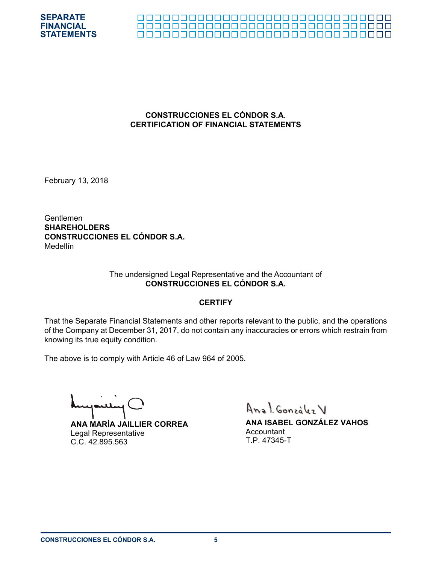



### **CONSTRUCCIONES EL CÓNDOR S.A. CERTIFICATION OF FINANCIAL STATEMENTS**

February 13, 2018

Gentlemen **SHAREHOLDERS CONSTRUCCIONES EL CÓNDOR S.A.** Medellín

#### The undersigned Legal Representative and the Accountant of **CONSTRUCCIONES EL CÓNDOR S.A.**

#### **CERTIFY**

That the Separate Financial Statements and other reports relevant to the public, and the operations of the Company at December 31, 2017, do not contain any inaccuracies or errors which restrain from knowing its true equity condition.

The above is to comply with Article 46 of Law 964 of 2005.

**ANA MARÍA JAILLIER CORREA** Legal Representative C.C. 42.895.563

Anal González V

**ANA ISABEL GONZÁLEZ VAHOS Accountant** T.P. 47345-T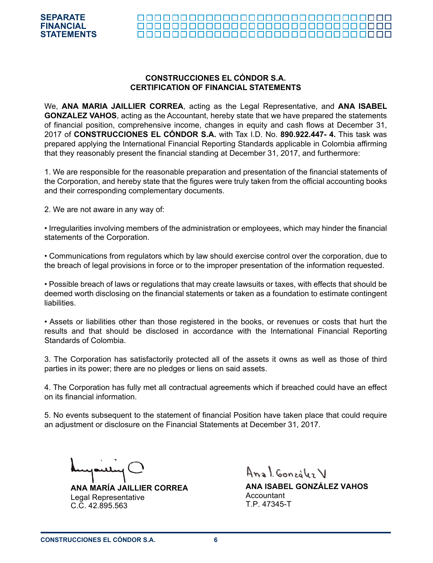# **CONSTRUCCIONES EL CÓNDOR S.A. CERTIFICATION OF FINANCIAL STATEMENTS**

We, **ANA MARIA JAILLIER CORREA**, acting as the Legal Representative, and **ANA ISABEL GONZALEZ VAHOS**, acting as the Accountant, hereby state that we have prepared the statements of financial position, comprehensive income, changes in equity and cash flows at December 31, 2017 of **CONSTRUCCIONES EL CÓNDOR S.A.** with Tax I.D. No. **890.922.447- 4.** This task was prepared applying the International Financial Reporting Standards applicable in Colombia affirming that they reasonably present the financial standing at December 31, 2017, and furthermore:

1. We are responsible for the reasonable preparation and presentation of the financial statements of the Corporation, and hereby state that the figures were truly taken from the official accounting books and their corresponding complementary documents.

2. We are not aware in any way of:

• Irregularities involving members of the administration or employees, which may hinder the financial statements of the Corporation.

• Communications from regulators which by law should exercise control over the corporation, due to the breach of legal provisions in force or to the improper presentation of the information requested.

• Possible breach of laws or regulations that may create lawsuits or taxes, with effects that should be deemed worth disclosing on the financial statements or taken as a foundation to estimate contingent liabilities.

• Assets or liabilities other than those registered in the books, or revenues or costs that hurt the results and that should be disclosed in accordance with the International Financial Reporting Standards of Colombia.

3. The Corporation has satisfactorily protected all of the assets it owns as well as those of third parties in its power; there are no pledges or liens on said assets.

4. The Corporation has fully met all contractual agreements which if breached could have an effect on its financial information.

5. No events subsequent to the statement of financial Position have taken place that could require an adjustment or disclosure on the Financial Statements at December 31, 2017.

**ANA MARÍA JAILLIER CORREA** Legal Representative C.C. 42.895.563

Anal Gonzalez V

**ANA ISABEL GONZÁLEZ VAHOS** Accountant T.P. 47345-T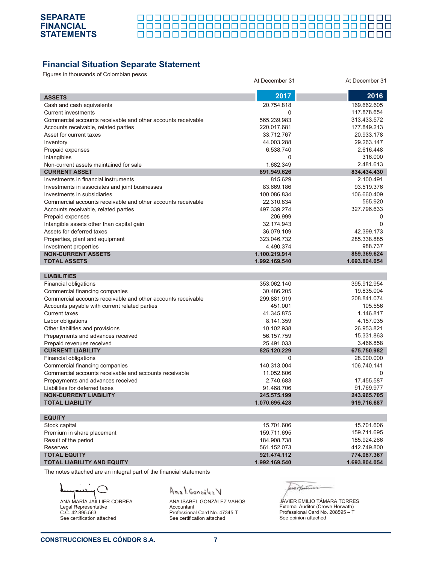

|  |  |  |  |  |  |  |  |  |  |  |  |  |  | _________________________________ |  |
|--|--|--|--|--|--|--|--|--|--|--|--|--|--|-----------------------------------|--|

# **Financial Situation Separate Statement**

Figures in thousands of Colombian pesos

| r igaroo in thoasanas or Oolombian p                         | At December 31 | At December 31 |
|--------------------------------------------------------------|----------------|----------------|
| <b>ASSETS</b>                                                | 2017           | 2016           |
| Cash and cash equivalents                                    | 20.754.818     | 169.662.605    |
| <b>Current investments</b>                                   | $\Omega$       | 117.878.654    |
| Commercial accounts receivable and other accounts receivable | 565.239.983    | 313.433.572    |
| Accounts receivable, related parties                         | 220.017.681    | 177.849.213    |
| Asset for current taxes                                      | 33.712.767     | 20.933.178     |
| Inventory                                                    | 44.003.288     | 29.263.147     |
| Prepaid expenses                                             | 6.538.740      | 2.616.448      |
| Intangibles                                                  | $\Omega$       | 316.000        |
| Non-current assets maintained for sale                       | 1.682.349      | 2.481.613      |
| <b>CURRENT ASSET</b>                                         | 891.949.626    | 834.434.430    |
| Investments in financial instruments                         | 815.629        | 2.100.491      |
| Investments in associates and joint businesses               | 83.669.186     | 93.519.376     |
| Investments in subsidiaries                                  | 100.086.834    | 106.660.409    |
| Commercial accounts receivable and other accounts receivable | 22.310.834     | 565.920        |
| Accounts receivable, related parties                         | 497.339.274    | 327.796.633    |
| Prepaid expenses                                             | 206.999        | 0              |
| Intangible assets other than capital gain                    | 32.174.943     | $\Omega$       |
| Assets for deferred taxes                                    | 36.079.109     | 42.399.173     |
| Properties, plant and equipment                              | 323.046.732    | 285.338.885    |
| Investment properties                                        | 4.490.374      | 988.737        |
| <b>NON-CURRENT ASSETS</b>                                    | 1.100.219.914  | 859.369.624    |
| <b>TOTAL ASSETS</b>                                          | 1.992.169.540  | 1.693.804.054  |
|                                                              |                |                |
| <b>LIABILITIES</b>                                           |                |                |
| Financial obligations                                        | 353.062.140    | 395.912.954    |
| Commercial financing companies                               | 30.486.205     | 19.835.004     |
| Commercial accounts receivable and other accounts receivable | 299.881.919    | 208.841.074    |
| Accounts payable with current related parties                | 451.001        | 105.556        |
| <b>Current taxes</b>                                         | 41.345.875     | 1.146.817      |
| Labor obligations                                            | 8.141.359      | 4.157.035      |
| Other liabilities and provisions                             | 10.102.938     | 26.953.821     |
| Prepayments and advances received                            | 56.157.759     | 15.331.863     |
| Prepaid revenues received                                    | 25.491.033     | 3.466.858      |
| <b>CURRENT LIABILITY</b>                                     | 825.120.229    | 675.750.982    |
| Financial obligations                                        | 0              | 28.000.000     |
| Commercial financing companies                               | 140.313.004    | 106.740.141    |
| Commercial accounts receivable and accounts receivable       | 11.052.806     | 0              |
| Prepayments and advances received                            | 2.740.683      | 17.455.587     |
| Liabilities for deferred taxes                               | 91.468.706     | 91.769.977     |
| <b>NON-CURRENT LIABILITY</b>                                 | 245.575.199    | 243.965.705    |
| <b>TOTAL LIABILITY</b>                                       | 1.070.695.428  | 919.716.687    |
| <b>EQUITY</b>                                                |                |                |
| Stock capital                                                | 15.701.606     | 15.701.606     |
| Premium in share placement                                   | 159.711.695    | 159.711.695    |
| Result of the period                                         | 184.908.738    | 185.924.266    |
| <b>Reserves</b>                                              | 561.152.073    | 412.749.800    |
| <b>TOTAL EQUITY</b>                                          | 921.474.112    | 774.087.367    |
| <b>TOTAL LIABILITY AND EQUITY</b>                            | 1.992.169.540  | 1.693.804.054  |
|                                                              |                |                |

The notes attached are an integral part of the financial statements

Λ للند ANA MARÍA JAILLIER CORREA Legal Representative C.C. 42.895.563 See certification attached

Anal González V

ANA ISABEL GONZÁLEZ VAHOS Accountant Professional Card No. 47345-T See certification attached

expenses

JAVIER EMILIO TÁMARA TORRES External Auditor (Crowe Horwath) Professional Card No. 208595 – T See opinion attached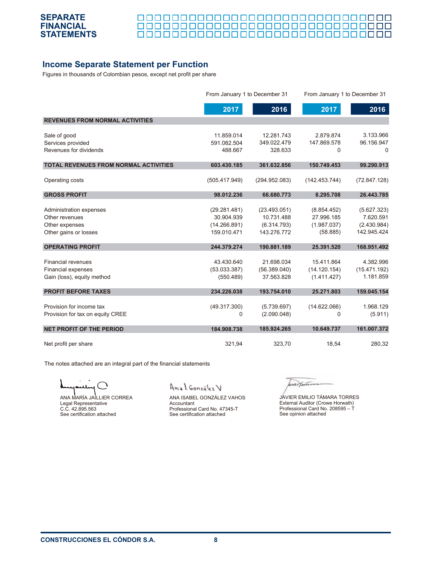

<u> 00000000000000000000000000</u> П ПП 000000000000000000000000000000000

# **Income Separate Statement per Function**

Figures in thousands of Colombian pesos, except net profit per share

|                                              | From January 1 to December 31 |               | From January 1 to December 31 |              |
|----------------------------------------------|-------------------------------|---------------|-------------------------------|--------------|
|                                              | 2017                          | 2016          | 2017                          | 2016         |
| <b>REVENUES FROM NORMAL ACTIVITIES</b>       |                               |               |                               |              |
| Sale of good                                 | 11.859.014                    | 12.281.743    | 2.879.874                     | 3.133.966    |
| Services provided                            | 591.082.504                   | 349.022.479   | 147.869.578                   | 96.156.947   |
| Revenues for dividends                       | 488.667                       | 328.633       | $\Omega$                      | $\Omega$     |
| <b>TOTAL REVENUES FROM NORMAL ACTIVITIES</b> | 603.430.185                   | 361.632.856   | 150.749.453                   | 99.290.913   |
| Operating costs                              | (505.417.949)                 | (294.952.083) | (142.453.744)                 | (72.847.128) |
| <b>GROSS PROFIT</b>                          | 98.012.236                    | 66.680.773    | 8.295.708                     | 26.443.785   |
| Administration expenses                      | (29.281.481)                  | (23.493.051)  | (8.854.452)                   | (5.627.323)  |
| Other revenues                               | 30.904.939                    | 10.731.488    | 27.996.185                    | 7.620.591    |
| Other expenses                               | (14.266.891)                  | (6.314.793)   | (1.987.037)                   | (2.430.984)  |
| Other gains or losses                        | 159.010.471                   | 143.276.772   | (58.885)                      | 142.945.424  |
| <b>OPERATING PROFIT</b>                      | 244.379.274                   | 190.881.189   | 25.391.520                    | 168.951.492  |
| <b>Financial revenues</b>                    | 43.430.640                    | 21.698.034    | 15.411.864                    | 4.382.996    |
| <b>Financial expenses</b>                    | (53.033.387)                  | (56.389.040)  | (14.120.154)                  | (15.471.192) |
| Gain (loss), equity method                   | (550.489)                     | 37.563.828    | (1.411.427)                   | 1.181.859    |
| <b>PROFIT BEFORE TAXES</b>                   | 234.226.038                   | 193.754.010   | 25.271.803                    | 159.045.154  |
|                                              |                               |               |                               |              |
| Provision for income tax                     | (49.317.300)                  | (5.739.697)   | (14.622.066)                  | 1.968.129    |
| Provision for tax on equity CREE             | $\mathbf 0$                   | (2.090.048)   | 0                             | (5.911)      |
| <b>NET PROFIT OF THE PERIOD</b>              | 184.908.738                   | 185.924.265   | 10.649.737                    | 161.007.372  |
| Net profit per share                         | 321,94                        | 323,70        | 18,54                         | 280,32       |

The notes attached are an integral part of the financial statements

ANA MARÍA JAILLIER CORREA Legal Representative C.C. 42.895.563 See certification attached

Anal González V

ANA ISABEL GONZÁLEZ VAHOS Accountant Professional Card No. 47345-T See certification attached

uritan JAVIER EMILIO TÁMARA TORRES External Auditor (Crowe Horwath) Professional Card No. 208595 – T

See opinion attached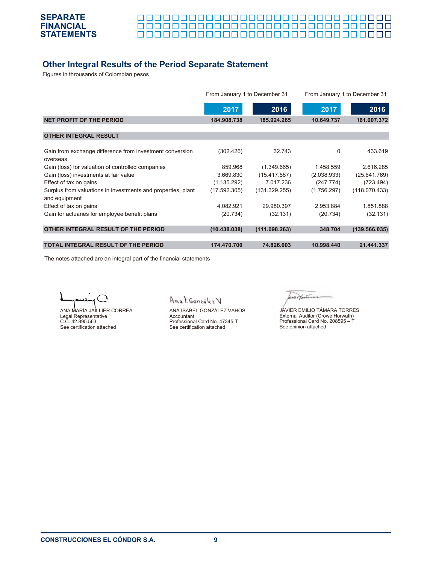

# **Other Integral Results of the Period Separate Statement**

Figures in throusands of Colombian pesos

|                                                                               | From January 1 to December 31 |               | From January 1 to December 31 |               |
|-------------------------------------------------------------------------------|-------------------------------|---------------|-------------------------------|---------------|
|                                                                               | 2017                          | 2016          | 2017                          | 2016          |
| <b>NET PROFIT OF THE PERIOD</b>                                               | 184.908.738                   | 185.924.265   | 10.649.737                    | 161.007.372   |
| <b>OTHER INTEGRAL RESULT</b>                                                  |                               |               |                               |               |
| Gain from exchange difference from investment conversion<br>overseas          | (302.426)                     | 32.743        | $\Omega$                      | 433.619       |
| Gain (loss) for valuation of controlled companies                             | 859.968                       | (1.349.665)   | 1.458.559                     | 2.616.285     |
| Gain (loss) investments at fair value                                         | 3.669.830                     | (15.417.587)  | (2.038.933)                   | (25.641.769)  |
| Effect of tax on gains                                                        | (1.135.292)                   | 7.017.236     | (247.774)                     | (723.494)     |
| Surplus from valuations in investments and properties, plant<br>and equipment | (17.592.305)                  | (131.329.255) | (1.756.297)                   | (118.070.433) |
| Effect of tax on gains                                                        | 4.082.921                     | 29.980.397    | 2.953.884                     | 1.851.888     |
| Gain for actuaries for employee benefit plans                                 | (20.734)                      | (32.131)      | (20.734)                      | (32.131)      |
| OTHER INTEGRAL RESULT OF THE PERIOD                                           | (10.438.038)                  | (111.098.263) | 348.704                       | (139.566.035) |
| <b>TOTAL INTEGRAL RESULT OF THE PERIOD</b>                                    | 174.470.700                   | 74.826.003    | 10.998.440                    | 21.441.337    |

The notes attached are an integral part of the financial statements

ANA MARÍA JAILLIER CORREA Legal Representative C.C. 42.895.563 See certification attached

Anal González V

ANA ISABEL GONZÁLEZ VAHOS Accountant Professional Card No. 47345-T See certification attached

wertann

JAVIER EMILIO TÁMARA TORRES External Auditor (Crowe Horwath) Professional Card No. 208595 – T See opinion attached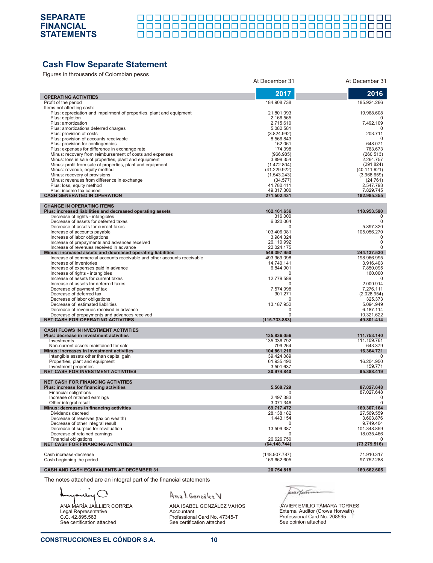

000000000000000000000000000000000 

# **Cash Flow Separate Statement**

Figures in throusands of Colombian pesos

| igared in anoaddriad or colonibian pedec                                            | At December 31               | At December 31           |
|-------------------------------------------------------------------------------------|------------------------------|--------------------------|
|                                                                                     | 2017                         | 2016                     |
| <b>OPERATING ACTIVITIES</b>                                                         |                              |                          |
| Profit of the period<br>Items not affecting cash:                                   | 184.908.738                  | 185.924.266              |
| Plus: depreciation and impairment of properties, plant and equipment                | 21.801.093                   | 19.968.608               |
| Plus: depletion                                                                     | 2.166.565                    |                          |
| Plus: amortization                                                                  | 2.715.610                    | 7.492.109                |
| Plus: amortizations deferred charges                                                | 5.082.581                    |                          |
| Plus: provision of costs                                                            | (3.824.992)                  | 203.711                  |
| Plus: provision of accounts receivable                                              | 8.566.843                    | 0                        |
| Plus: provision for contingencies<br>Plus: expenses for difference in exchange rate | 162.061<br>174.398           | 648.071<br>763.673       |
| Minus: recovery from reimbursement of costs and expenses                            | (966.985)                    | (260.513)                |
| Minus: loss in sale of properties, plant and equipment                              | 3.899.354                    | 2.264.757                |
| Minus: profit from sale of properties, plant and equipment                          | (1.472.804)                  | (291.824)                |
| Minus: revenue, equity method                                                       | (41.229.922)                 | (40.111.621)             |
| Minus: recovery of provisions                                                       | (1.543.243)                  | (3.968.659)              |
| Minus: revenues from difference in exchange                                         | (34.577)                     | (24.761)                 |
| Plus: loss, equity method<br>Plus: income tax caused                                | 41.780.411<br>49.317.300     | 2.547.793<br>7.829.745   |
| <b>CASH GENERATED IN OPERATION</b>                                                  | 271.502.431                  | 182.985.355              |
|                                                                                     |                              |                          |
| <b>CHANGE IN OPERATING ITEMS</b>                                                    |                              |                          |
| Plus: increased liabilities and decreased operating assets                          | 162.161.636                  | 110.953.590              |
| Decrease of rights - intangibles                                                    | 316.000                      | <sup>0</sup>             |
| Decrease of assets for deferred taxes<br>Decrease of assets for current taxes       | 6.320.064<br>$\Omega$        | 0                        |
| Increase of accounts payable                                                        | 103.406.081                  | 5.897.320<br>105.056.270 |
| Increase of labor obligations                                                       | 3.984.324                    | 0                        |
| Increase of prepayments and advances received                                       | 26.110.992                   | 0                        |
| Increase of revenues received in advance                                            | 22.024.175                   | 0                        |
| Minus: increased assets and decreased operating liabilities                         | 549.397.950                  | 244.137.530              |
| Increase of commercial accounts receivable and other accounts receivable            | 493.969.098                  | 198.966.995              |
| Increase of Inventories                                                             | 14.740.141                   | 3.916.403<br>7.850.095   |
| Increase of expenses paid in advance<br>Increase of rights - intangibles            | 6.844.901<br>$\Omega$        | 160.000                  |
| Increase of assets for current taxes                                                | 12.779.589                   | $\Omega$                 |
| Increase of assets for deferred taxes                                               | $\Omega$                     | 2.009.914                |
| Decrease of payment of tax                                                          | 7.574.998                    | 7.276.111                |
| Decrease of deferred tax                                                            | 301.271                      | (2.028.954)              |
| Decrease of labor obligations                                                       | $\Omega$                     | 325.373                  |
| Decrease of estimated liabilities<br>Decrease of revenues received in advance       | 13.187.952<br>$\Omega$       | 5.094.949<br>6.187.114   |
| Decrease of prepayments and advances received                                       | $\Omega$                     | 10.321.622               |
| <b>NET CASH FOR OPERATING ACTIVITIES</b>                                            | (115.733.883)                | 49.801.414               |
|                                                                                     |                              |                          |
| <b>CASH FLOWS IN INVESTMENT ACTIVITIES</b>                                          |                              |                          |
| Plus: decrease in investment activities                                             | 135.836.056                  | 111.753.140              |
| Investments<br>Non-current assets maintained for sale                               | 135.036.792<br>799.264       | 111.109.761<br>643.379   |
| Minus: increases in investment activities                                           | 104.861.216                  | 16.364.721               |
| Intangible assets other than capital gain                                           | 39.424.089                   | 0                        |
| Properties, plant and equipment                                                     | 61.935.490                   | 16.204.950               |
| Investment properties                                                               | 3.501.637                    | 159.771                  |
| <b>NET CASH FOR INVESTMENT ACTIVITIES</b>                                           | 30.974.840                   | 95.388.419               |
| <b>NET CASH FOR FINANCING ACTIVITIES</b>                                            |                              |                          |
| Plus: increase for financing activities                                             | 5.568.729                    | 87.027.648               |
| Financial obligations                                                               | 0                            | 87.027.648               |
| Increase of retained earnings                                                       | 2.497.383                    | 0                        |
| Other integral result                                                               | 3.071.346                    | 0                        |
| Minus: decreases in financing activities                                            | 69.717.472                   | 160.307.164              |
| Dividends decreed                                                                   | 28.138.182                   | 27.569.559               |
| Decrease of reserves (tax on wealth)                                                | 1.443.154<br>$\Omega$        | 3.603.876<br>9.749.404   |
| Decrease of other integral result<br>Decrease of surplus for revaluation            | 13.509.387                   | 101.348.859              |
| Decrease of retained earnings                                                       | $\Omega$                     | 18.035.466               |
| <b>Financial obligations</b>                                                        | 26.626.750                   | 0                        |
| <b>NET CASH FOR FINANCING ACTIVITIES</b>                                            | (64.148.744)                 | (73.279.516)             |
|                                                                                     |                              |                          |
| Cash increase-decrease<br>Cash beginning the period                                 | (148.907.787)<br>169.662.605 | 71.910.317<br>97.752.288 |
|                                                                                     |                              |                          |
| CASH AND CASH EQUIVALENTS AT DECEMBER 31                                            | 20.754.818                   | 169.662.605              |

The notes attached are an integral part of the financial statements

ANA MARÍA JAILLIER CORREA Legal Representative C.C. 42.895.563 See certification attached

#### Anal González V

ANA ISABEL GONZÁLEZ VAHOS Accountant Professional Card No. 47345-T See certification attached

wertann

JAVIER EMILIO TÁMARA TORRES External Auditor (Crowe Horwath) Professional Card No. 208595 – T See opinion attached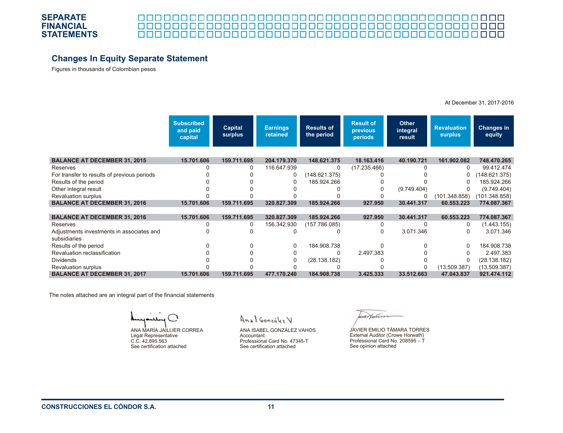

#### 0000000000 <u>la la la la la la la</u> 8 8 8 8

# **Changes In Equity Separate Statement**

Figures in thousands of Colombian pesos

At December 31, 2017-2016

|                                             | <b>Subscribed</b><br>and paid<br>capital | <b>Capital</b><br>surplus | <b>Earnings</b><br>retained | <b>Results of</b><br>the period | <b>Result of</b><br><b>previous</b><br>periods | <b>Other</b><br>integral<br>result | <b>Revaluation</b><br><b>surplus</b> | <b>Changes in</b><br>equity |
|---------------------------------------------|------------------------------------------|---------------------------|-----------------------------|---------------------------------|------------------------------------------------|------------------------------------|--------------------------------------|-----------------------------|
|                                             |                                          |                           |                             |                                 |                                                |                                    |                                      |                             |
| <b>BALANCE AT DECEMBER 31, 2015</b>         | 15.701.606                               | 159.711.695               | 204.179.370                 | 148.621.375                     | 18.163.416                                     | 40.190.721                         | 161.902.082                          | 748.470.265                 |
| Reserves                                    |                                          | 0                         | 116.647.939                 | 0                               | (17.235.466)                                   |                                    | 0                                    | 99.412.474                  |
| For transfer to results of previous periods |                                          |                           | 0                           | (148.621.375)                   |                                                |                                    | 0                                    | (148.621.375)               |
| Results of the period                       |                                          |                           |                             | 185.924.266                     |                                                |                                    |                                      | 185.924.266                 |
| Other integral result                       |                                          |                           |                             |                                 |                                                | (9.749.404)                        |                                      | (9.749.404)                 |
| <b>Revaluation surplus</b>                  |                                          |                           |                             |                                 |                                                |                                    | (101.348.858)                        | (101.348.858)               |
| <b>BALANCE AT DECEMBER 31, 2016</b>         | 15.701.606                               | 159.711.695               | 320.827.309                 | 185.924.266                     | 927.950                                        | 30.441.317                         | 60.553.223                           | 774.087.367                 |
|                                             |                                          |                           |                             |                                 |                                                |                                    |                                      |                             |
| <b>BALANCE AT DECEMBER 31, 2016</b>         | 15.701.606                               | 159.711.695               | 320.827.309                 | 185.924.266                     | 927.950                                        | 30.441.317                         | 60.553.223                           | 774.087.367                 |
| Reserves                                    | ი                                        | 0                         | 156.342.930                 | (157.786.085)                   | n                                              |                                    | 0                                    | (1.443.155)                 |
| Adjustments investments in associates and   |                                          |                           |                             |                                 | 0                                              | 3.071.346                          | 0                                    | 3.071.346                   |
| subsidiaries                                |                                          |                           |                             |                                 |                                                |                                    |                                      |                             |
| Results of the period                       |                                          |                           | $\Omega$                    | 184.908.738                     |                                                |                                    | 0                                    | 184.908.738                 |
| Revaluation reclassification                |                                          |                           |                             | $\Omega$                        | 2.497.383                                      |                                    |                                      | 2.497.383                   |
| <b>Dividends</b>                            |                                          |                           |                             | (28.138.182)                    |                                                |                                    |                                      | (28.138.182)                |
| <b>Revaluation surplus</b>                  |                                          |                           |                             |                                 |                                                |                                    | (13.509.387)                         | (13.509.387)                |
| <b>BALANCE AT DECEMBER 31, 2017</b>         | 15.701.606                               | 159.711.695               | 477.170.240                 | 184.908.738                     | 3.425.333                                      | 33.512.663                         | 47.043.837                           | 921.474.112                 |

The notes attached are an integral part of the financial statements

ANA MARÍA JAILLIER CORREA Legal Representative C.C. 42.895.563 See certification attached

Anal González V

ANA ISABEL GONZÁLEZ VAHOS Accountant Professional Card No. 47345-T See certification attached

werthiers

JAVIER EMILIO TÁMARA TORRES External Auditor (Crowe Horwath) Professional Card No. 208595 – T See opinion attached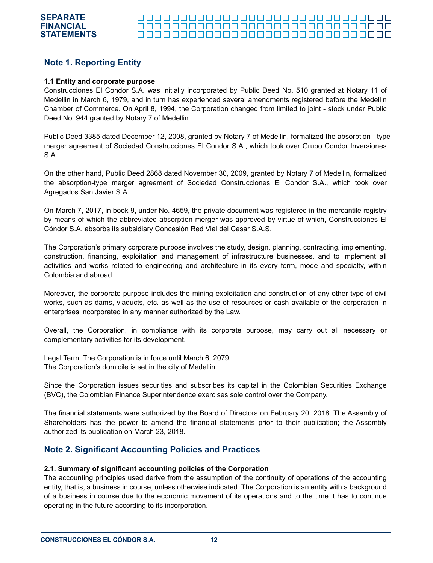# **Note 1. Reporting Entity**

#### **1.1 Entity and corporate purpose**

Construcciones El Condor S.A. was initially incorporated by Public Deed No. 510 granted at Notary 11 of Medellin in March 6, 1979, and in turn has experienced several amendments registered before the Medellin Chamber of Commerce. On April 8, 1994, the Corporation changed from limited to joint - stock under Public Deed No. 944 granted by Notary 7 of Medellin.

Public Deed 3385 dated December 12, 2008, granted by Notary 7 of Medellin, formalized the absorption - type merger agreement of Sociedad Construcciones El Condor S.A., which took over Grupo Condor Inversiones S.A.

On the other hand, Public Deed 2868 dated November 30, 2009, granted by Notary 7 of Medellin, formalized the absorption-type merger agreement of Sociedad Construcciones El Condor S.A., which took over Agregados San Javier S.A.

On March 7, 2017, in book 9, under No. 4659, the private document was registered in the mercantile registry by means of which the abbreviated absorption merger was approved by virtue of which, Construcciones El Cóndor S.A. absorbs its subsidiary Concesión Red Vial del Cesar S.A.S.

The Corporation's primary corporate purpose involves the study, design, planning, contracting, implementing, construction, financing, exploitation and management of infrastructure businesses, and to implement all activities and works related to engineering and architecture in its every form, mode and specialty, within Colombia and abroad.

Moreover, the corporate purpose includes the mining exploitation and construction of any other type of civil works, such as dams, viaducts, etc. as well as the use of resources or cash available of the corporation in enterprises incorporated in any manner authorized by the Law.

Overall, the Corporation, in compliance with its corporate purpose, may carry out all necessary or complementary activities for its development.

Legal Term: The Corporation is in force until March 6, 2079. The Corporation's domicile is set in the city of Medellin.

Since the Corporation issues securities and subscribes its capital in the Colombian Securities Exchange (BVC), the Colombian Finance Superintendence exercises sole control over the Company.

The financial statements were authorized by the Board of Directors on February 20, 2018. The Assembly of Shareholders has the power to amend the financial statements prior to their publication; the Assembly authorized its publication on March 23, 2018.

## **Note 2. Significant Accounting Policies and Practices**

#### **2.1. Summary of significant accounting policies of the Corporation**

The accounting principles used derive from the assumption of the continuity of operations of the accounting entity, that is, a business in course, unless otherwise indicated. The Corporation is an entity with a background of a business in course due to the economic movement of its operations and to the time it has to continue operating in the future according to its incorporation.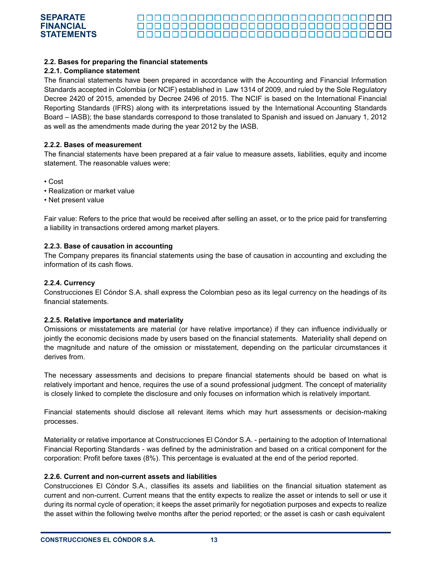### **2.2. Bases for preparing the financial statements**

#### **2.2.1. Compliance statement**

**SEPARATE FINANCIAL STATEMENTS**

The financial statements have been prepared in accordance with the Accounting and Financial Information Standards accepted in Colombia (or NCIF) established in Law 1314 of 2009, and ruled by the Sole Regulatory Decree 2420 of 2015, amended by Decree 2496 of 2015. The NCIF is based on the International Financial Reporting Standards (IFRS) along with its interpretations issued by the International Accounting Standards Board – IASB); the base standards correspond to those translated to Spanish and issued on January 1, 2012 as well as the amendments made during the year 2012 by the IASB.

000000000000000000000000000000000

#### **2.2.2. Bases of measurement**

The financial statements have been prepared at a fair value to measure assets, liabilities, equity and income statement. The reasonable values were:

- Cost
- Realization or market value
- Net present value

Fair value: Refers to the price that would be received after selling an asset, or to the price paid for transferring a liability in transactions ordered among market players.

#### **2.2.3. Base of causation in accounting**

The Company prepares its financial statements using the base of causation in accounting and excluding the information of its cash flows.

#### **2.2.4. Currency**

Construcciones El Cóndor S.A. shall express the Colombian peso as its legal currency on the headings of its financial statements.

#### **2.2.5. Relative importance and materiality**

Omissions or misstatements are material (or have relative importance) if they can influence individually or jointly the economic decisions made by users based on the financial statements. Materiality shall depend on the magnitude and nature of the omission or misstatement, depending on the particular circumstances it derives from.

The necessary assessments and decisions to prepare financial statements should be based on what is relatively important and hence, requires the use of a sound professional judgment. The concept of materiality is closely linked to complete the disclosure and only focuses on information which is relatively important.

Financial statements should disclose all relevant items which may hurt assessments or decision-making processes.

Materiality or relative importance at Construcciones El Cóndor S.A. - pertaining to the adoption of International Financial Reporting Standards - was defined by the administration and based on a critical component for the corporation: Profit before taxes (8%). This percentage is evaluated at the end of the period reported.

#### **2.2.6. Current and non-current assets and liabilities**

Construcciones El Cóndor S.A., classifies its assets and liabilities on the financial situation statement as current and non-current. Current means that the entity expects to realize the asset or intends to sell or use it during its normal cycle of operation; it keeps the asset primarily for negotiation purposes and expects to realize the asset within the following twelve months after the period reported; or the asset is cash or cash equivalent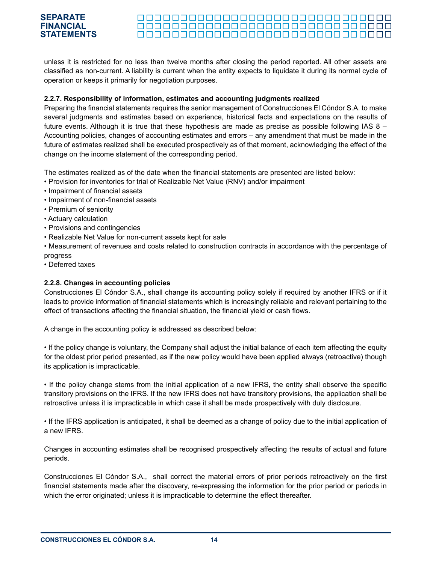#### 000000000000000000000000000000000 000000000000000000000000000000000

unless it is restricted for no less than twelve months after closing the period reported. All other assets are classified as non-current. A liability is current when the entity expects to liquidate it during its normal cycle of operation or keeps it primarily for negotiation purposes.

### **2.2.7. Responsibility of information, estimates and accounting judgments realized**

Preparing the financial statements requires the senior management of Construcciones El Cóndor S.A. to make several judgments and estimates based on experience, historical facts and expectations on the results of future events. Although it is true that these hypothesis are made as precise as possible following IAS 8 – Accounting policies, changes of accounting estimates and errors – any amendment that must be made in the future of estimates realized shall be executed prospectively as of that moment, acknowledging the effect of the change on the income statement of the corresponding period.

The estimates realized as of the date when the financial statements are presented are listed below:

- Provision for inventories for trial of Realizable Net Value (RNV) and/or impairment
- Impairment of financial assets
- Impairment of non-financial assets
- Premium of seniority
- Actuary calculation
- Provisions and contingencies
- Realizable Net Value for non-current assets kept for sale
- Measurement of revenues and costs related to construction contracts in accordance with the percentage of progress
- Deferred taxes

### **2.2.8. Changes in accounting policies**

Construcciones El Cóndor S.A., shall change its accounting policy solely if required by another IFRS or if it leads to provide information of financial statements which is increasingly reliable and relevant pertaining to the effect of transactions affecting the financial situation, the financial yield or cash flows.

A change in the accounting policy is addressed as described below:

• If the policy change is voluntary, the Company shall adjust the initial balance of each item affecting the equity for the oldest prior period presented, as if the new policy would have been applied always (retroactive) though its application is impracticable.

• If the policy change stems from the initial application of a new IFRS, the entity shall observe the specific transitory provisions on the IFRS. If the new IFRS does not have transitory provisions, the application shall be retroactive unless it is impracticable in which case it shall be made prospectively with duly disclosure.

• If the IFRS application is anticipated, it shall be deemed as a change of policy due to the initial application of a new IFRS.

Changes in accounting estimates shall be recognised prospectively affecting the results of actual and future periods.

Construcciones El Cóndor S.A., shall correct the material errors of prior periods retroactively on the first financial statements made after the discovery, re-expressing the information for the prior period or periods in which the error originated; unless it is impracticable to determine the effect thereafter.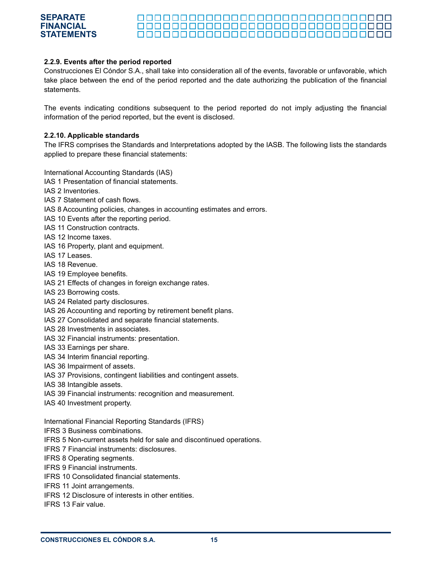### **2.2.9. Events after the period reported**

Construcciones El Cóndor S.A., shall take into consideration all of the events, favorable or unfavorable, which take place between the end of the period reported and the date authorizing the publication of the financial statements.

000000000000000000000000000000000

The events indicating conditions subsequent to the period reported do not imply adjusting the financial information of the period reported, but the event is disclosed.

#### **2.2.10. Applicable standards**

The IFRS comprises the Standards and Interpretations adopted by the IASB. The following lists the standards applied to prepare these financial statements:

International Accounting Standards (IAS)

- IAS 1 Presentation of financial statements.
- IAS 2 Inventories.

**SEPARATE FINANCIAL STATEMENTS**

- IAS 7 Statement of cash flows.
- IAS 8 Accounting policies, changes in accounting estimates and errors.
- IAS 10 Events after the reporting period.
- IAS 11 Construction contracts.
- IAS 12 Income taxes.
- IAS 16 Property, plant and equipment.
- IAS 17 Leases.
- IAS 18 Revenue.
- IAS 19 Employee benefits.
- IAS 21 Effects of changes in foreign exchange rates.
- IAS 23 Borrowing costs.
- IAS 24 Related party disclosures.
- IAS 26 Accounting and reporting by retirement benefit plans.
- IAS 27 Consolidated and separate financial statements.
- IAS 28 Investments in associates.
- IAS 32 Financial instruments: presentation.
- IAS 33 Earnings per share.
- IAS 34 Interim financial reporting.
- IAS 36 Impairment of assets.
- IAS 37 Provisions, contingent liabilities and contingent assets.
- IAS 38 Intangible assets.
- IAS 39 Financial instruments: recognition and measurement.
- IAS 40 Investment property.

International Financial Reporting Standards (IFRS)

- IFRS 3 Business combinations.
- IFRS 5 Non-current assets held for sale and discontinued operations.
- IFRS 7 Financial instruments: disclosures.
- IFRS 8 Operating segments.
- IFRS 9 Financial instruments.
- IFRS 10 Consolidated financial statements.
- IFRS 11 Joint arrangements.
- IFRS 12 Disclosure of interests in other entities.
- IFRS 13 Fair value.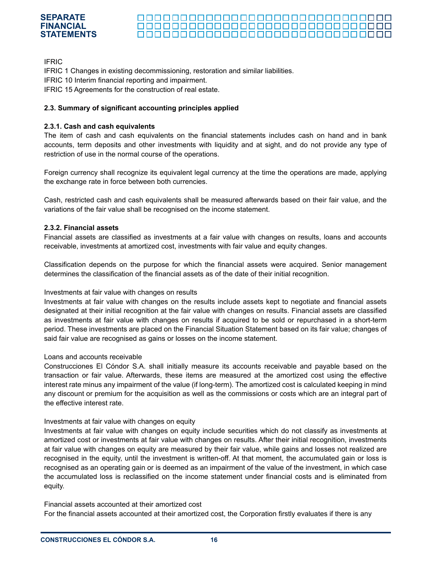#### **SEPARATE FINANCIAL** 000000000000000000000000000000000 **STATEMENTS**

IFRIC

IFRIC 1 Changes in existing decommissioning, restoration and similar liabilities.

IFRIC 10 Interim financial reporting and impairment.

IFRIC 15 Agreements for the construction of real estate.

### **2.3. Summary of significant accounting principles applied**

#### **2.3.1. Cash and cash equivalents**

The item of cash and cash equivalents on the financial statements includes cash on hand and in bank accounts, term deposits and other investments with liquidity and at sight, and do not provide any type of restriction of use in the normal course of the operations.

Foreign currency shall recognize its equivalent legal currency at the time the operations are made, applying the exchange rate in force between both currencies.

Cash, restricted cash and cash equivalents shall be measured afterwards based on their fair value, and the variations of the fair value shall be recognised on the income statement.

#### **2.3.2. Financial assets**

Financial assets are classified as investments at a fair value with changes on results, loans and accounts receivable, investments at amortized cost, investments with fair value and equity changes.

Classification depends on the purpose for which the financial assets were acquired. Senior management determines the classification of the financial assets as of the date of their initial recognition.

#### Investments at fair value with changes on results

Investments at fair value with changes on the results include assets kept to negotiate and financial assets designated at their initial recognition at the fair value with changes on results. Financial assets are classified as investments at fair value with changes on results if acquired to be sold or repurchased in a short-term period. These investments are placed on the Financial Situation Statement based on its fair value; changes of said fair value are recognised as gains or losses on the income statement.

#### Loans and accounts receivable

Construcciones El Cóndor S.A. shall initially measure its accounts receivable and payable based on the transaction or fair value. Afterwards, these items are measured at the amortized cost using the effective interest rate minus any impairment of the value (if long-term). The amortized cost is calculated keeping in mind any discount or premium for the acquisition as well as the commissions or costs which are an integral part of the effective interest rate.

#### Investments at fair value with changes on equity

Investments at fair value with changes on equity include securities which do not classify as investments at amortized cost or investments at fair value with changes on results. After their initial recognition, investments at fair value with changes on equity are measured by their fair value, while gains and losses not realized are recognised in the equity, until the investment is written-off. At that moment, the accumulated gain or loss is recognised as an operating gain or is deemed as an impairment of the value of the investment, in which case the accumulated loss is reclassified on the income statement under financial costs and is eliminated from equity.

Financial assets accounted at their amortized cost For the financial assets accounted at their amortized cost, the Corporation firstly evaluates if there is any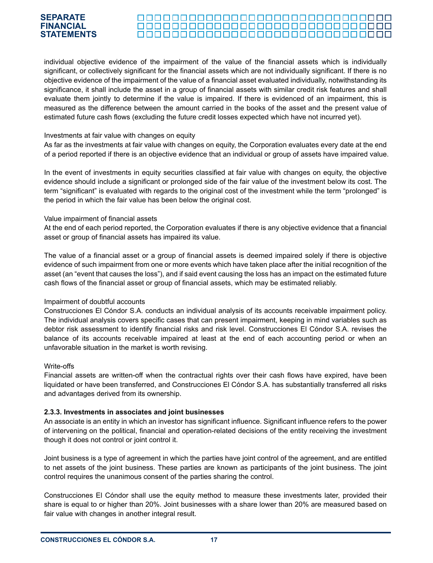#### 000000000000000000000000000000000 <u> 00000000000000000000000000000</u> 000000000000000000000000000000000

individual objective evidence of the impairment of the value of the financial assets which is individually significant, or collectively significant for the financial assets which are not individually significant. If there is no objective evidence of the impairment of the value of a financial asset evaluated individually, notwithstanding its significance, it shall include the asset in a group of financial assets with similar credit risk features and shall evaluate them jointly to determine if the value is impaired. If there is evidenced of an impairment, this is measured as the difference between the amount carried in the books of the asset and the present value of estimated future cash flows (excluding the future credit losses expected which have not incurred yet).

#### Investments at fair value with changes on equity

As far as the investments at fair value with changes on equity, the Corporation evaluates every date at the end of a period reported if there is an objective evidence that an individual or group of assets have impaired value.

In the event of investments in equity securities classified at fair value with changes on equity, the objective evidence should include a significant or prolonged side of the fair value of the investment below its cost. The term "significant" is evaluated with regards to the original cost of the investment while the term "prolonged" is the period in which the fair value has been below the original cost.

#### Value impairment of financial assets

At the end of each period reported, the Corporation evaluates if there is any objective evidence that a financial asset or group of financial assets has impaired its value.

The value of a financial asset or a group of financial assets is deemed impaired solely if there is objective evidence of such impairment from one or more events which have taken place after the initial recognition of the asset (an "event that causes the loss"), and if said event causing the loss has an impact on the estimated future cash flows of the financial asset or group of financial assets, which may be estimated reliably.

#### Impairment of doubtful accounts

Construcciones El Cóndor S.A. conducts an individual analysis of its accounts receivable impairment policy. The individual analysis covers specific cases that can present impairment, keeping in mind variables such as debtor risk assessment to identify financial risks and risk level. Construcciones El Cóndor S.A. revises the balance of its accounts receivable impaired at least at the end of each accounting period or when an unfavorable situation in the market is worth revising.

#### Write-offs

Financial assets are written-off when the contractual rights over their cash flows have expired, have been liquidated or have been transferred, and Construcciones El Cóndor S.A. has substantially transferred all risks and advantages derived from its ownership.

#### **2.3.3. Investments in associates and joint businesses**

An associate is an entity in which an investor has significant influence. Significant influence refers to the power of intervening on the political, financial and operation-related decisions of the entity receiving the investment though it does not control or joint control it.

Joint business is a type of agreement in which the parties have joint control of the agreement, and are entitled to net assets of the joint business. These parties are known as participants of the joint business. The joint control requires the unanimous consent of the parties sharing the control.

Construcciones El Cóndor shall use the equity method to measure these investments later, provided their share is equal to or higher than 20%. Joint businesses with a share lower than 20% are measured based on fair value with changes in another integral result.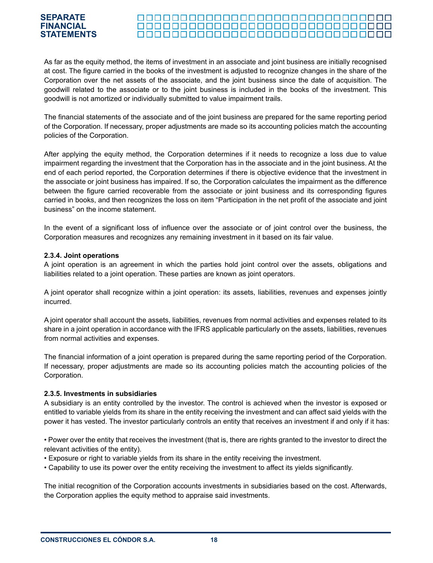#### 000000000000000000000000000000000

As far as the equity method, the items of investment in an associate and joint business are initially recognised at cost. The figure carried in the books of the investment is adjusted to recognize changes in the share of the Corporation over the net assets of the associate, and the joint business since the date of acquisition. The goodwill related to the associate or to the joint business is included in the books of the investment. This goodwill is not amortized or individually submitted to value impairment trails.

The financial statements of the associate and of the joint business are prepared for the same reporting period of the Corporation. If necessary, proper adjustments are made so its accounting policies match the accounting policies of the Corporation.

After applying the equity method, the Corporation determines if it needs to recognize a loss due to value impairment regarding the investment that the Corporation has in the associate and in the joint business. At the end of each period reported, the Corporation determines if there is objective evidence that the investment in the associate or joint business has impaired. If so, the Corporation calculates the impairment as the difference between the figure carried recoverable from the associate or joint business and its corresponding figures carried in books, and then recognizes the loss on item "Participation in the net profit of the associate and joint business" on the income statement.

In the event of a significant loss of influence over the associate or of joint control over the business, the Corporation measures and recognizes any remaining investment in it based on its fair value.

#### **2.3.4. Joint operations**

A joint operation is an agreement in which the parties hold joint control over the assets, obligations and liabilities related to a joint operation. These parties are known as joint operators.

A joint operator shall recognize within a joint operation: its assets, liabilities, revenues and expenses jointly incurred.

A joint operator shall account the assets, liabilities, revenues from normal activities and expenses related to its share in a joint operation in accordance with the IFRS applicable particularly on the assets, liabilities, revenues from normal activities and expenses.

The financial information of a joint operation is prepared during the same reporting period of the Corporation. If necessary, proper adjustments are made so its accounting policies match the accounting policies of the Corporation.

#### **2.3.5. Investments in subsidiaries**

A subsidiary is an entity controlled by the investor. The control is achieved when the investor is exposed or entitled to variable yields from its share in the entity receiving the investment and can affect said yields with the power it has vested. The investor particularly controls an entity that receives an investment if and only if it has:

• Power over the entity that receives the investment (that is, there are rights granted to the investor to direct the relevant activities of the entity).

- Exposure or right to variable yields from its share in the entity receiving the investment.
- Capability to use its power over the entity receiving the investment to affect its yields significantly.

The initial recognition of the Corporation accounts investments in subsidiaries based on the cost. Afterwards, the Corporation applies the equity method to appraise said investments.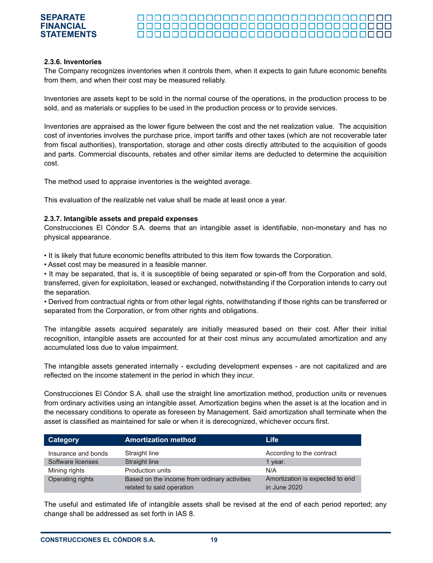#### 000000000000000000000000000000000 <u> 00000000000000000000000000000</u> 000000000000000000000000000000000

#### **2.3.6. Inventories**

The Company recognizes inventories when it controls them, when it expects to gain future economic benefits from them, and when their cost may be measured reliably.

Inventories are assets kept to be sold in the normal course of the operations, in the production process to be sold, and as materials or supplies to be used in the production process or to provide services.

Inventories are appraised as the lower figure between the cost and the net realization value. The acquisition cost of inventories involves the purchase price, import tariffs and other taxes (which are not recoverable later from fiscal authorities), transportation, storage and other costs directly attributed to the acquisition of goods and parts. Commercial discounts, rebates and other similar items are deducted to determine the acquisition cost.

The method used to appraise inventories is the weighted average.

This evaluation of the realizable net value shall be made at least once a year.

#### **2.3.7. Intangible assets and prepaid expenses**

Construcciones El Cóndor S.A. deems that an intangible asset is identifiable, non-monetary and has no physical appearance.

• It is likely that future economic benefits attributed to this item flow towards the Corporation.

• Asset cost may be measured in a feasible manner.

• It may be separated, that is, it is susceptible of being separated or spin-off from the Corporation and sold, transferred, given for exploitation, leased or exchanged, notwithstanding if the Corporation intends to carry out the separation.

• Derived from contractual rights or from other legal rights, notwithstanding if those rights can be transferred or separated from the Corporation, or from other rights and obligations.

The intangible assets acquired separately are initially measured based on their cost. After their initial recognition, intangible assets are accounted for at their cost minus any accumulated amortization and any accumulated loss due to value impairment.

The intangible assets generated internally - excluding development expenses - are not capitalized and are reflected on the income statement in the period in which they incur.

Construcciones El Cóndor S.A. shall use the straight line amortization method, production units or revenues from ordinary activities using an intangible asset. Amortization begins when the asset is at the location and in the necessary conditions to operate as foreseen by Management. Said amortization shall terminate when the asset is classified as maintained for sale or when it is derecognized, whichever occurs first.

| Category            | <b>Amortization method</b>                                                | <b>Life</b>                                     |
|---------------------|---------------------------------------------------------------------------|-------------------------------------------------|
| Insurance and bonds | Straight line                                                             | According to the contract                       |
| Software licenses   | Straight line                                                             | 1 year.                                         |
| Mining rights       | Production units                                                          | N/A                                             |
| Operating rights    | Based on the income from ordinary activities<br>related to said operation | Amortization is expected to end<br>in June 2020 |

The useful and estimated life of intangible assets shall be revised at the end of each period reported; any change shall be addressed as set forth in IAS 8.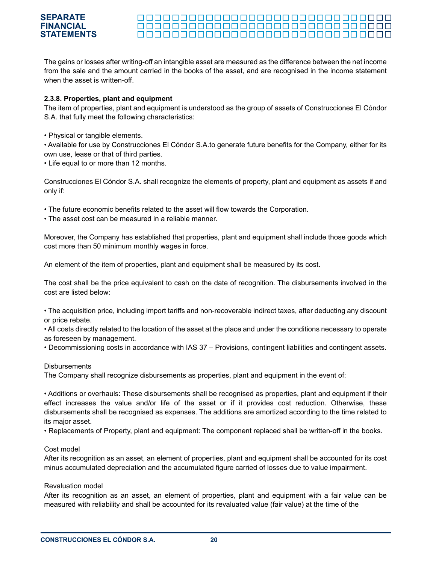#### **SEPARATE FINANCIAL** 000000000000000000000000000000000 **STATEMENTS**

The gains or losses after writing-off an intangible asset are measured as the difference between the net income from the sale and the amount carried in the books of the asset, and are recognised in the income statement when the asset is written-off.

#### **2.3.8. Properties, plant and equipment**

The item of properties, plant and equipment is understood as the group of assets of Construcciones El Cóndor S.A. that fully meet the following characteristics:

• Physical or tangible elements.

• Available for use by Construcciones El Cóndor S.A.to generate future benefits for the Company, either for its own use, lease or that of third parties.

• Life equal to or more than 12 months.

Construcciones El Cóndor S.A. shall recognize the elements of property, plant and equipment as assets if and only if:

- The future economic benefits related to the asset will flow towards the Corporation.
- The asset cost can be measured in a reliable manner.

Moreover, the Company has established that properties, plant and equipment shall include those goods which cost more than 50 minimum monthly wages in force.

An element of the item of properties, plant and equipment shall be measured by its cost.

The cost shall be the price equivalent to cash on the date of recognition. The disbursements involved in the cost are listed below:

• The acquisition price, including import tariffs and non-recoverable indirect taxes, after deducting any discount or price rebate.

• All costs directly related to the location of the asset at the place and under the conditions necessary to operate as foreseen by management.

• Decommissioning costs in accordance with IAS 37 – Provisions, contingent liabilities and contingent assets.

#### **Disbursements**

The Company shall recognize disbursements as properties, plant and equipment in the event of:

• Additions or overhauls: These disbursements shall be recognised as properties, plant and equipment if their effect increases the value and/or life of the asset or if it provides cost reduction. Otherwise, these disbursements shall be recognised as expenses. The additions are amortized according to the time related to its major asset.

• Replacements of Property, plant and equipment: The component replaced shall be written-off in the books.

#### Cost model

After its recognition as an asset, an element of properties, plant and equipment shall be accounted for its cost minus accumulated depreciation and the accumulated figure carried of losses due to value impairment.

#### Revaluation model

After its recognition as an asset, an element of properties, plant and equipment with a fair value can be measured with reliability and shall be accounted for its revaluated value (fair value) at the time of the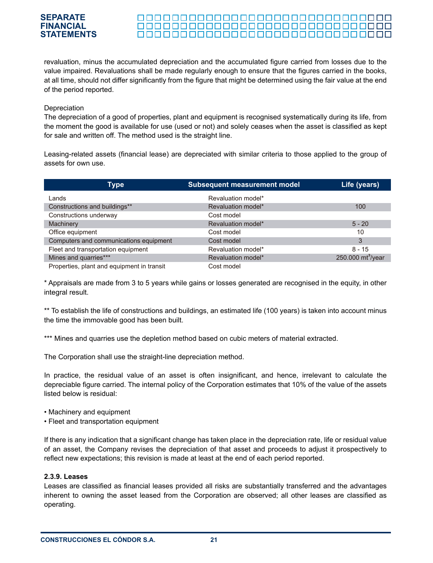#### 000000000000000000000000000000000 <u> 00000000000000000000000000000</u>

revaluation, minus the accumulated depreciation and the accumulated figure carried from losses due to the value impaired. Revaluations shall be made regularly enough to ensure that the figures carried in the books, at all time, should not differ significantly from the figure that might be determined using the fair value at the end of the period reported.

#### Depreciation

The depreciation of a good of properties, plant and equipment is recognised systematically during its life, from the moment the good is available for use (used or not) and solely ceases when the asset is classified as kept for sale and written off. The method used is the straight line.

Leasing-related assets (financial lease) are depreciated with similar criteria to those applied to the group of assets for own use.

| Type                                       | <b>Subsequent measurement model</b> | Life (years)                  |
|--------------------------------------------|-------------------------------------|-------------------------------|
| Lands                                      | Revaluation model*                  |                               |
| Constructions and buildings**              | Revaluation model*                  | 100                           |
| Constructions underway                     | Cost model                          |                               |
| Machinery                                  | Revaluation model*                  | $5 - 20$                      |
| Office equipment                           | Cost model                          | 10                            |
| Computers and communications equipment     | Cost model                          | 3                             |
| Fleet and transportation equipment         | Revaluation model*                  | $8 - 15$                      |
| Mines and quarries***                      | Revaluation model*                  | 250.000 mt <sup>3</sup> /year |
| Properties, plant and equipment in transit | Cost model                          |                               |

\* Appraisals are made from 3 to 5 years while gains or losses generated are recognised in the equity, in other integral result.

\*\* To establish the life of constructions and buildings, an estimated life (100 years) is taken into account minus the time the immovable good has been built.

\*\*\* Mines and quarries use the depletion method based on cubic meters of material extracted.

The Corporation shall use the straight-line depreciation method.

In practice, the residual value of an asset is often insignificant, and hence, irrelevant to calculate the depreciable figure carried. The internal policy of the Corporation estimates that 10% of the value of the assets listed below is residual:

- Machinery and equipment
- Fleet and transportation equipment

If there is any indication that a significant change has taken place in the depreciation rate, life or residual value of an asset, the Company revises the depreciation of that asset and proceeds to adjust it prospectively to reflect new expectations; this revision is made at least at the end of each period reported.

#### **2.3.9. Leases**

Leases are classified as financial leases provided all risks are substantially transferred and the advantages inherent to owning the asset leased from the Corporation are observed; all other leases are classified as operating.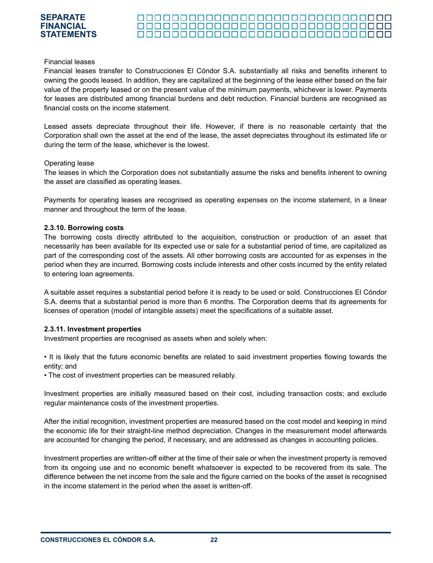#### 000000000000000000000000000000000 000000000000000000000000000000000

#### Financial leases

Financial leases transfer to Construcciones El Cóndor S.A. substantially all risks and benefits inherent to owning the goods leased. In addition, they are capitalized at the beginning of the lease either based on the fair value of the property leased or on the present value of the minimum payments, whichever is lower. Payments for leases are distributed among financial burdens and debt reduction. Financial burdens are recognised as financial costs on the income statement.

Leased assets depreciate throughout their life. However, if there is no reasonable certainty that the Corporation shall own the asset at the end of the lease, the asset depreciates throughout its estimated life or during the term of the lease, whichever is the lowest.

#### Operating lease

The leases in which the Corporation does not substantially assume the risks and benefits inherent to owning the asset are classified as operating leases.

Payments for operating leases are recognised as operating expenses on the income statement, in a linear manner and throughout the term of the lease.

#### **2.3.10. Borrowing costs**

The borrowing costs directly attributed to the acquisition, construction or production of an asset that necessarily has been available for its expected use or sale for a substantial period of time, are capitalized as part of the corresponding cost of the assets. All other borrowing costs are accounted for as expenses in the period when they are incurred. Borrowing costs include interests and other costs incurred by the entity related to entering loan agreements.

A suitable asset requires a substantial period before it is ready to be used or sold. Construcciones El Cóndor S.A. deems that a substantial period is more than 6 months. The Corporation deems that its agreements for licenses of operation (model of intangible assets) meet the specifications of a suitable asset.

#### **2.3.11. Investment properties**

Investment properties are recognised as assets when and solely when:

• It is likely that the future economic benefits are related to said investment properties flowing towards the entity; and

• The cost of investment properties can be measured reliably.

Investment properties are initially measured based on their cost, including transaction costs; and exclude regular maintenance costs of the investment properties.

After the initial recognition, investment properties are measured based on the cost model and keeping in mind the economic life for their straight-line method depreciation. Changes in the measurement model afterwards are accounted for changing the period, if necessary, and are addressed as changes in accounting policies.

Investment properties are written-off either at the time of their sale or when the investment property is removed from its ongoing use and no economic benefit whatsoever is expected to be recovered from its sale. The difference between the net income from the sale and the figure carried on the books of the asset is recognised in the income statement in the period when the asset is written-off.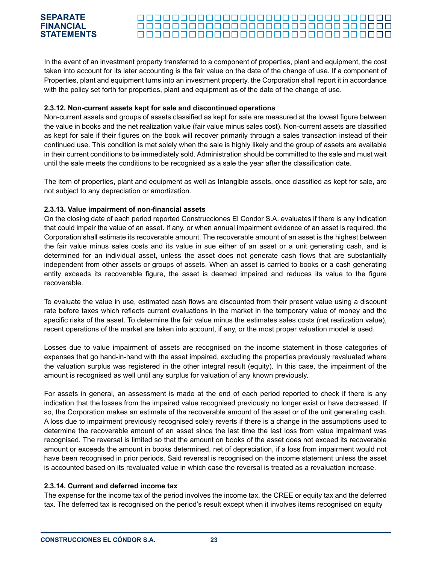#### 

In the event of an investment property transferred to a component of properties, plant and equipment, the cost taken into account for its later accounting is the fair value on the date of the change of use. If a component of Properties, plant and equipment turns into an investment property, the Corporation shall report it in accordance with the policy set forth for properties, plant and equipment as of the date of the change of use.

#### **2.3.12. Non-current assets kept for sale and discontinued operations**

Non-current assets and groups of assets classified as kept for sale are measured at the lowest figure between the value in books and the net realization value (fair value minus sales cost). Non-current assets are classified as kept for sale if their figures on the book will recover primarily through a sales transaction instead of their continued use. This condition is met solely when the sale is highly likely and the group of assets are available in their current conditions to be immediately sold. Administration should be committed to the sale and must wait until the sale meets the conditions to be recognised as a sale the year after the classification date.

The item of properties, plant and equipment as well as Intangible assets, once classified as kept for sale, are not subject to any depreciation or amortization.

### **2.3.13. Value impairment of non-financial assets**

On the closing date of each period reported Construcciones El Condor S.A. evaluates if there is any indication that could impair the value of an asset. If any, or when annual impairment evidence of an asset is required, the Corporation shall estimate its recoverable amount. The recoverable amount of an asset is the highest between the fair value minus sales costs and its value in sue either of an asset or a unit generating cash, and is determined for an individual asset, unless the asset does not generate cash flows that are substantially independent from other assets or groups of assets. When an asset is carried to books or a cash generating entity exceeds its recoverable figure, the asset is deemed impaired and reduces its value to the figure recoverable.

To evaluate the value in use, estimated cash flows are discounted from their present value using a discount rate before taxes which reflects current evaluations in the market in the temporary value of money and the specific risks of the asset. To determine the fair value minus the estimates sales costs (net realization value), recent operations of the market are taken into account, if any, or the most proper valuation model is used.

Losses due to value impairment of assets are recognised on the income statement in those categories of expenses that go hand-in-hand with the asset impaired, excluding the properties previously revaluated where the valuation surplus was registered in the other integral result (equity). In this case, the impairment of the amount is recognised as well until any surplus for valuation of any known previously.

For assets in general, an assessment is made at the end of each period reported to check if there is any indication that the losses from the impaired value recognised previously no longer exist or have decreased. If so, the Corporation makes an estimate of the recoverable amount of the asset or of the unit generating cash. A loss due to impairment previously recognised solely reverts if there is a change in the assumptions used to determine the recoverable amount of an asset since the last time the last loss from value impairment was recognised. The reversal is limited so that the amount on books of the asset does not exceed its recoverable amount or exceeds the amount in books determined, net of depreciation, if a loss from impairment would not have been recognised in prior periods. Said reversal is recognised on the income statement unless the asset is accounted based on its revaluated value in which case the reversal is treated as a revaluation increase.

#### **2.3.14. Current and deferred income tax**

The expense for the income tax of the period involves the income tax, the CREE or equity tax and the deferred tax. The deferred tax is recognised on the period's result except when it involves items recognised on equity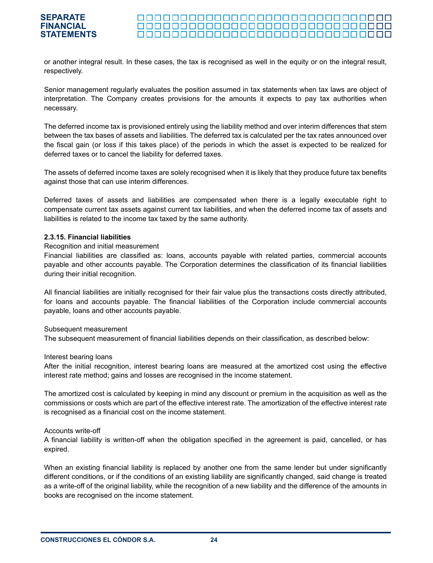or another integral result. In these cases, the tax is recognised as well in the equity or on the integral result, respectively.

Senior management regularly evaluates the position assumed in tax statements when tax laws are object of interpretation. The Company creates provisions for the amounts it expects to pay tax authorities when necessary.

The deferred income tax is provisioned entirely using the liability method and over interim differences that stem between the tax bases of assets and liabilities. The deferred tax is calculated per the tax rates announced over the fiscal gain (or loss if this takes place) of the periods in which the asset is expected to be realized for deferred taxes or to cancel the liability for deferred taxes.

The assets of deferred income taxes are solely recognised when it is likely that they produce future tax benefits against those that can use interim differences.

Deferred taxes of assets and liabilities are compensated when there is a legally executable right to compensate current tax assets against current tax liabilities, and when the deferred income tax of assets and liabilities is related to the income tax taxed by the same authority.

#### **2.3.15. Financial liabilities**

#### Recognition and initial measurement

Financial liabilities are classified as: loans, accounts payable with related parties, commercial accounts payable and other accounts payable. The Corporation determines the classification of its financial liabilities during their initial recognition.

All financial liabilities are initially recognised for their fair value plus the transactions costs directly attributed, for loans and accounts payable. The financial liabilities of the Corporation include commercial accounts payable, loans and other accounts payable.

#### Subsequent measurement

The subsequent measurement of financial liabilities depends on their classification, as described below:

#### Interest bearing loans

After the initial recognition, interest bearing loans are measured at the amortized cost using the effective interest rate method; gains and losses are recognised in the income statement.

The amortized cost is calculated by keeping in mind any discount or premium in the acquisition as well as the commissions or costs which are part of the effective interest rate. The amortization of the effective interest rate is recognised as a financial cost on the income statement.

#### Accounts write-off

A financial liability is written-off when the obligation specified in the agreement is paid, cancelled, or has expired.

When an existing financial liability is replaced by another one from the same lender but under significantly different conditions, or if the conditions of an existing liability are significantly changed, said change is treated as a write-off of the original liability, while the recognition of a new liability and the difference of the amounts in books are recognised on the income statement.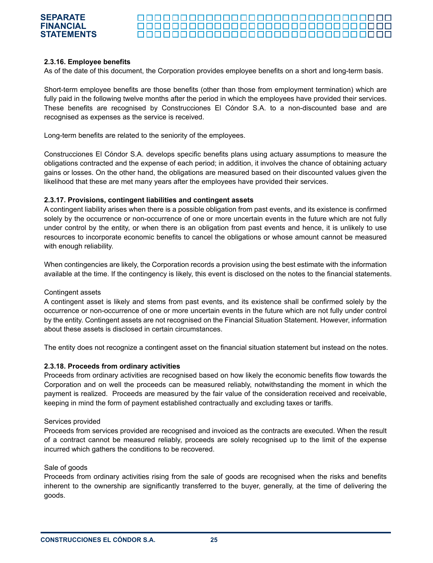#### 000000000000000000000000000000000 <u> 00000000000000000000000000000</u>

#### **2.3.16. Employee benefits**

As of the date of this document, the Corporation provides employee benefits on a short and long-term basis.

Short-term employee benefits are those benefits (other than those from employment termination) which are fully paid in the following twelve months after the period in which the employees have provided their services. These benefits are recognised by Construcciones El Cóndor S.A. to a non-discounted base and are recognised as expenses as the service is received.

Long-term benefits are related to the seniority of the employees.

Construcciones El Cóndor S.A. develops specific benefits plans using actuary assumptions to measure the obligations contracted and the expense of each period; in addition, it involves the chance of obtaining actuary gains or losses. On the other hand, the obligations are measured based on their discounted values given the likelihood that these are met many years after the employees have provided their services.

#### **2.3.17. Provisions, contingent liabilities and contingent assets**

A contingent liability arises when there is a possible obligation from past events, and its existence is confirmed solely by the occurrence or non-occurrence of one or more uncertain events in the future which are not fully under control by the entity, or when there is an obligation from past events and hence, it is unlikely to use resources to incorporate economic benefits to cancel the obligations or whose amount cannot be measured with enough reliability.

When contingencies are likely, the Corporation records a provision using the best estimate with the information available at the time. If the contingency is likely, this event is disclosed on the notes to the financial statements.

#### Contingent assets

A contingent asset is likely and stems from past events, and its existence shall be confirmed solely by the occurrence or non-occurrence of one or more uncertain events in the future which are not fully under control by the entity. Contingent assets are not recognised on the Financial Situation Statement. However, information about these assets is disclosed in certain circumstances.

The entity does not recognize a contingent asset on the financial situation statement but instead on the notes.

#### **2.3.18. Proceeds from ordinary activities**

Proceeds from ordinary activities are recognised based on how likely the economic benefits flow towards the Corporation and on well the proceeds can be measured reliably, notwithstanding the moment in which the payment is realized. Proceeds are measured by the fair value of the consideration received and receivable, keeping in mind the form of payment established contractually and excluding taxes or tariffs.

#### Services provided

Proceeds from services provided are recognised and invoiced as the contracts are executed. When the result of a contract cannot be measured reliably, proceeds are solely recognised up to the limit of the expense incurred which gathers the conditions to be recovered.

#### Sale of goods

Proceeds from ordinary activities rising from the sale of goods are recognised when the risks and benefits inherent to the ownership are significantly transferred to the buyer, generally, at the time of delivering the goods.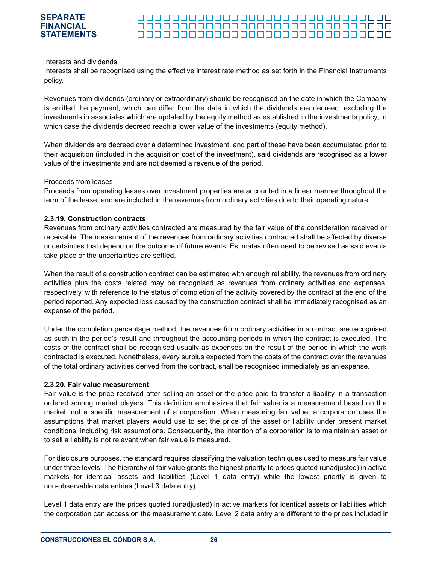#### **SEPARATE FINANCIAL** 000000000000000000000000000000000 **STATEMENTS**

#### Interests and dividends

Interests shall be recognised using the effective interest rate method as set forth in the Financial Instruments policy.

Revenues from dividends (ordinary or extraordinary) should be recognised on the date in which the Company is entitled the payment, which can differ from the date in which the dividends are decreed; excluding the investments in associates which are updated by the equity method as established in the investments policy; in which case the dividends decreed reach a lower value of the investments (equity method).

When dividends are decreed over a determined investment, and part of these have been accumulated prior to their acquisition (included in the acquisition cost of the investment), said dividends are recognised as a lower value of the investments and are not deemed a revenue of the period.

#### Proceeds from leases

Proceeds from operating leases over investment properties are accounted in a linear manner throughout the term of the lease, and are included in the revenues from ordinary activities due to their operating nature.

#### **2.3.19. Construction contracts**

Revenues from ordinary activities contracted are measured by the fair value of the consideration received or receivable. The measurement of the revenues from ordinary activities contracted shall be affected by diverse uncertainties that depend on the outcome of future events. Estimates often need to be revised as said events take place or the uncertainties are settled.

When the result of a construction contract can be estimated with enough reliability, the revenues from ordinary activities plus the costs related may be recognised as revenues from ordinary activities and expenses, respectively, with reference to the status of completion of the activity covered by the contract at the end of the period reported. Any expected loss caused by the construction contract shall be immediately recognised as an expense of the period.

Under the completion percentage method, the revenues from ordinary activities in a contract are recognised as such in the period's result and throughout the accounting periods in which the contract is executed. The costs of the contract shall be recognised usually as expenses on the result of the period in which the work contracted is executed. Nonetheless, every surplus expected from the costs of the contract over the revenues of the total ordinary activities derived from the contract, shall be recognised immediately as an expense.

#### **2.3.20. Fair value measurement**

Fair value is the price received after selling an asset or the price paid to transfer a liability in a transaction ordered among market players. This definition emphasizes that fair value is a measurement based on the market, not a specific measurement of a corporation. When measuring fair value, a corporation uses the assumptions that market players would use to set the price of the asset or liability under present market conditions, including risk assumptions. Consequently, the intention of a corporation is to maintain an asset or to sell a liability is not relevant when fair value is measured.

For disclosure purposes, the standard requires classifying the valuation techniques used to measure fair value under three levels. The hierarchy of fair value grants the highest priority to prices quoted (unadjusted) in active markets for identical assets and liabilities (Level 1 data entry) while the lowest priority is given to non-observable data entries (Level 3 data entry).

Level 1 data entry are the prices quoted (unadjusted) in active markets for identical assets or liabilities which the corporation can access on the measurement date. Level 2 data entry are different to the prices included in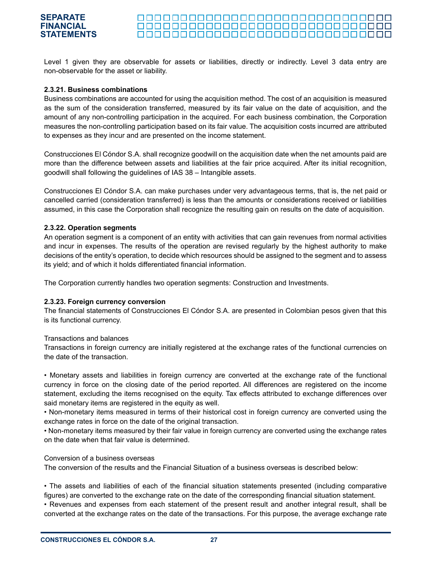#### <u> 000000000000000000000000000000000</u>

Level 1 given they are observable for assets or liabilities, directly or indirectly. Level 3 data entry are non-observable for the asset or liability.

#### **2.3.21. Business combinations**

Business combinations are accounted for using the acquisition method. The cost of an acquisition is measured as the sum of the consideration transferred, measured by its fair value on the date of acquisition, and the amount of any non-controlling participation in the acquired. For each business combination, the Corporation measures the non-controlling participation based on its fair value. The acquisition costs incurred are attributed to expenses as they incur and are presented on the income statement.

Construcciones El Cóndor S.A. shall recognize goodwill on the acquisition date when the net amounts paid are more than the difference between assets and liabilities at the fair price acquired. After its initial recognition, goodwill shall following the guidelines of IAS 38 – Intangible assets.

Construcciones El Cóndor S.A. can make purchases under very advantageous terms, that is, the net paid or cancelled carried (consideration transferred) is less than the amounts or considerations received or liabilities assumed, in this case the Corporation shall recognize the resulting gain on results on the date of acquisition.

#### **2.3.22. Operation segments**

An operation segment is a component of an entity with activities that can gain revenues from normal activities and incur in expenses. The results of the operation are revised regularly by the highest authority to make decisions of the entity's operation, to decide which resources should be assigned to the segment and to assess its yield; and of which it holds differentiated financial information.

The Corporation currently handles two operation segments: Construction and Investments.

#### **2.3.23. Foreign currency conversion**

The financial statements of Construcciones El Cóndor S.A. are presented in Colombian pesos given that this is its functional currency.

#### Transactions and balances

Transactions in foreign currency are initially registered at the exchange rates of the functional currencies on the date of the transaction.

• Monetary assets and liabilities in foreign currency are converted at the exchange rate of the functional currency in force on the closing date of the period reported. All differences are registered on the income statement, excluding the items recognised on the equity. Tax effects attributed to exchange differences over said monetary items are registered in the equity as well.

• Non-monetary items measured in terms of their historical cost in foreign currency are converted using the exchange rates in force on the date of the original transaction.

• Non-monetary items measured by their fair value in foreign currency are converted using the exchange rates on the date when that fair value is determined.

#### Conversion of a business overseas

The conversion of the results and the Financial Situation of a business overseas is described below:

• The assets and liabilities of each of the financial situation statements presented (including comparative figures) are converted to the exchange rate on the date of the corresponding financial situation statement.

• Revenues and expenses from each statement of the present result and another integral result, shall be converted at the exchange rates on the date of the transactions. For this purpose, the average exchange rate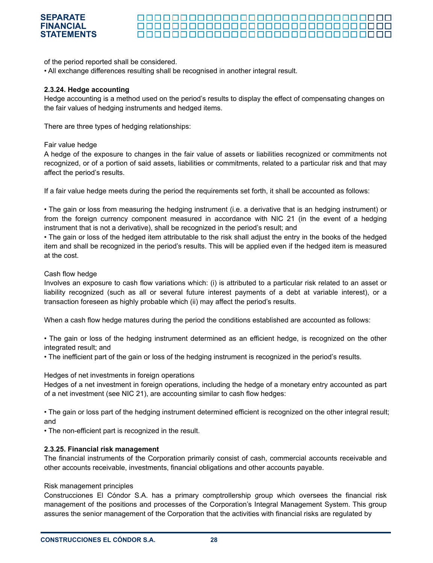#### 000000000000000000000000000000000 <u> 00000000000000000000000000000</u> 000000000000000000000000000000000

of the period reported shall be considered.

• All exchange differences resulting shall be recognised in another integral result.

#### **2.3.24. Hedge accounting**

Hedge accounting is a method used on the period's results to display the effect of compensating changes on the fair values of hedging instruments and hedged items.

There are three types of hedging relationships:

#### Fair value hedge

A hedge of the exposure to changes in the fair value of assets or liabilities recognized or commitments not recognized, or of a portion of said assets, liabilities or commitments, related to a particular risk and that may affect the period's results.

If a fair value hedge meets during the period the requirements set forth, it shall be accounted as follows:

• The gain or loss from measuring the hedging instrument (i.e. a derivative that is an hedging instrument) or from the foreign currency component measured in accordance with NIC 21 (in the event of a hedging instrument that is not a derivative), shall be recognized in the period's result; and

• The gain or loss of the hedged item attributable to the risk shall adjust the entry in the books of the hedged item and shall be recognized in the period's results. This will be applied even if the hedged item is measured at the cost.

#### Cash flow hedge

Involves an exposure to cash flow variations which: (i) is attributed to a particular risk related to an asset or liability recognized (such as all or several future interest payments of a debt at variable interest), or a transaction foreseen as highly probable which (ii) may affect the period's results.

When a cash flow hedge matures during the period the conditions established are accounted as follows:

• The gain or loss of the hedging instrument determined as an efficient hedge, is recognized on the other integrated result; and

• The inefficient part of the gain or loss of the hedging instrument is recognized in the period's results.

#### Hedges of net investments in foreign operations

Hedges of a net investment in foreign operations, including the hedge of a monetary entry accounted as part of a net investment (see NIC 21), are accounting similar to cash flow hedges:

• The gain or loss part of the hedging instrument determined efficient is recognized on the other integral result; and

• The non-efficient part is recognized in the result.

#### **2.3.25. Financial risk management**

The financial instruments of the Corporation primarily consist of cash, commercial accounts receivable and other accounts receivable, investments, financial obligations and other accounts payable.

#### Risk management principles

Construcciones El Cóndor S.A. has a primary comptrollership group which oversees the financial risk management of the positions and processes of the Corporation's Integral Management System. This group assures the senior management of the Corporation that the activities with financial risks are regulated by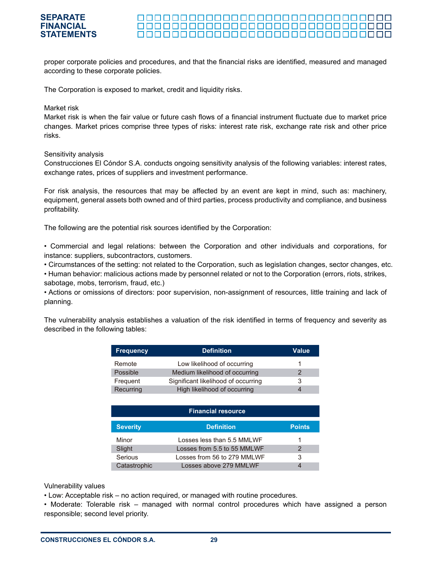#### <u> 000000000000000000000000000000</u> <u> 000000000000000000000000000000000</u>

proper corporate policies and procedures, and that the financial risks are identified, measured and managed according to these corporate policies.

The Corporation is exposed to market, credit and liquidity risks.

#### Market risk

Market risk is when the fair value or future cash flows of a financial instrument fluctuate due to market price changes. Market prices comprise three types of risks: interest rate risk, exchange rate risk and other price risks.

#### Sensitivity analysis

Construcciones El Cóndor S.A. conducts ongoing sensitivity analysis of the following variables: interest rates, exchange rates, prices of suppliers and investment performance.

For risk analysis, the resources that may be affected by an event are kept in mind, such as: machinery, equipment, general assets both owned and of third parties, process productivity and compliance, and business profitability.

The following are the potential risk sources identified by the Corporation:

• Commercial and legal relations: between the Corporation and other individuals and corporations, for instance: suppliers, subcontractors, customers.

• Circumstances of the setting: not related to the Corporation, such as legislation changes, sector changes, etc.

• Human behavior: malicious actions made by personnel related or not to the Corporation (errors, riots, strikes, sabotage, mobs, terrorism, fraud, etc.)

• Actions or omissions of directors: poor supervision, non-assignment of resources, little training and lack of planning.

The vulnerability analysis establishes a valuation of the risk identified in terms of frequency and severity as described in the following tables:

| <b>Frequency</b> | <b>Definition</b>                   | <b>Value</b> |
|------------------|-------------------------------------|--------------|
| Remote           | Low likelihood of occurring         |              |
| Possible         | Medium likelihood of occurring      | 2            |
| Frequent         | Significant likelihood of occurring | 3            |
| Recurring        | High likelihood of occurring        |              |

| <b>Financial resource</b> |                             |               |  |  |  |  |
|---------------------------|-----------------------------|---------------|--|--|--|--|
| <b>Severity</b>           | <b>Definition</b>           | <b>Points</b> |  |  |  |  |
| Minor                     | Losses less than 5.5 MMLWF  |               |  |  |  |  |
| Slight                    | Losses from 5.5 to 55 MMLWF |               |  |  |  |  |
| Serious                   | Losses from 56 to 279 MMLWF | 3             |  |  |  |  |
| Catastrophic              | Losses above 279 MMLWF      |               |  |  |  |  |

Vulnerability values

• Low: Acceptable risk – no action required, or managed with routine procedures.

• Moderate: Tolerable risk – managed with normal control procedures which have assigned a person responsible; second level priority.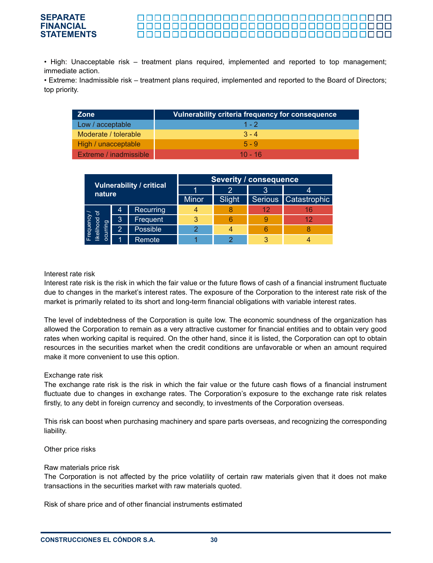#### **SEPARATE** <u> 000000000000000000000000000000</u> **FINANCIAL** <u> 00000000000000000000000000000</u> **STATEMENTS**<u> 000000000000000000000000000000000</u>

• High: Unacceptable risk – treatment plans required, implemented and reported to top management; immediate action.

• Extreme: Inadmissible risk – treatment plans required, implemented and reported to the Board of Directors; top priority.

| <b>Zone</b>                   | Vulnerability criteria frequency for consequence |
|-------------------------------|--------------------------------------------------|
| Low / acceptable              | $1 - 2$                                          |
| Moderate / tolerable          | $3 - 4$                                          |
| High / unacceptable           | $5 - 9$                                          |
| <b>Extreme / inadmissible</b> | $10 - 16$                                        |

|                                         |                                 |           | <b>Severity / consequence</b> |  |                        |    |  |  |  |
|-----------------------------------------|---------------------------------|-----------|-------------------------------|--|------------------------|----|--|--|--|
|                                         | <b>Vulnerability / critical</b> |           |                               |  | 3                      |    |  |  |  |
| nature                                  |                                 | Minor     | Slight                        |  | Serious   Catastrophic |    |  |  |  |
|                                         | 4                               | Recurring |                               |  | 12                     | 16 |  |  |  |
|                                         | 3                               | Frequent  |                               |  |                        |    |  |  |  |
| Frequency /<br>Ikelihood of<br>ocurring | 2                               | Possible  | $\mathcal{Q}$                 |  | 6                      |    |  |  |  |
|                                         |                                 | Remote    |                               |  |                        |    |  |  |  |

#### Interest rate risk

Interest rate risk is the risk in which the fair value or the future flows of cash of a financial instrument fluctuate due to changes in the market's interest rates. The exposure of the Corporation to the interest rate risk of the market is primarily related to its short and long-term financial obligations with variable interest rates.

The level of indebtedness of the Corporation is quite low. The economic soundness of the organization has allowed the Corporation to remain as a very attractive customer for financial entities and to obtain very good rates when working capital is required. On the other hand, since it is listed, the Corporation can opt to obtain resources in the securities market when the credit conditions are unfavorable or when an amount required make it more convenient to use this option.

#### Exchange rate risk

The exchange rate risk is the risk in which the fair value or the future cash flows of a financial instrument fluctuate due to changes in exchange rates. The Corporation's exposure to the exchange rate risk relates firstly, to any debt in foreign currency and secondly, to investments of the Corporation overseas.

This risk can boost when purchasing machinery and spare parts overseas, and recognizing the corresponding liability.

Other price risks

#### Raw materials price risk

The Corporation is not affected by the price volatility of certain raw materials given that it does not make transactions in the securities market with raw materials quoted.

Risk of share price and of other financial instruments estimated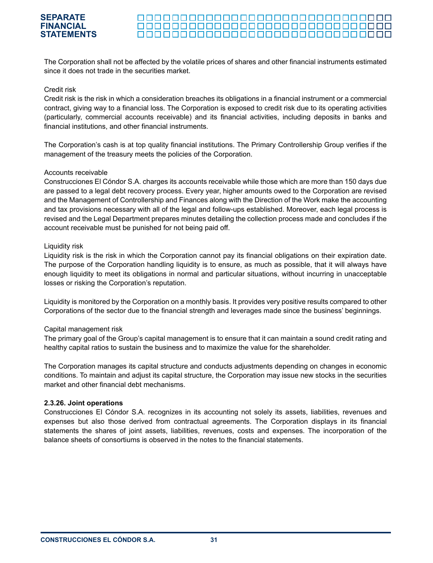#### 000000000000000000000000000000000

The Corporation shall not be affected by the volatile prices of shares and other financial instruments estimated since it does not trade in the securities market.

#### Credit risk

Credit risk is the risk in which a consideration breaches its obligations in a financial instrument or a commercial contract, giving way to a financial loss. The Corporation is exposed to credit risk due to its operating activities (particularly, commercial accounts receivable) and its financial activities, including deposits in banks and financial institutions, and other financial instruments.

The Corporation's cash is at top quality financial institutions. The Primary Controllership Group verifies if the management of the treasury meets the policies of the Corporation.

#### Accounts receivable

Construcciones El Cóndor S.A. charges its accounts receivable while those which are more than 150 days due are passed to a legal debt recovery process. Every year, higher amounts owed to the Corporation are revised and the Management of Controllership and Finances along with the Direction of the Work make the accounting and tax provisions necessary with all of the legal and follow-ups established. Moreover, each legal process is revised and the Legal Department prepares minutes detailing the collection process made and concludes if the account receivable must be punished for not being paid off.

#### Liquidity risk

Liquidity risk is the risk in which the Corporation cannot pay its financial obligations on their expiration date. The purpose of the Corporation handling liquidity is to ensure, as much as possible, that it will always have enough liquidity to meet its obligations in normal and particular situations, without incurring in unacceptable losses or risking the Corporation's reputation.

Liquidity is monitored by the Corporation on a monthly basis. It provides very positive results compared to other Corporations of the sector due to the financial strength and leverages made since the business' beginnings.

#### Capital management risk

The primary goal of the Group's capital management is to ensure that it can maintain a sound credit rating and healthy capital ratios to sustain the business and to maximize the value for the shareholder.

The Corporation manages its capital structure and conducts adjustments depending on changes in economic conditions. To maintain and adjust its capital structure, the Corporation may issue new stocks in the securities market and other financial debt mechanisms.

#### **2.3.26. Joint operations**

Construcciones El Cóndor S.A. recognizes in its accounting not solely its assets, liabilities, revenues and expenses but also those derived from contractual agreements. The Corporation displays in its financial statements the shares of joint assets, liabilities, revenues, costs and expenses. The incorporation of the balance sheets of consortiums is observed in the notes to the financial statements.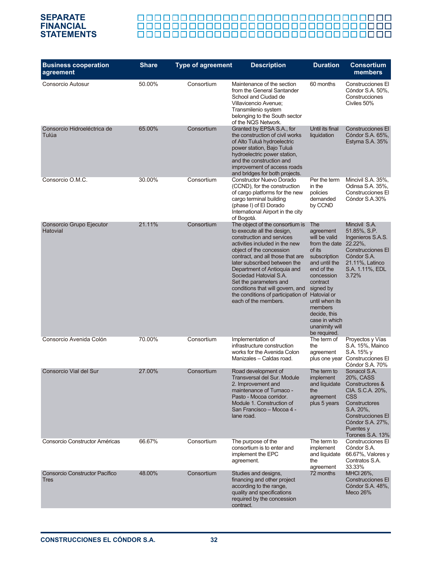# <u> 888888888888888888888888888888</u>

| <b>Business cooperation</b><br>agreement             | <b>Share</b> | <b>Type of agreement</b> | <b>Description</b>                                                                                                                                                                                                                                                                                                                                                                                                            | <b>Duration</b>                                                                                                                                                                                                                                                | <b>Consortium</b><br>members                                                                                                                                                                  |
|------------------------------------------------------|--------------|--------------------------|-------------------------------------------------------------------------------------------------------------------------------------------------------------------------------------------------------------------------------------------------------------------------------------------------------------------------------------------------------------------------------------------------------------------------------|----------------------------------------------------------------------------------------------------------------------------------------------------------------------------------------------------------------------------------------------------------------|-----------------------------------------------------------------------------------------------------------------------------------------------------------------------------------------------|
| Consorcio Autosur                                    | 50.00%       | Consortium               | Maintenance of the section<br>60 months<br>from the General Santander<br>School and Ciudad de<br>Villavicencio Avenue;<br>Transmilenio system<br>belonging to the South sector<br>of the NQS Network.                                                                                                                                                                                                                         |                                                                                                                                                                                                                                                                | Construcciones El<br>Cóndor S.A. 50%,<br>Construcciones<br>Civiles 50%                                                                                                                        |
| Consorcio Hidroeléctrica de<br>Tulúa                 | 65.00%       | Consortium               | Granted by EPSA S.A., for<br>Until its final<br>the construction of civil works<br>liquidation<br>of Alto Tuluá hydroelectric<br>power station, Bajo Tuluá<br>hydroelectric power station,<br>and the construction and<br>improvement of access roads<br>and bridges for both projects.                                                                                                                                       |                                                                                                                                                                                                                                                                | <b>Construcciones El</b><br>Cóndor S.A. 65%,<br>Estyma S.A. 35%                                                                                                                               |
| Consorcio O.M.C.                                     | 30.00%       | Consortium               | <b>Constructor Nuevo Dorado</b><br>(CCND), for the construction<br>of cargo platforms for the new<br>cargo terminal building<br>(phase I) of El Dorado<br>International Airport in the city<br>of Bogotá.                                                                                                                                                                                                                     | Per the term<br>in the<br>policies<br>demanded<br>by CCND                                                                                                                                                                                                      | Mincivil S.A. 35%,<br>Odinsa S.A. 35%,<br>Construcciones El<br>Cóndor S.A.30%                                                                                                                 |
| Consorcio Grupo Ejecutor<br>Hatovial                 | 21.11%       | Consortium               | The object of the consortium is<br>to execute all the design,<br>construction and services<br>activities included in the new<br>object of the concession<br>contract, and all those that are<br>later subscribed between the<br>Department of Antioquia and<br>Sociedad Hatovial S.A.<br>Set the parameters and<br>conditions that will govern, and<br>the conditions of participation of Hatovial or<br>each of the members. | The<br>agreement<br>will be valid<br>from the date $22.22\%$ ,<br>of its<br>subscription<br>and until the<br>end of the<br>concession<br>contract<br>signed by<br>until when its<br>members<br>decide, this<br>case in which<br>unanimity will<br>be required. | Mincivil S.A.<br>51.85%, S.P.<br>Ingenieros S.A.S.<br><b>Construcciones El</b><br>Cóndor S.A.<br>21.11%, Latinco<br>S.A. 1.11%, EDL<br>3.72%                                                  |
| Consorcio Avenida Colón                              | 70.00%       | Consortium               | Implementation of<br>infrastructure construction<br>works for the Avenida Colon<br>Manizales - Caldas road.                                                                                                                                                                                                                                                                                                                   | The term of<br>the<br>agreement                                                                                                                                                                                                                                | Proyectos y Vías<br>S.A. 15%, Mainco<br>S.A. 15% y<br>plus one year Construcciones El<br>Cóndor S.A. 70%                                                                                      |
| Consorcio Vial del Sur                               | 27.00%       | Consortium               | Road development of<br>Transversal del Sur. Module<br>2. Improvement and<br>maintenance of Tumaco -<br>Pasto - Mocoa corridor.<br>Module 1. Construction of<br>San Francisco - Mocoa 4 -<br>lane road.                                                                                                                                                                                                                        | The term to<br>implement<br>and liquidate<br>the<br>agreement<br>plus 5 years                                                                                                                                                                                  | Sonacol S.A.<br>20%, CASS<br>Constructores &<br>CIA. S.C.A. 20%,<br><b>CSS</b><br>Constructores<br>S.A. 20%,<br><b>Construcciones El</b><br>Cóndor S.A. 27%,<br>Puentes y<br>Torones S.A. 13% |
| Consorcio Constructor Américas                       | 66.67%       | Consortium               | The purpose of the<br>consortium is to enter and<br>implement the EPC<br>agreement.                                                                                                                                                                                                                                                                                                                                           | The term to<br>implement<br>and liquidate<br>the<br>agreement                                                                                                                                                                                                  | Construcciones El<br>Cóndor S.A.<br>66.67%, Valores y<br>Contratos S.A.<br>33.33%                                                                                                             |
| <b>Consorcio Constructor Pacífico</b><br><b>Tres</b> | 48.00%       | Consortium               | Studies and designs,<br>financing and other project<br>according to the range,<br>quality and specifications<br>required by the concession<br>contract.                                                                                                                                                                                                                                                                       | 72 months                                                                                                                                                                                                                                                      | <b>MHCI 26%,</b><br>Construcciones El<br>Cóndor S.A. 48%,<br>Meco 26%                                                                                                                         |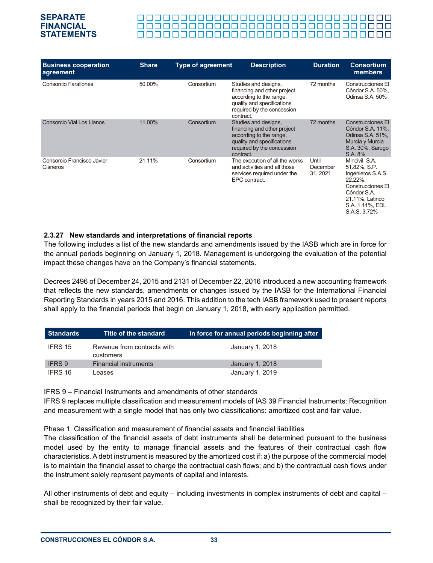#### 00000000000000000000000000000000

| <b>Business cooperation</b><br>agreement | <b>Share</b> | <b>Type of agreement</b> | <b>Description</b>                                                                                                                                      | <b>Duration</b>               | <b>Consortium</b><br>members                                                                                                                            |
|------------------------------------------|--------------|--------------------------|---------------------------------------------------------------------------------------------------------------------------------------------------------|-------------------------------|---------------------------------------------------------------------------------------------------------------------------------------------------------|
| Consorcio Farallones                     | 50.00%       | Consortium               | Studies and designs,<br>financing and other project<br>according to the range.<br>quality and specifications<br>required by the concession<br>contract. | 72 months                     | <b>Construcciones El</b><br>Cóndor S.A. 50%,<br>Odinsa S.A. 50%                                                                                         |
| Consorcio Vial Los Llanos                | 11.00%       | Consortium               | Studies and designs,<br>financing and other project<br>according to the range.<br>quality and specifications<br>required by the concession<br>contract. | 72 months                     | <b>Construcciones El</b><br>Cóndor S.A. 11%,<br>Odinsa S.A. 51%,<br>Murcia y Murcia<br>S.A. 30%, Sarugo<br>S.A. 8%                                      |
| Consorcio Francisco Javier<br>Cisneros   | 21.11%       | Consortium               | The execution of all the works<br>and activities and all those<br>services required under the<br>EPC contract.                                          | Until<br>December<br>31, 2021 | Mincivil S.A.<br>51.82%, S.P.<br>Ingenieros S.A.S.<br>22.22%.<br>Construcciones El<br>Cóndor S.A.<br>21.11%, Latinco<br>S.A. 1.11%, EDL<br>S.A.S. 3.72% |

#### **2.3.27 New standards and interpretations of financial reports**

The following includes a list of the new standards and amendments issued by the IASB which are in force for the annual periods beginning on January 1, 2018. Management is undergoing the evaluation of the potential impact these changes have on the Company's financial statements.

Decrees 2496 of December 24, 2015 and 2131 of December 22, 2016 introduced a new accounting framework that reflects the new standards, amendments or changes issued by the IASB for the International Financial Reporting Standards in years 2015 and 2016. This addition to the tech IASB framework used to present reports shall apply to the financial periods that begin on January 1, 2018, with early application permitted.

| Standards     | Title of the standard                    | In force for annual periods beginning after |
|---------------|------------------------------------------|---------------------------------------------|
| IFRS 15       | Revenue from contracts with<br>customers | January 1, 2018                             |
| <b>IFRS 9</b> | <b>Financial instruments</b>             | January 1, 2018                             |
| IFRS 16       | Leases                                   | January 1, 2019                             |

IFRS 9 – Financial Instruments and amendments of other standards

IFRS 9 replaces multiple classification and measurement models of IAS 39 Financial Instruments: Recognition and measurement with a single model that has only two classifications: amortized cost and fair value.

Phase 1: Classification and measurement of financial assets and financial liabilities

The classification of the financial assets of debt instruments shall be determined pursuant to the business model used by the entity to manage financial assets and the features of their contractual cash flow characteristics. A debt instrument is measured by the amortized cost if: a) the purpose of the commercial model is to maintain the financial asset to charge the contractual cash flows; and b) the contractual cash flows under the instrument solely represent payments of capital and interests.

All other instruments of debt and equity – including investments in complex instruments of debt and capital – shall be recognized by their fair value.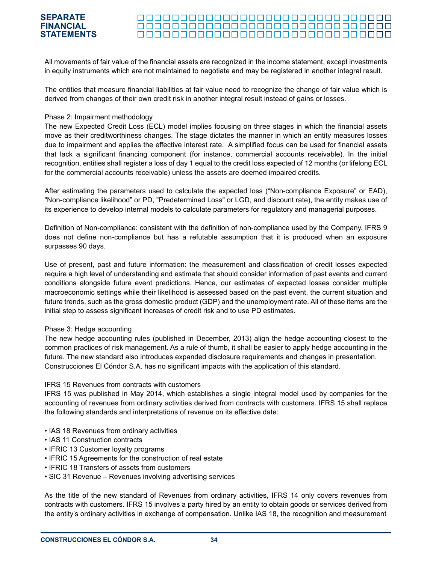#### 000000000000000000000000000000000

All movements of fair value of the financial assets are recognized in the income statement, except investments in equity instruments which are not maintained to negotiate and may be registered in another integral result.

The entities that measure financial liabilities at fair value need to recognize the change of fair value which is derived from changes of their own credit risk in another integral result instead of gains or losses.

#### Phase 2: Impairment methodology

The new Expected Credit Loss (ECL) model implies focusing on three stages in which the financial assets move as their creditworthiness changes. The stage dictates the manner in which an entity measures losses due to impairment and applies the effective interest rate. A simplified focus can be used for financial assets that lack a significant financing component (for instance, commercial accounts receivable). In the initial recognition, entities shall register a loss of day 1 equal to the credit loss expected of 12 months (or lifelong ECL for the commercial accounts receivable) unless the assets are deemed impaired credits.

After estimating the parameters used to calculate the expected loss ("Non-compliance Exposure" or EAD), "Non-compliance likelihood" or PD, "Predetermined Loss" or LGD, and discount rate), the entity makes use of its experience to develop internal models to calculate parameters for regulatory and managerial purposes.

Definition of Non-compliance: consistent with the definition of non-compliance used by the Company. IFRS 9 does not define non-compliance but has a refutable assumption that it is produced when an exposure surpasses 90 days.

Use of present, past and future information: the measurement and classification of credit losses expected require a high level of understanding and estimate that should consider information of past events and current conditions alongside future event predictions. Hence, our estimates of expected losses consider multiple macroeconomic settings while their likelihood is assessed based on the past event, the current situation and future trends, such as the gross domestic product (GDP) and the unemployment rate. All of these items are the initial step to assess significant increases of credit risk and to use PD estimates.

#### Phase 3: Hedge accounting

The new hedge accounting rules (published in December, 2013) align the hedge accounting closest to the common practices of risk management. As a rule of thumb, it shall be easier to apply hedge accounting in the future. The new standard also introduces expanded disclosure requirements and changes in presentation. Construcciones El Cóndor S.A. has no significant impacts with the application of this standard.

#### IFRS 15 Revenues from contracts with customers

IFRS 15 was published in May 2014, which establishes a single integral model used by companies for the accounting of revenues from ordinary activities derived from contracts with customers. IFRS 15 shall replace the following standards and interpretations of revenue on its effective date:

- IAS 18 Revenues from ordinary activities
- IAS 11 Construction contracts
- IFRIC 13 Customer loyalty programs
- IFRIC 15 Agreements for the construction of real estate
- IFRIC 18 Transfers of assets from customers
- SIC 31 Revenue Revenues involving advertising services

As the title of the new standard of Revenues from ordinary activities, IFRS 14 only covers revenues from contracts with customers. IFRS 15 involves a party hired by an entity to obtain goods or services derived from the entity's ordinary activities in exchange of compensation. Unlike IAS 18, the recognition and measurement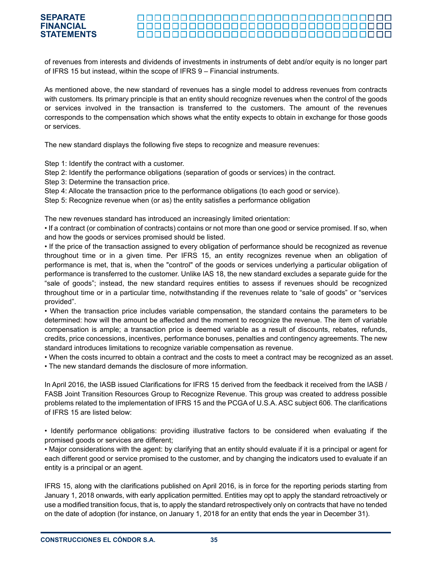#### <u> 0000000000000000000000000000000000</u> <u> 00000000000000000000000000000</u> <u> 000000000000000000000000000000000</u>

of revenues from interests and dividends of investments in instruments of debt and/or equity is no longer part of IFRS 15 but instead, within the scope of IFRS 9 – Financial instruments.

As mentioned above, the new standard of revenues has a single model to address revenues from contracts with customers. Its primary principle is that an entity should recognize revenues when the control of the goods or services involved in the transaction is transferred to the customers. The amount of the revenues corresponds to the compensation which shows what the entity expects to obtain in exchange for those goods or services.

The new standard displays the following five steps to recognize and measure revenues:

Step 1: Identify the contract with a customer.

Step 2: Identify the performance obligations (separation of goods or services) in the contract.

Step 3: Determine the transaction price.

Step 4: Allocate the transaction price to the performance obligations (to each good or service).

Step 5: Recognize revenue when (or as) the entity satisfies a performance obligation

The new revenues standard has introduced an increasingly limited orientation:

• If a contract (or combination of contracts) contains or not more than one good or service promised. If so, when and how the goods or services promised should be listed.

• If the price of the transaction assigned to every obligation of performance should be recognized as revenue throughout time or in a given time. Per IFRS 15, an entity recognizes revenue when an obligation of performance is met, that is, when the "control" of the goods or services underlying a particular obligation of performance is transferred to the customer. Unlike IAS 18, the new standard excludes a separate guide for the "sale of goods"; instead, the new standard requires entities to assess if revenues should be recognized throughout time or in a particular time, notwithstanding if the revenues relate to "sale of goods" or "services provided".

• When the transaction price includes variable compensation, the standard contains the parameters to be determined: how will the amount be affected and the moment to recognize the revenue. The item of variable compensation is ample; a transaction price is deemed variable as a result of discounts, rebates, refunds, credits, price concessions, incentives, performance bonuses, penalties and contingency agreements. The new standard introduces limitations to recognize variable compensation as revenue.

• When the costs incurred to obtain a contract and the costs to meet a contract may be recognized as an asset.

• The new standard demands the disclosure of more information.

In April 2016, the IASB issued Clarifications for IFRS 15 derived from the feedback it received from the IASB / FASB Joint Transition Resources Group to Recognize Revenue. This group was created to address possible problems related to the implementation of IFRS 15 and the PCGA of U.S.A. ASC subject 606. The clarifications of IFRS 15 are listed below:

• Identify performance obligations: providing illustrative factors to be considered when evaluating if the promised goods or services are different;

• Major considerations with the agent: by clarifying that an entity should evaluate if it is a principal or agent for each different good or service promised to the customer, and by changing the indicators used to evaluate if an entity is a principal or an agent.

IFRS 15, along with the clarifications published on April 2016, is in force for the reporting periods starting from January 1, 2018 onwards, with early application permitted. Entities may opt to apply the standard retroactively or use a modified transition focus, that is, to apply the standard retrospectively only on contracts that have no tended on the date of adoption (for instance, on January 1, 2018 for an entity that ends the year in December 31).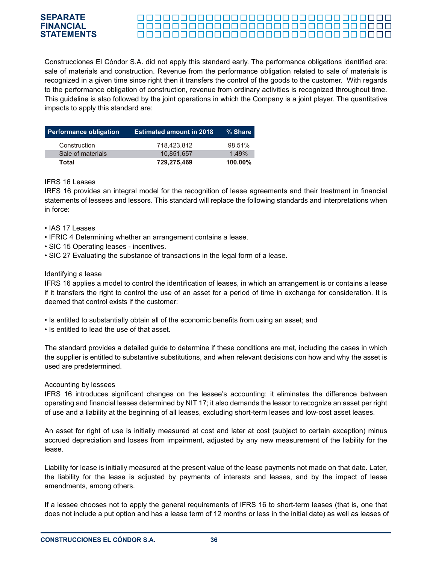#### **SEPARATE FINANCIAL** <u> 00000000000000000000000000000</u> **STATEMENTS**<u> 000000000000000000000000000000000</u>

Construcciones El Cóndor S.A. did not apply this standard early. The performance obligations identified are: sale of materials and construction. Revenue from the performance obligation related to sale of materials is recognized in a given time since right then it transfers the control of the goods to the customer. With regards to the performance obligation of construction, revenue from ordinary activities is recognized throughout time. This guideline is also followed by the joint operations in which the Company is a joint player. The quantitative impacts to apply this standard are:

| <b>Performance obligation</b> | <b>Estimated amount in 2018</b> | % Share    |
|-------------------------------|---------------------------------|------------|
| Construction                  | 718.423.812                     | 98.51%     |
| Sale of materials             | 10.851.657                      | 1.49%      |
| Total                         | 729,275,469                     | $100.00\%$ |

#### IFRS 16 Leases

IRFS 16 provides an integral model for the recognition of lease agreements and their treatment in financial statements of lessees and lessors. This standard will replace the following standards and interpretations when in force:

- IAS 17 Leases
- IFRIC 4 Determining whether an arrangement contains a lease.
- SIC 15 Operating leases incentives.
- SIC 27 Evaluating the substance of transactions in the legal form of a lease.

#### Identifying a lease

IFRS 16 applies a model to control the identification of leases, in which an arrangement is or contains a lease if it transfers the right to control the use of an asset for a period of time in exchange for consideration. It is deemed that control exists if the customer:

- Is entitled to substantially obtain all of the economic benefits from using an asset; and
- Is entitled to lead the use of that asset.

The standard provides a detailed guide to determine if these conditions are met, including the cases in which the supplier is entitled to substantive substitutions, and when relevant decisions con how and why the asset is used are predetermined.

#### Accounting by lessees

IFRS 16 introduces significant changes on the lessee's accounting: it eliminates the difference between operating and financial leases determined by NIT 17; it also demands the lessor to recognize an asset per right of use and a liability at the beginning of all leases, excluding short-term leases and low-cost asset leases.

An asset for right of use is initially measured at cost and later at cost (subject to certain exception) minus accrued depreciation and losses from impairment, adjusted by any new measurement of the liability for the lease.

Liability for lease is initially measured at the present value of the lease payments not made on that date. Later, the liability for the lease is adjusted by payments of interests and leases, and by the impact of lease amendments, among others.

If a lessee chooses not to apply the general requirements of IFRS 16 to short-term leases (that is, one that does not include a put option and has a lease term of 12 months or less in the initial date) as well as leases of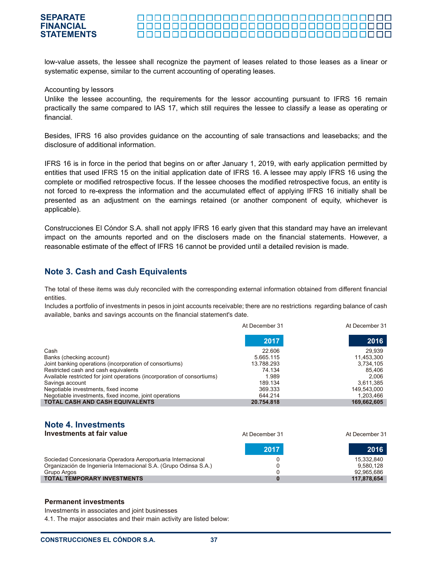#### <u> 00000000000000000000000000000</u>

low-value assets, the lessee shall recognize the payment of leases related to those leases as a linear or systematic expense, similar to the current accounting of operating leases.

#### Accounting by lessors

Unlike the lessee accounting, the requirements for the lessor accounting pursuant to IFRS 16 remain practically the same compared to IAS 17, which still requires the lessee to classify a lease as operating or financial.

Besides, IFRS 16 also provides guidance on the accounting of sale transactions and leasebacks; and the disclosure of additional information.

IFRS 16 is in force in the period that begins on or after January 1, 2019, with early application permitted by entities that used IFRS 15 on the initial application date of IFRS 16. A lessee may apply IFRS 16 using the complete or modified retrospective focus. If the lessee chooses the modified retrospective focus, an entity is not forced to re-express the information and the accumulated effect of applying IFRS 16 initially shall be presented as an adjustment on the earnings retained (or another component of equity, whichever is applicable).

Construcciones El Cóndor S.A. shall not apply IFRS 16 early given that this standard may have an irrelevant impact on the amounts reported and on the disclosers made on the financial statements. However, a reasonable estimate of the effect of IFRS 16 cannot be provided until a detailed revision is made.

## **Note 3. Cash and Cash Equivalents**

The total of these items was duly reconciled with the corresponding external information obtained from different financial entities.

Includes a portfolio of investments in pesos in joint accounts receivable; there are no restrictions regarding balance of cash available, banks and savings accounts on the financial statement's date.

|                                                                          | At December 31 | At December 31 |
|--------------------------------------------------------------------------|----------------|----------------|
|                                                                          | 2017           | 2016           |
| Cash                                                                     | 22,606         | 29.939         |
| Banks (checking account)                                                 | 5.665.115      | 11,453,300     |
| Joint banking operations (incorporation of consortiums)                  | 13.788.293     | 3,734,105      |
| Restricted cash and cash equivalents                                     | 74.134         | 85.406         |
| Available restricted for joint operations (incorporation of consortiums) | 1.989          | 2.006          |
| Savings account                                                          | 189.134        | 3,611,385      |
| Negotiable investments, fixed income                                     | 369.333        | 149,543,000    |
| Negotiable investments, fixed income, joint operations                   | 644.214        | 1,203,466      |
| <b>TOTAL CASH AND CASH EQUIVALENTS</b>                                   | 20.754.818     | 169,662,605    |

# **Note 4. Investments**

| Investments at fair value                                                                                                                        | At December 31 | At December 31                        |
|--------------------------------------------------------------------------------------------------------------------------------------------------|----------------|---------------------------------------|
|                                                                                                                                                  | 2017           | 2016                                  |
| Sociedad Concesionaria Operadora Aeroportuaria Internacional<br>Organización de Ingeniería Internacional S.A. (Grupo Odinsa S.A.)<br>Grupo Argos |                | 15,332,840<br>9.580.128<br>92,965,686 |
| <b>TOTAL TEMPORARY INVESTMENTS</b>                                                                                                               |                | 117,878,654                           |

#### **Permanent investments**

Investments in associates and joint businesses

4.1. The major associates and their main activity are listed below: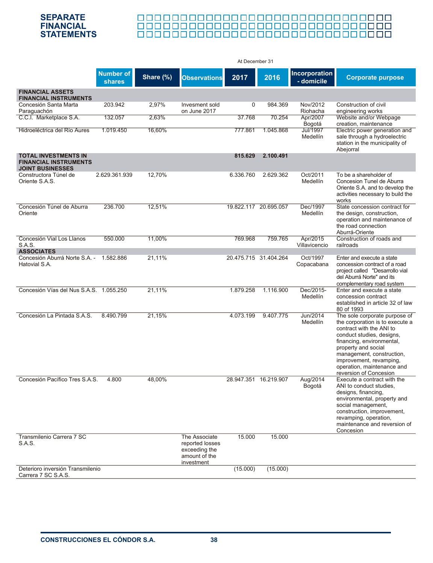# 00000000000000000000000000000000000 <u> 888888888888888888888888888888</u>

|                                                                                        |                                   |           |                                                                                  | At December 31        |                       |                                    |                                                                                                                                                                                                                                                                                               |
|----------------------------------------------------------------------------------------|-----------------------------------|-----------|----------------------------------------------------------------------------------|-----------------------|-----------------------|------------------------------------|-----------------------------------------------------------------------------------------------------------------------------------------------------------------------------------------------------------------------------------------------------------------------------------------------|
|                                                                                        | <b>Number of</b><br><b>shares</b> | Share (%) | <b>Observations</b>                                                              | 2017                  | 2016                  | <b>Incorporation</b><br>- domicile | <b>Corporate purpose</b>                                                                                                                                                                                                                                                                      |
| <b>FINANCIAL ASSETS</b><br><b>FINANCIAL INSTRUMENTS</b>                                |                                   |           |                                                                                  |                       |                       |                                    |                                                                                                                                                                                                                                                                                               |
| Concesión Santa Marta<br>Paraguachón                                                   | 203.942                           | 2,97%     | Invesment sold<br>on June 2017                                                   | 0                     | 984.369               | Nov/2012<br>Riohacha               | Construction of civil<br>engineering works                                                                                                                                                                                                                                                    |
| C.C.I. Marketplace S.A.                                                                | 132.057                           | 2,63%     |                                                                                  | 37.768                | 70.254                | Apr/2007<br>Bogotá                 | Website and/or Webpage<br>creation, maintenance                                                                                                                                                                                                                                               |
| Hidroeléctrica del Río Aures                                                           | 1.019.450                         | 16,60%    |                                                                                  | 777.861               | 1.045.868             | Jul/1997<br>Medellín               | Electric power generation and<br>sale through a hydroelectric<br>station in the municipality of<br>Abejorral                                                                                                                                                                                  |
| <b>TOTAL INVESTMENTS IN</b><br><b>FINANCIAL INSTRUMENTS</b><br><b>JOINT BUSINESSES</b> |                                   |           |                                                                                  | 815.629               | 2.100.491             |                                    |                                                                                                                                                                                                                                                                                               |
| Constructora Túnel de<br>Oriente S.A.S.                                                | 2.629.361.939                     | 12,70%    |                                                                                  | 6.336.760             | 2.629.362             | Oct/2011<br>Medellín               | To be a shareholder of<br>Concesion Tunel de Aburra<br>Oriente S.A. and to develop the<br>activities necessary to build the<br>works                                                                                                                                                          |
| Concesión Túnel de Aburra<br>Oriente                                                   | 236.700                           | 12,51%    |                                                                                  | 19.822.117 20.695.057 |                       | Dec/1997<br>Medellín               | State concession contract for<br>the design, construction,<br>operation and maintenance of<br>the road connection<br>Aburrá-Oriente                                                                                                                                                           |
| Concesión Vial Los Llanos<br>S.A.S.<br><b>ASSOCIATES</b>                               | 550.000                           | 11,00%    |                                                                                  | 769.968               | 759.765               | Apr/2015<br>Villavicencio          | Construction of roads and<br>railroads                                                                                                                                                                                                                                                        |
| Concesión Aburrá Norte S.A. - 1.582.886<br>Hatovial S.A.                               |                                   | 21,11%    |                                                                                  |                       | 20.475.715 31.404.264 | Oct/1997<br>Copacabana             | Enter and execute a state<br>concession contract of a road<br>project called "Desarrollo vial<br>del Aburrá Norte" and its<br>complementary road system                                                                                                                                       |
| Concesión Vías del Nus S.A.S. 1.055.250                                                |                                   | 21,11%    |                                                                                  | 1.879.258             | 1.116.900             | Dec/2015-<br>Medellín              | Enter and execute a state<br>concession contract<br>established in article 32 of law<br>80 of 1993                                                                                                                                                                                            |
| Concesión La Pintada S.A.S.                                                            | 8.490.799                         | 21,15%    |                                                                                  | 4.073.199             | 9.407.775             | Jun/2014<br>Medellín               | The sole corporate purpose of<br>the corporation is to execute a<br>contract with the ANI to<br>conduct studies, designs,<br>financing, environmental,<br>property and social<br>management, construction,<br>improvement, revamping,<br>operation, maintenance and<br>reversion of Concesion |
| Concesión Pacífico Tres S.A.S.                                                         | 4.800                             | 48,00%    |                                                                                  |                       | 28.947.351 16.219.907 | Aug/2014<br>Bogotá                 | Execute a contract with the<br>ANI to conduct studies,<br>designs, financing,<br>environmental, property and<br>social management,<br>construction, improvement,<br>revamping, operation,<br>maintenance and reversion of<br>Concesion                                                        |
| Transmilenio Carrera 7 SC<br>S.A.S.                                                    |                                   |           | The Associate<br>reported losses<br>exceeding the<br>amount of the<br>investment | 15.000                | 15.000                |                                    |                                                                                                                                                                                                                                                                                               |
| Deterioro inversión Transmilenio<br>Carrera 7 SC S.A.S.                                |                                   |           |                                                                                  | (15.000)              | (15.000)              |                                    |                                                                                                                                                                                                                                                                                               |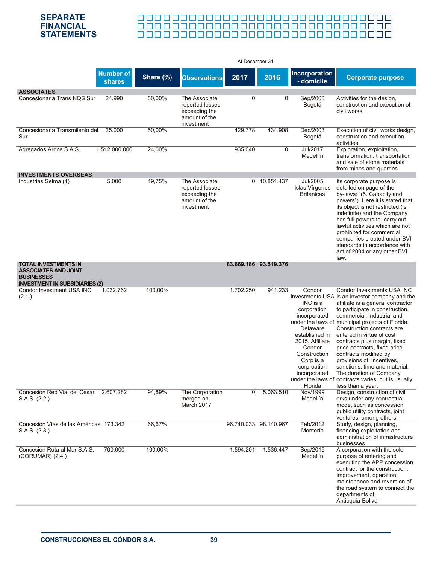# <u> 888888888888888888888888888888</u>

|                                                                                                                          |                            |           |                                                                                  | At December 31 |                       |                                                                                                                                                                                     |                                                                                                                                                                                                                                                                                                                                                                                                                                                                                                                                                                 |
|--------------------------------------------------------------------------------------------------------------------------|----------------------------|-----------|----------------------------------------------------------------------------------|----------------|-----------------------|-------------------------------------------------------------------------------------------------------------------------------------------------------------------------------------|-----------------------------------------------------------------------------------------------------------------------------------------------------------------------------------------------------------------------------------------------------------------------------------------------------------------------------------------------------------------------------------------------------------------------------------------------------------------------------------------------------------------------------------------------------------------|
|                                                                                                                          | <b>Number of</b><br>shares | Share (%) | <b>Observations</b>                                                              | 2017           | 2016                  | Incorporation<br>- domicile                                                                                                                                                         | <b>Corporate purpose</b>                                                                                                                                                                                                                                                                                                                                                                                                                                                                                                                                        |
| <b>ASSOCIATES</b><br>Concesionaria Trans NQS Sur                                                                         | 24.990                     | 50,00%    | The Associate<br>reported losses<br>exceeding the<br>amount of the<br>investment | 0              | 0                     | Sep/2003<br>Bogotá                                                                                                                                                                  | Activities for the design,<br>construction and execution of<br>civil works                                                                                                                                                                                                                                                                                                                                                                                                                                                                                      |
| Concesionaria Transmilenio del<br>Sur                                                                                    | 25.000                     | 50,00%    |                                                                                  | 429.778        | 434.908               | Dec/2003<br>Bogotá                                                                                                                                                                  | Execution of civil works design,<br>construction and execution<br>activities                                                                                                                                                                                                                                                                                                                                                                                                                                                                                    |
| Agregados Argos S.A.S.                                                                                                   | 1.512.000.000              | 24,00%    |                                                                                  | 935.040        | $\overline{0}$        | <b>Jul/2017</b><br>Medellín                                                                                                                                                         | Exploration, exploitation,<br>transformation, transportation<br>and sale of stone materials<br>from mines and quarries                                                                                                                                                                                                                                                                                                                                                                                                                                          |
| <b>INVESTMENTS OVERSEAS</b><br>Industrias Selma (1)                                                                      | 5.000                      | 49,75%    | The Associate<br>reported losses<br>exceeding the<br>amount of the<br>investment |                | 0 10.851.437          | Jul/2005<br>Islas Vírgenes<br><b>Británicas</b>                                                                                                                                     | Its corporate purpose is<br>detailed on page of the<br>by-laws: "(5. Capacity and<br>powers"). Here it is stated that<br>its object is not restricted (is<br>indefinite) and the Company<br>has full powers to carry out<br>lawful activities which are not<br>prohibited for commercial<br>companies created under BVI<br>standards in accordance with<br>act of 2004 or any other BVI<br>law.                                                                                                                                                                 |
| <b>TOTAL INVESTMENTS IN</b><br><b>ASSOCIATES AND JOINT</b><br><b>BUSINESSES</b><br><b>INVESTMENT IN SUBSIDIARIES (2)</b> |                            |           |                                                                                  |                | 83.669.186 93.519.376 |                                                                                                                                                                                     |                                                                                                                                                                                                                                                                                                                                                                                                                                                                                                                                                                 |
| Condor Investment USA INC<br>(2.1.)                                                                                      | 1.032.762                  | 100,00%   |                                                                                  | 1.702.250      | 941.233               | Condor<br>INC is a<br>corporation<br>incorporated<br>Delaware<br>established in<br>2015. Affiliate<br>Condor<br>Construction<br>Corp is a<br>corproation<br>incorporated<br>Florida | Condor Investments USA INC<br>Investments USA is an investor company and the<br>affiliate is a general contractor<br>to participate in construction,<br>commercial, industrial and<br>under the laws of municipal projects of Florida.<br>Construction contracts are<br>entered in virtue of cost<br>contracts plus margin, fixed<br>price contracts, fixed price<br>contracts modified by<br>provisions of: incentives,<br>sanctions, time and material.<br>The duration of Company<br>under the laws of contracts varies, but is usually<br>less than a year. |
| Concesión Red Vial del Cesar<br>S.A.S. (2.2.)                                                                            | 2.607.282                  | 94,89%    | The Corporation<br>merged on<br>March 2017                                       | 0              | 5.063.510             | <b>Nov/1999</b><br>Medellín                                                                                                                                                         | Design, construction of civil<br>orks under any contractual<br>mode, such as concession<br>public utility contracts, joint<br>ventures, among others                                                                                                                                                                                                                                                                                                                                                                                                            |
| Concesión Vías de las Américas 173.342<br>S.A.S. (2.3.)                                                                  |                            | 66,67%    |                                                                                  |                | 96.740.033 98.140.967 | Feb/2012<br>Montería                                                                                                                                                                | Study, design, planning,<br>financing exploitation and<br>administration of infrastructure<br>businesses                                                                                                                                                                                                                                                                                                                                                                                                                                                        |
| Concesión Ruta al Mar S.A.S.<br>$(CORUMAR)$ $(2.4.)$                                                                     | 700.000                    | 100,00%   |                                                                                  | 1.594.201      | 1.536.447             | Sep/2015<br>Medellín                                                                                                                                                                | A corporation with the sole<br>purpose of entering and<br>executing the APP concession<br>contract for the construction,<br>improvement, operation,<br>maintenance and reversion of<br>the road system to connect the<br>departments of<br>Antioquia-Bolivar                                                                                                                                                                                                                                                                                                    |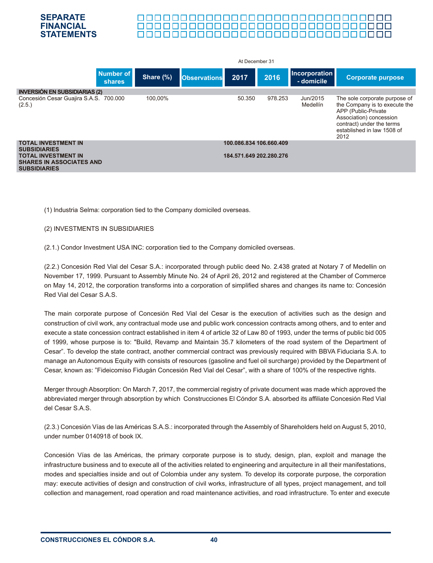

#### 00000000000000000000000000000000000

|                                                                                                                                           |           |                     | At December 31                                     |         |                                    |                                                                                                                                                                                     |
|-------------------------------------------------------------------------------------------------------------------------------------------|-----------|---------------------|----------------------------------------------------|---------|------------------------------------|-------------------------------------------------------------------------------------------------------------------------------------------------------------------------------------|
| <b>Number of</b><br><b>shares</b>                                                                                                         | Share (%) | <b>Observations</b> | 2017                                               | 2016    | <b>Incorporation</b><br>- domicile | <b>Corporate purpose</b>                                                                                                                                                            |
| <b>INVERSIÓN EN SUBSIDIARIAS (2)</b>                                                                                                      |           |                     |                                                    |         |                                    |                                                                                                                                                                                     |
| Concesión Cesar Guajira S.A.S. 700.000<br>(2.5.)                                                                                          | 100.00%   |                     | 50.350                                             | 978.253 | Jun/2015<br>Medellín               | The sole corporate purpose of<br>the Company is to execute the<br>APP (Public-Private<br>Association) concession<br>contract) under the terms<br>established in law 1508 of<br>2012 |
| <b>TOTAL INVESTMENT IN</b><br><b>SUBSIDIARIES</b><br><b>TOTAL INVESTMENT IN</b><br><b>SHARES IN ASSOCIATES AND</b><br><b>SUBSIDIARIES</b> |           |                     | 100.086.834 106.660.409<br>184.571.649 202.280.276 |         |                                    |                                                                                                                                                                                     |

(1) lndustria Selma: corporation tied to the Company domiciled overseas.

#### (2) INVESTMENTS IN SUBSIDIARIES

(2.1.) Condor Investment USA INC: corporation tied to the Company domiciled overseas.

(2.2.) Concesión Red Vial del Cesar S.A.: incorporated through public deed No. 2.438 grated at Notary 7 of Medellin on November 17, 1999. Pursuant to Assembly Minute No. 24 of April 26, 2012 and registered at the Chamber of Commerce on May 14, 2012, the corporation transforms into a corporation of simplified shares and changes its name to: Concesión Red Vial del Cesar S.A.S.

The main corporate purpose of Concesión Red Vial del Cesar is the execution of activities such as the design and construction of civil work, any contractual mode use and public work concession contracts among others, and to enter and execute a state concession contract established in item 4 of article 32 of Law 80 of 1993, under the terms of public bid 005 of 1999, whose purpose is to: "Build, Revamp and Maintain 35.7 kilometers of the road system of the Department of Cesar". To develop the state contract, another commercial contract was previously required with BBVA Fiduciaria S.A. to manage an Autonomous Equity with consists of resources (gasoline and fuel oil surcharge) provided by the Department of Cesar, known as: "Fideicomiso Fidugán Concesión Red Vial del Cesar", with a share of 100% of the respective rights.

Merger through Absorption: On March 7, 2017, the commercial registry of private document was made which approved the abbreviated merger through absorption by which Construcciones El Cóndor S.A. absorbed its affiliate Concesión Red Vial del Cesar S.A.S.

(2.3.) Concesión Vías de las Américas S.A.S.: incorporated through the Assembly of Shareholders held on August 5, 2010, under number 0140918 of book IX.

Concesión Vías de las Américas, the primary corporate purpose is to study, design, plan, exploit and manage the infrastructure business and to execute all of the activities related to engineering and arquitecture in all their manifestations, modes and specialties inside and out of Colombia under any system. To develop its corporate purpose, the corporation may: execute activities of design and construction of civil works, infrastructure of all types, project management, and toll collection and management, road operation and road maintenance activities, and road infrastructure. To enter and execute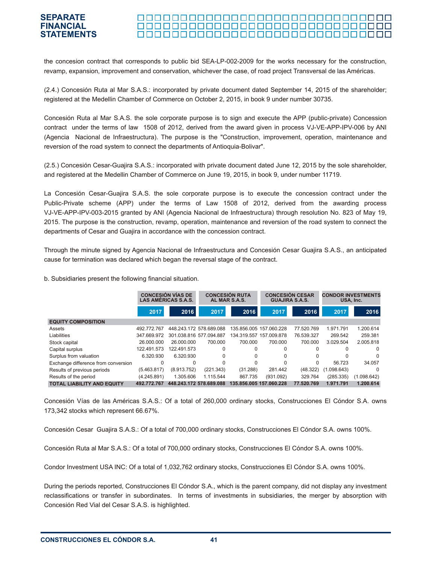#### 000000000000000000000000000000000 **STATEMENTS**

the concesion contract that corresponds to public bid SEA-LP-002-2009 for the works necessary for the construction, revamp, expansion, improvement and conservation, whichever the case, of road project Transversal de las Américas.

(2.4.) Concesión Ruta al Mar S.A.S.: incorporated by private document dated September 14, 2015 of the shareholder; registered at the Medellin Chamber of Commerce on October 2, 2015, in book 9 under number 30735.

Concesión Ruta al Mar S.A.S. the sole corporate purpose is to sign and execute the APP (public-private) Concession contract under the terms of law 1508 of 2012, derived from the award given in process VJ-VE-APP-IPV-006 by ANI (Agencia Nacional de Infraestructura). The purpose is the "Construction, improvement, operation, maintenance and reversion of the road system to connect the departments of Antioquia-Bolivar".

(2.5.) Concesión Cesar-Guajira S.A.S.: incorporated with private document dated June 12, 2015 by the sole shareholder, and registered at the Medellin Chamber of Commerce on June 19, 2015, in book 9, under number 11719.

La Concesión Cesar-Guajira S.A.S. the sole corporate purpose is to execute the concession contract under the Public-Private scheme (APP) under the terms of Law 1508 of 2012, derived from the awarding process VJ-VE-APP-IPV-003-2015 granted by ANI (Agencia Nacional de Infraestructura) through resolution No. 823 of May 19, 2015. The purpose is the construction, revamp, operation, maintenance and reversion of the road system to connect the departments of Cesar and Guajira in accordance with the concession contract.

Through the minute signed by Agencia Nacional de Infraestructura and Concesión Cesar Guajira S.A.S., an anticipated cause for termination was declared which began the reversal stage of the contract.

b. Subsidiaries present the following financial situation.

**SEPARATE FINANCIAL**

|                                     | <b>CONCESIÓN VÍAS DE</b><br><b>LAS AMÉRICAS S.A.S.</b> |                         | <b>CONCESIÓN RUTA</b><br>AL MAR S.A.S. |             | <b>CONCESIÓN CESAR</b><br><b>GUAJIRA S.A.S.</b> |            | <b>CONDOR INVESTMENTS</b><br>USA, Inc. |             |
|-------------------------------------|--------------------------------------------------------|-------------------------|----------------------------------------|-------------|-------------------------------------------------|------------|----------------------------------------|-------------|
|                                     | 2017                                                   | 2016                    | 2017                                   | 2016        | 2017                                            | 2016       | 2017                                   | 2016        |
| <b>EQUITY COMPOSITION</b>           |                                                        |                         |                                        |             |                                                 |            |                                        |             |
| Assets                              | 492.772.767                                            | 448.243.172 578.689.088 |                                        |             | 135.856.005 157.060.228                         | 77.520.769 | 1.971.791                              | 1.200.614   |
| Liabilities                         | 347.669.972                                            | 301.038.816 577.094.887 |                                        | 134.319.557 | 157.009.878                                     | 76.539.327 | 269.542                                | 259.381     |
| Stock capital                       | 26.000.000                                             | 26.000.000              | 700.000                                | 700.000     | 700.000                                         | 700.000    | 3.029.504                              | 2.005.818   |
| Capital surplus                     | 122.491.573                                            | 122.491.573             |                                        | 0           |                                                 |            |                                        | $\Omega$    |
| Surplus from valuation              | 6.320.930                                              | 6.320.930               |                                        | 0           | <sup>0</sup>                                    | 0          | 0                                      | $\Omega$    |
| Exchange difference from conversion | $\Omega$                                               | $\Omega$                |                                        | 0           |                                                 |            | 56.723                                 | 34.057      |
| Results of previous periods         | (5.463.817)                                            | (8.913.752)             | (221.343)                              | (31.288)    | 281.442                                         | (48.322)   | (1.098.643)                            | $\Omega$    |
| Results of the period               | (4.245.891)                                            | 1.305.606               | 1.115.544                              | 867.735     | (931.092)                                       | 329.764    | (285.335)                              | (1.098.642) |
| <b>TOTAL LIABILITY AND EQUITY</b>   | 492.772.767                                            | 448.243.172 578.689.088 |                                        |             | 135.856.005 157.060.228                         | 77.520.769 | 1.971.791                              | 1.200.614   |

Concesión Vías de las Américas S.A.S.: Of a total of 260,000 ordinary stocks, Construcciones El Cóndor S.A. owns 173,342 stocks which represent 66.67%.

Concesión Cesar Guajira S.A.S.: Of a total of 700,000 ordinary stocks, Construcciones El Cóndor S.A. owns 100%.

Concesión Ruta al Mar S.A.S.: Of a total of 700,000 ordinary stocks, Construcciones El Cóndor S.A. owns 100%.

Condor Investment USA INC: Of a total of 1,032,762 ordinary stocks, Construcciones El Cóndor S.A. owns 100%.

During the periods reported, Construcciones El Cóndor S.A., which is the parent company, did not display any investment reclassifications or transfer in subordinates. In terms of investments in subsidiaries, the merger by absorption with Concesión Red Vial del Cesar S.A.S. is highlighted.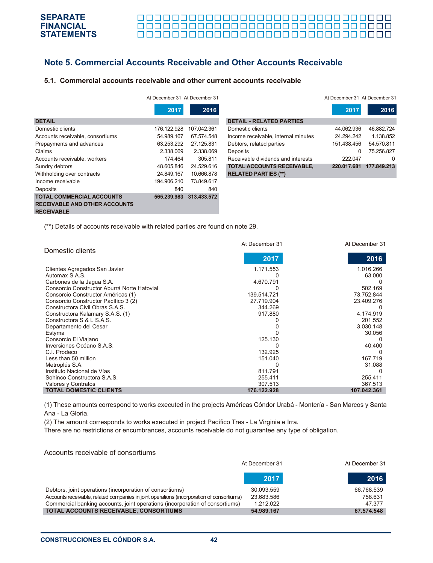# **Note 5. Commercial Accounts Receivable and Other Accounts Receivable**

#### **5.1. Commercial accounts receivable and other current accounts receivable**

|                                                                                               | At December 31 At December 31 |             |
|-----------------------------------------------------------------------------------------------|-------------------------------|-------------|
|                                                                                               | 2017                          | 2016        |
| <b>DETAIL</b>                                                                                 |                               |             |
| Domestic clients                                                                              | 176.122.928                   | 107.042.361 |
| Accounts receivable, consortiums                                                              | 54.989.167                    | 67.574.548  |
| Prepayments and advances                                                                      | 63.253.292                    | 27.125.831  |
| Claims                                                                                        | 2.338.069                     | 2.338.069   |
| Accounts receivable, workers                                                                  | 174.464                       | 305.811     |
| Sundry debtors                                                                                | 48.605.846                    | 24.529.616  |
| Withholding over contracts                                                                    | 24.849.167                    | 10.666.878  |
| Income receivable                                                                             | 194.906.210                   | 73.849.617  |
| Deposits                                                                                      | 840                           | 840         |
| <b>TOTAL COMMERCIAL ACCOUNTS</b><br><b>RECEIVABLE AND OTHER ACCOUNTS</b><br><b>RECEIVABLE</b> | 565.239.983                   | 313.433.572 |

| At December 31 At December 31 |             |                                     | At December 31 At December 31 |             |
|-------------------------------|-------------|-------------------------------------|-------------------------------|-------------|
| 2017                          | 2016        |                                     | 2017                          | 2016        |
|                               |             | <b>DETAIL - RELATED PARTIES</b>     |                               |             |
| 176.122.928                   | 107 042 361 | Domestic clients                    | 44.062.936                    | 46.882.724  |
| 54.989.167                    | 67.574.548  | Income receivable, internal minutes | 24.294.242                    | 1.138.852   |
| 63.253.292                    | 27.125.831  | Debtors, related parties            | 151.438.456                   | 54.570.811  |
| 2.338.069                     | 2.338.069   | Deposits                            | $\Omega$                      | 75.256.827  |
| 174.464                       | 305.811     | Receivable dividends and interests  | 222.047                       | 0           |
| 48.605.846                    | 24.529.616  | <b>TOTAL ACCOUNTS RECEIVABLE,</b>   | 220.017.681                   | 177.849.213 |
| 24.849.167                    | 10.666.878  | <b>RELATED PARTIES (**)</b>         |                               |             |

(\*\*) Details of accounts receivable with related parties are found on note 29.

|                                             | At December 31 | At December 31 |
|---------------------------------------------|----------------|----------------|
| Domestic clients                            |                |                |
|                                             | 2017           | 2016           |
| Clientes Agregados San Javier               | 1.171.553      | 1.016.266      |
| Automax S.A.S.                              |                | 63.000         |
| Carbones de la Jagua S.A.                   | 4.670.791      |                |
| Consorcio Constructor Aburrá Norte Hatovial |                | 502.169        |
| Consorcio Constructor Américas (1)          | 139.514.721    | 73.752.844     |
| Consorcio Constructor Pacífico 3 (2)        | 27.719.904     | 23.409.276     |
| Constructora Civil Obras S.A.S.             | 344.269        |                |
| Constructora Kalamary S.A.S. (1)            | 917.880        | 4.174.919      |
| Constructora S & L S.A.S.                   |                | 201.552        |
| Departamento del Cesar                      |                | 3.030.148      |
| Estyma                                      |                | 30.056         |
| Consorcio El Viajano                        | 125.130        |                |
| Inversiones Océano S.A.S.                   |                | 40.400         |
| C.I. Prodeco                                | 132.925        | $\Omega$       |
| Less than 50 million                        | 151.040        | 167.719        |
| Metroplús S.A.                              |                | 31.088         |
| Instituto Nacional de Vías                  | 811.791        |                |
| Sohinco Constructora S.A.S.                 | 255.411        | 255.411        |
| Valores y Contratos                         | 307.513        | 367.513        |
| <b>TOTAL DOMESTIC CLIENTS</b>               | 176.122.928    | 107.042.361    |

(1) These amounts correspond to works executed in the projects Américas Cóndor Urabá - Montería - San Marcos y Santa Ana - La Gloria.

(2) The amount corresponds to works executed in project Pacífico Tres - La Virginia e Irra.

There are no restrictions or encumbrances, accounts receivable do not guarantee any type of obligation.

#### Accounts receivable of consortiums

|                                                                                           | At December 31 |            |
|-------------------------------------------------------------------------------------------|----------------|------------|
|                                                                                           | 2017           | 2016       |
| Debtors, joint operations (incorporation of consortiums)                                  | 30.093.559     | 66.768.539 |
| Accounts receivable, related companies in joint operations (incorporation of consortiums) | 23.683.586     | 758.631    |
| Commercial banking accounts, joint operations (incorporation of consortiums)              | 1.212.022      | 47.377     |
| TOTAL ACCOUNTS RECEIVABLE, CONSORTIUMS                                                    | 54.989.167     | 67.574.548 |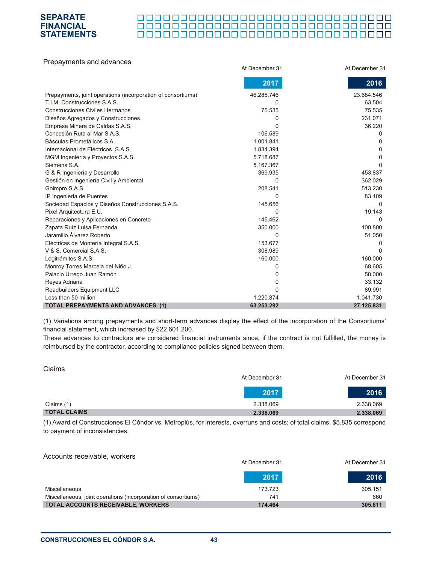### 000000000000000000000000000000 0000000000000000000000000000000000

| Prepayments and advances                                     |                |                |
|--------------------------------------------------------------|----------------|----------------|
|                                                              | At December 31 | At December 31 |
|                                                              | 2017           | 2016           |
| Prepayments, joint operations (incorporation of consortiums) | 46.285.746     | 23.684.546     |
| T.I.M. Construcciones S.A.S.                                 | 0              | 63.504         |
| <b>Construcciones Civiles Hermanos</b>                       | 75.535         | 75.535         |
| Diseños Agregados y Construcciones                           | 0              | 231.071        |
| Empresa Minera de Caldas S.A.S.                              | 0              | 36.220         |
| Concesión Ruta al Mar S.A.S.                                 | 106.589        | 0              |
| Básculas Prometálicos S.A.                                   | 1.001.841      | 0              |
| Internacional de Eléctricos S.A.S.                           | 1.834.394      | 0              |
| MGM Ingeniería y Proyectos S.A.S.                            | 5.718.687      | 0              |
| Siemens S.A.                                                 | 5.167.367      | 0              |
| G & R Ingeniería y Desarrollo                                | 369.935        | 453.837        |
| Gestión en Ingeniería Civil y Ambiental                      | 0              | 362.029        |
| Goimpro S.A.S.                                               | 208.541        | 513.230        |
| IP Ingeniería de Puentes                                     | 0              | 83.409         |
| Sociedad Espacios y Diseños Construcciones S.A.S.            | 145.656        | $\Omega$       |
| Pixel Arquitectura E.U.                                      | 0              | 19.143         |
| Reparaciones y Aplicaciones en Concreto                      | 145.462        | $\Omega$       |
| Zapata Ruíz Luisa Fernanda                                   | 350.000        | 100.800        |
| Jaramillo Álvarez Roberto                                    | 0              | 51.050         |
| Eléctricas de Montería Integral S.A.S.                       | 153.677        | 0              |
| V & S. Comercial S.A.S.                                      | 308.989        | <sup>0</sup>   |
| Logitrámites S.A.S.                                          | 160.000        | 160.000        |
| Monroy Torres Marcela del Niño J.                            | 0              | 68.605         |
| Palacio Urrego Juan Ramón                                    | 0              | 58.000         |
| Reyes Adriana                                                | 0              | 33.132         |
| Roadbuilders Equipment LLC                                   | 0              | 89.991         |
| Less than 50 million                                         | 1.220.874      | 1.041.730      |
| <b>TOTAL PREPAYMENTS AND ADVANCES (1)</b>                    | 63.253.292     | 27.125.831     |

(1) Variations among prepayments and short-term advances display the effect of the incorporation of the Consortiums' financial statement, which increased by \$22.601.200.

These advances to contractors are considered financial instruments since, if the contract is not fulfilled, the money is reimbursed by the contractor, according to compliance policies signed between them.

| Claims              |                |                |
|---------------------|----------------|----------------|
|                     | At December 31 | At December 31 |
|                     | 2017           | 2016           |
| Claims (1)          | 2.338.069      | 2.338.069      |
| <b>TOTAL CLAIMS</b> | 2.338.069      | 2.338.069      |

(1) Award of Construcciones El Cóndor vs. Metroplús, for interests, overruns and costs; of total claims, \$5.835 correspond to payment of inconsistencies.

| Accounts receivable, workers                                   | At December 31 | At December 31 |
|----------------------------------------------------------------|----------------|----------------|
|                                                                | 2017           | 2016           |
| Miscellaneous                                                  | 173.723        | 305.151        |
| Miscellaneous, joint operations (incorporation of consortiums) | 741            | 660            |
| TOTAL ACCOUNTS RECEIVABLE, WORKERS                             | 174.464        | 305.811        |

**SEPARATE FINANCIAL STATEMENTS**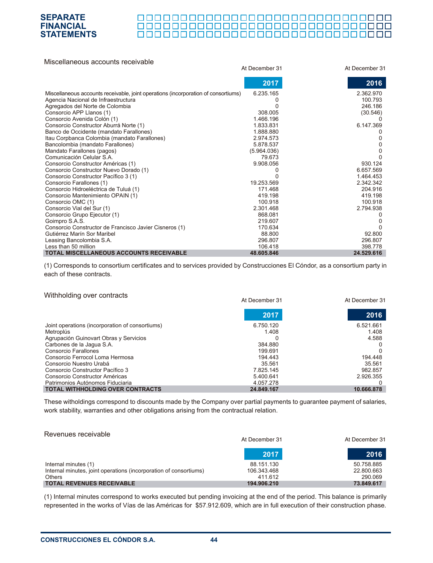### 0000000000000000000000000000000

| Miscellaneous accounts receivable                                                  |                |                |
|------------------------------------------------------------------------------------|----------------|----------------|
|                                                                                    | At December 31 | At December 31 |
|                                                                                    | 2017           | 2016           |
| Miscellaneous accounts receivable, joint operations (incorporation of consortiums) | 6.235.165      | 2.362.970      |
| Agencia Nacional de Infraestructura                                                |                | 100.793        |
| Agregados del Norte de Colombia                                                    |                | 246.186        |
| Consorcio APP Llanos (1)                                                           | 308.005        | (30.546)       |
| Consorcio Avenida Colón (1)                                                        | 1.466.196      |                |
| Consorcio Constructor Aburrá Norte (1)                                             | 1.833.831      | 6.147.369      |
| Banco de Occidente (mandato Farallones)                                            | 1.888.880      |                |
| Itau Corpbanca Colombia (mandato Farallones)                                       | 2.974.573      |                |
| Bancolombia (mandato Farallones)                                                   | 5.878.537      |                |
| Mandato Farallones (pagos)                                                         | (5.964.036)    |                |
| Comunicación Celular S.A.                                                          | 79.673         |                |
| Consorcio Constructor Américas (1)                                                 | 9.908.056      | 930.124        |
| Consorcio Constructor Nuevo Dorado (1)                                             |                | 6.657.569      |
| Consorcio Constructor Pacífico 3 (1)                                               |                | 1.464.453      |
| Consorcio Farallones (1)                                                           | 19.253.569     | 2.342.342      |
| Consorcio Hidroeléctrica de Tuluá (1)                                              | 171.468        | 204.916        |
| Consorcio Mantenimiento OPAIN (1)                                                  | 419.198        | 419.198        |
| Consorcio OMC (1)                                                                  | 100.918        | 100.918        |
| Consorcio Vial del Sur (1)                                                         | 2.301.468      | 2.794.938      |
| Consorcio Grupo Ejecutor (1)                                                       | 868.081        |                |
| Goimpro S.A.S.                                                                     | 219.607        |                |
| Consorcio Constructor de Francisco Javier Cisneros (1)                             | 170.634        |                |
| Gutiérrez Marín Sor Maribel                                                        | 88,800         | 92.800         |
| Leasing Bancolombia S.A.                                                           | 296.807        | 296.807        |
| Less than 50 million                                                               | 106.418        | 398.778        |
| <b>TOTAL MISCELLANEOUS ACCOUNTS RECEIVABLE</b>                                     | 48.605.846     | 24.529.616     |

(1) Corresponds to consortium certificates and to services provided by Construcciones El Cóndor, as a consortium party in each of these contracts.

At December 31 At December 31

#### Withholding over contracts

|                                                 | ur neremper a l | UL DECENIDEI OT |
|-------------------------------------------------|-----------------|-----------------|
|                                                 | 2017            | 2016            |
| Joint operations (incorporation of consortiums) | 6.750.120       | 6.521.661       |
| Metroplús                                       | 1.408           | 1.408           |
| Agrupación Guinovart Obras y Servicios          |                 | 4.588           |
| Carbones de la Jagua S.A.                       | 384.880         |                 |
| Consorcio Farallones                            | 199.691         |                 |
| Consorcio Ferrocol Loma Hermosa                 | 194,443         | 194.448         |
| Consorcio Nuestro Urabá                         | 35.561          | 35.561          |
| Consorcio Constructor Pacífico 3                | 7.825.145       | 982.857         |
| Consorcio Constructor Américas                  | 5.400.641       | 2.926.355       |
| Patrimonios Autónomos Fiduciaria                | 4.057.278       |                 |
| <b>TOTAL WITHHOLDING OVER CONTRACTS</b>         | 24.849.167      | 10.666.878      |

These witholdings correspond to discounts made by the Company over partial payments to guarantee payment of salaries, work stability, warranties and other obligations arising from the contractual relation.

| Revenues receivable                                                                                                                     | At December 31                                      | At December 31                                    |
|-----------------------------------------------------------------------------------------------------------------------------------------|-----------------------------------------------------|---------------------------------------------------|
|                                                                                                                                         | 2017                                                | 2016                                              |
| Internal minutes (1)<br>Internal minutes, joint operations (incorporation of consortiums)<br>Others<br><b>TOTAL REVENUES RECEIVABLE</b> | 88.151.130<br>106.343.468<br>411.612<br>194.906.210 | 50.758.885<br>22.800.663<br>290.069<br>73.849.617 |

(1) Internal minutes correspond to works executed but pending invoicing at the end of the period. This balance is primarily represented in the works of Vías de las Américas for \$57.912.609, which are in full execution of their construction phase.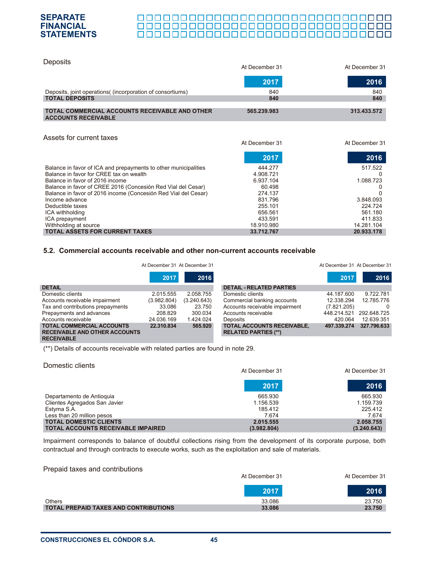### 

| <b>Deposits</b>                                                                     | At December 31 | At December 31 |
|-------------------------------------------------------------------------------------|----------------|----------------|
|                                                                                     | 2017           | 2016           |
| Deposits, joint operations( (incorporation of consortiums)                          | 840            | 840            |
| <b>TOTAL DEPOSITS</b>                                                               | 840            | 840            |
| <b>TOTAL COMMERCIAL ACCOUNTS RECEIVABLE AND OTHER</b><br><b>ACCOUNTS RECEIVABLE</b> | 565.239.983    | 313.433.572    |
| Assets for current taxes                                                            | At December 31 | At December 31 |
|                                                                                     | 2017           | 2016           |
| Balance in favor of ICA and prepayments to other municipalities                     | 444.277        | 517.522        |
| Balance in favor for CREE tax on wealth                                             | 4.908.721      |                |
| Balance in favor of 2016 income                                                     | 6.937.104      | 1.088.723      |
| Balance in favor of CREE 2016 (Concesión Red Vial del Cesar)                        | 60.498         |                |
| Balance in favor of 2016 income (Concesión Red Vial del Cesar)                      | 274.137        |                |
| Income advance                                                                      | 831.796        | 3.848.093      |
| Deductible taxes                                                                    | 255.101        | 224.724        |
| ICA withholding                                                                     | 656.561        | 561.180        |
| ICA prepayment                                                                      | 433.591        | 411.833        |
| Withholding at source                                                               | 18.910.980     | 14.281.104     |
| <b>TOTAL ASSETS FOR CURRENT TAXES</b>                                               | 33.712.767     | 20.933.178     |

#### **5.2. Commercial accounts receivable and other non-current accounts receivable**

|                                                                          | At December 31 At December 31 |             |                                                                  | At December 31 At December 31 |             |
|--------------------------------------------------------------------------|-------------------------------|-------------|------------------------------------------------------------------|-------------------------------|-------------|
|                                                                          | 2017                          | 2016        |                                                                  | 2017                          | 2016        |
| <b>DETAIL</b>                                                            |                               |             | <b>DETAIL - RELATED PARTIES</b>                                  |                               |             |
| Domestic clients                                                         | 2.015.555                     | 2.058.755   | Domestic clients                                                 | 44.187.600                    | 9.722.781   |
| Accounts receivable impairment                                           | (3.982.804)                   | (3.240.643) | Commercial banking accounts                                      | 12.338.294                    | 12.785.776  |
| Tax and contributions prepayments                                        | 33.086                        | 23.750      | Accounts receivable impairment                                   | (7.821.205)                   | 0           |
| Prepayments and advances                                                 | 208.829                       | 300.034     | Accounts receivable                                              | 448.214.521                   | 292.648.725 |
| Accounts receivable                                                      | 24.036.169                    | 1.424.024   | <b>Deposits</b>                                                  | 420.064                       | 12.639.351  |
| <b>TOTAL COMMERCIAL ACCOUNTS</b><br><b>RECEIVABLE AND OTHER ACCOUNTS</b> | 22.310.834                    | 565,920     | <b>TOTAL ACCOUNTS RECEIVABLE,</b><br><b>RELATED PARTIES (**)</b> | 497.339.274                   | 327.796.633 |

(\*\*) Details of accounts receivable with related parties are found in note 29.

| Domestic clients                          | At December 31 | At December 31 |
|-------------------------------------------|----------------|----------------|
|                                           | 2017           | 2016           |
| Departamento de Antioquia                 | 665.930        | 665.930        |
| Clientes Agregados San Javier             | 1.156.539      | 1.159.739      |
| Estyma S.A.                               | 185.412        | 225.412        |
| Less than 20 million pesos                | 7.674          | 7.674          |
| <b>TOTAL DOMESTIC CLIENTS</b>             | 2.015.555      | 2.058.755      |
| <b>TOTAL ACCOUNTS RECEIVABLE IMPAIRED</b> | (3.982.804)    | (3.240.643)    |

Impairment corresponds to balance of doubtful collections rising from the development of its corporate purpose, both contractual and through contracts to execute works, such as the exploitation and sale of materials.

#### Prepaid taxes and contributions

**RECEIVABLE**

|                                              | At December 31 | At December 31 |
|----------------------------------------------|----------------|----------------|
|                                              | 2017           | 2016           |
| <b>Others</b>                                | 33.086         | 23.750         |
| <b>TOTAL PREPAID TAXES AND CONTRIBUTIONS</b> | 33.086         | 23.750         |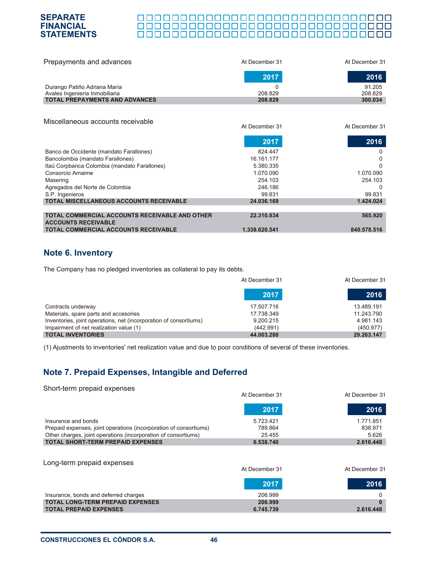#### **SEPARATE** 000000000000000000000000000000 **FINANCIAL** 0000000000000000000000000000000000 **STATEMENTS**

| Prepayments and advances              | At December 31 | At December 31 |
|---------------------------------------|----------------|----------------|
|                                       | 2017           | 2016           |
| Durango Patiño Adriana María          |                | 91.205         |
| Avales Ingeniería Inmobiliaria        | 208.829        | 208.829        |
| <b>TOTAL PREPAYMENTS AND ADVANCES</b> | 208.829        | 300.034        |

At December 31 At December 31

#### Miscellaneous accounts receivable

|                                                                                     | 2017          | 2016        |
|-------------------------------------------------------------------------------------|---------------|-------------|
| Banco de Occidente (mandato Farallones)                                             | 824.447       | 0           |
| Bancolombia (mandato Farallones)                                                    | 16.161.177    | 0           |
| Itaú Corpbanca Colombia (mandato Farallones)                                        | 5.380.335     | $\Omega$    |
| Consorcio Amaime                                                                    | 1.070.090     | 1.070.090   |
| Masering                                                                            | 254.103       | 254.103     |
| Agregados del Norte de Colombia                                                     | 246,186       | $\Omega$    |
| S.P. Ingenieros                                                                     | 99.831        | 99.831      |
| <b>TOTAL MISCELLANEOUS ACCOUNTS RECEIVABLE</b>                                      | 24.036.169    | 1.424.024   |
|                                                                                     |               |             |
| <b>TOTAL COMMERCIAL ACCOUNTS RECEIVABLE AND OTHER</b><br><b>ACCOUNTS RECEIVABLE</b> | 22.310.834    | 565.920     |
| <b>TOTAL COMMERCIAL ACCOUNTS RECEIVABLE</b>                                         | 1.338.620.541 | 840.578.516 |

# **Note 6. Inventory**

The Company has no pledged inventories as collateral to pay its debts.

|                                                                   | At December 31 | At December 31 |
|-------------------------------------------------------------------|----------------|----------------|
|                                                                   | 2017           | 2016           |
| Contracts underway                                                | 17.507.716     | 13.489.191     |
| Materials, spare parts and accesories                             | 17.738.349     | 11.243.790     |
| Inventories, joint operations, net (incorporation of consortiums) | 9.200.215      | 4.981.143      |
| Impairment of net realization value (1)                           | (442.991)      | (450.977)      |
| <b>TOTAL INVENTORIES</b>                                          | 44.003.288     | 29.263.147     |

(1) Ajustments to inventories' net realization value and due to poor conditions of several of these inventories.

# **Note 7. Prepaid Expenses, Intangible and Deferred**

| Short-term prepaid expenses                                       |                |                |
|-------------------------------------------------------------------|----------------|----------------|
|                                                                   | At December 31 | At December 31 |
|                                                                   | 2017           | 2016           |
| Insurance and bonds                                               | 5.723.421      | 1.771.851      |
| Prepaid expenses, joint operations (incorporation of consortiums) | 789.864        | 838.971        |
| Other charges, joint operations (incorporation of consortiums)    | 25.455         | 5.626          |
| <b>TOTAL SHORT-TERM PREPAID EXPENSES</b>                          | 6.538.740      | 2.616.448      |
| Long-term prepaid expenses                                        |                |                |
|                                                                   | At December 31 | At December 31 |
|                                                                   | 2017           | 2016           |
| Insurance, bonds and deferred charges                             | 206.999        | $\Omega$       |
| <b>TOTAL LONG-TERM PREPAID EXPENSES</b>                           | 206.999        |                |
| <b>TOTAL PREPAID EXPENSES</b>                                     | 6.745.739      | 2.616.448      |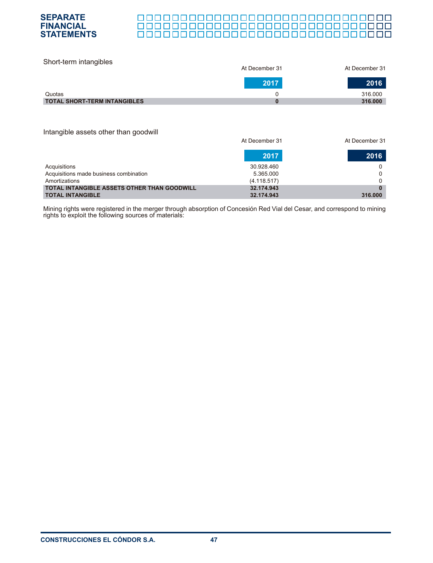

| Short-term intangibles              | At December 31 | At December 31 |
|-------------------------------------|----------------|----------------|
|                                     | 2017           | 2016           |
| Quotas                              |                | 316,000        |
| <b>TOTAL SHORT-TERM INTANGIBLES</b> |                | 316,000        |

#### Intangible assets other than goodwill

|                                                    | At December 31 | At December 31 |
|----------------------------------------------------|----------------|----------------|
|                                                    | 2017           | 2016           |
| Acquisitions                                       | 30.928.460     |                |
| Acquisitions made business combination             | 5.365.000      |                |
| Amortizations                                      | (4.118.517)    |                |
| <b>TOTAL INTANGIBLE ASSETS OTHER THAN GOODWILL</b> | 32.174.943     | 0              |
| <b>TOTAL INTANGIBLE</b>                            | 32.174.943     | 316,000        |

Mining rights were registered in the merger through absorption of Concesión Red Vial del Cesar, and correspond to mining rights to exploit the following sources of materials: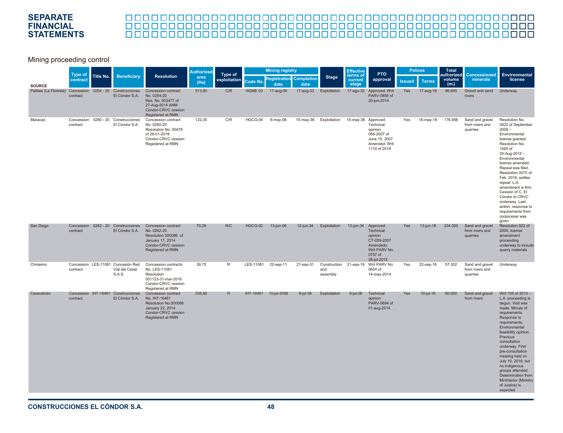# 

#### Mining proceeding control

|                        |                                  |           |                                                                |                                                                                                                              | <b>Authorized</b> | Type of      | <b>Mining registry</b> |                                        |             |                 | <b>Effective</b>             | <b>PTO</b>                                                                                               |               | <b>Polices</b> | Total<br>authorized         | <b>Concessioned</b>                            | <b>Environmental</b>                                                                                                                                                                                                                                                                                                                                                                                           |
|------------------------|----------------------------------|-----------|----------------------------------------------------------------|------------------------------------------------------------------------------------------------------------------------------|-------------------|--------------|------------------------|----------------------------------------|-------------|-----------------|------------------------------|----------------------------------------------------------------------------------------------------------|---------------|----------------|-----------------------------|------------------------------------------------|----------------------------------------------------------------------------------------------------------------------------------------------------------------------------------------------------------------------------------------------------------------------------------------------------------------------------------------------------------------------------------------------------------------|
| <b>SOURCE</b>          | <b>Type of</b><br>contract       | Title No. | <b>Beneficiary</b>                                             | <b>Resolution</b>                                                                                                            | area<br>(Ha)      | exploitation | Code No.               | <b>Registration Completion</b><br>date | date        | <b>Stage</b>    | terms of<br>current<br>stage | approval                                                                                                 | <b>Issued</b> | <b>Terms</b>   | volume<br>(m <sub>s</sub> ) | minerals                                       | license                                                                                                                                                                                                                                                                                                                                                                                                        |
| Pailitas (La Floresta) | Concession 0254 - 20<br>contract |           | Construcciones<br>El Cóndor S.A.                               | Concession contract<br>No. 0254-20<br>Res. No. 003477 of<br>27-Aug-2014 ANM<br>Condor-CRVC cession<br>Registered at RMN      | 513.80            | C/R          | HGME-03                | 17-aug-06                              | 17-aug-33   | Exploitation    | 17-ago-33                    | Approved: Writ<br>PARV-0856 of<br>20-jun-2014                                                            | Yes           | 17-aug-18      | 96.840                      | Gravel and sand<br>rivers                      | Underway.                                                                                                                                                                                                                                                                                                                                                                                                      |
| Maracas                | Concession<br>contract           |           | 0260 - 20 Construcciones<br>El Cóndor S.A.                     | Concession contract<br>No. 0260-20<br>Resolution No. 00479<br>of 29-01-2016<br>Cóndor-CRVC cession<br>Registered at RMN      | 122,35            | C/R          | HGCG-04                | 6-may-06                               | 15-may-36   | Exploitation    | 15-may-36 Approved:          | Technical<br>opinion<br>058-2007 of<br>June 15, 2007<br>Amended: Writ<br>1110 of 2014                    | Yes           | 16-may-18      | 176.956                     | Sand and gravel<br>from rivers and<br>quarries | Resolution No.<br>0822 of September<br>$2008 -$<br>Environmental<br>license granted.<br>Resolution No.<br>1065 of<br>25-Aug-2015-<br>Environmental<br>license amended.<br>Repeal was filed.<br>Resolution 0075 of<br>Feb. 2016, settles<br>repeal. L.A.<br>amendment is firm.<br>Cession of C. El<br>Cóndor to CRVC<br>underway. Last<br>action: response to<br>requirements from<br>corpocesar was<br>given   |
| San Diego              | contract                         |           | Concession 0262 - 20 Construcciones<br>El Cóndor S.A.          | Concession contract<br>No. 0262-20<br>Resolution 000086 of<br>January 17, 2014<br>Condor-CRVC cession<br>Registered at RMN   | 70.29             | R/C          | HGCG-02                | 13-jun-06                              | 12-jun-34   | Exploitation    | 13-jun-34                    | Approved:<br>Technical<br>opinion<br>CT-059-2007<br>Amendedo:<br>Writ PARV No.<br>0757 of<br>28-jul-2015 | <b>Yes</b>    | 13-jun-18      | 234.000                     | Sand and gravel<br>from rivers and<br>quarries | Resolution 822 of<br>2008, license<br>amendment<br>proceeding<br>underway to include<br>quarry materials                                                                                                                                                                                                                                                                                                       |
| Chiriaimo              | contract                         |           | Concession LES-11081 Concesión Red<br>Vial del Cesar<br>S.A.S. | Concession contracto<br>No. LES-11081<br>Resolution<br>001123-31-mar-2016<br>Condor-CRVC cession<br>Registered at RMN        | 39,75             | R            | LES-11081              | 22-sep-11                              | 21-sep-31   | and<br>assembly |                              | Construction 21-sep-19 Writ PARV No.<br>0654 of<br>14-may-2014                                           | Yes           | 22-sep-18      | 57.302                      | Sand and gravel<br>from rivers and<br>quarries | Underway                                                                                                                                                                                                                                                                                                                                                                                                       |
| Caracolicito           | Concession IHT-16461<br>contract |           | Construcciones<br>El Cóndor S.A.                               | Concession contract<br>No. IHT-16461<br>Resolution No.000098<br>January 22, 2014<br>Condor-CRVC cession<br>Registered at RMN | 335,85            | $\mathsf{R}$ |                        | IHT-16461 10-jul-2008                  | $9$ -jul-38 | Exploitation    | $9$ -jul-38                  | Technical<br>opinion<br>PARV-0694 of<br>01-aug-2014                                                      | Yes           | $10$ -jul-18   | 60.000                      | Sand and gravel<br>from rivers                 | Writ 105 of 2015 -<br>L.A. proceeding is<br>begun. Visit was<br>made. Minute of<br>requirements.<br>Response to<br>requirements.<br>Environmental<br>feasibility opinion.<br>Previous<br>consultation<br>underway. First<br>pre-consultation<br>meeting held on<br>July 10, 2016, but<br>no indigenous<br>groups attended.<br>Determination from<br><b>Mininterior (Ministry</b><br>of Justice) is<br>expected |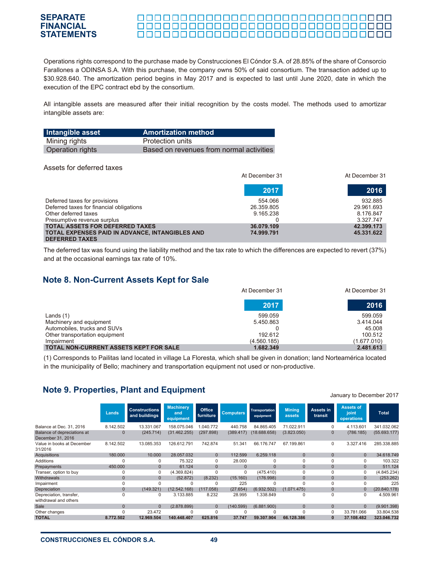Operations rights correspond to the purchase made by Construcciones El Cóndor S.A. of 28.85% of the share of Consorcio Farallones a ODINSA S.A. With this purchase, the company owns 50% of said consortium. The transaction added up to \$30.928.640. The amortization period begins in May 2017 and is expected to last until June 2020, date in which the execution of the EPC contract ebd by the consortium.

All intangible assets are measured after their initial recognition by the costs model. The methods used to amortizar intangible assets are:

| Intangible asset | <b>Amortization method</b>               |
|------------------|------------------------------------------|
| Mining rights    | Protection units                         |
| Operation rights | Based on revenues from normal activities |

#### Assets for deferred taxes

|                                                 | At December 31 | At December 31 |
|-------------------------------------------------|----------------|----------------|
|                                                 | 2017           | 2016           |
| Deferred taxes for provisions                   | 554.066        | 932.885        |
| Deferred taxes for financial obligations        | 26.359.805     | 29.961.693     |
| Other deferred taxes                            | 9.165.238      | 8.176.847      |
| Presumptive revenue surplus                     |                | 3.327.747      |
| <b>TOTAL ASSETS FOR DEFERRED TAXES</b>          | 36.079.109     | 42.399.173     |
| TOTAL EXPENSES PAID IN ADVANCE, INTANGIBLES AND | 74.999.791     | 45.331.622     |
| <b>DEFERRED TAXES</b>                           |                |                |

The deferred tax was found using the liability method and the tax rate to which the differences are expected to revert (37%) and at the occasional earnings tax rate of 10%.

# **Note 8. Non-Current Assets Kept for Sale**

|                                               | At December 31 | At December 31 |
|-----------------------------------------------|----------------|----------------|
|                                               | 2017           | 2016           |
| Lands $(1)$                                   | 599.059        | 599.059        |
| Machinery and equipment                       | 5.450.863      | 3.414.044      |
| Automobiles, trucks and SUVs                  |                | 45.008         |
| Other transportation equipment                | 192.612        | 100.512        |
| Impairment                                    | (4.560.185)    | (1.677.010)    |
| <b>TOTAL NON-CURRENT ASSETS KEPT FOR SALE</b> | 1.682.349      | 2.481.613      |

(1) Corresponds to Pailitas land located in village La Floresta, which shall be given in donation; land Norteamérica located in the municipality of Bello; machinery and transportation equipment not used or non-productive.

# **Note 9. Properties, Plant and Equipment**

|                                                  | Lands        | <b>Constructions</b><br>and buildings | <b>Machinery</b><br>and<br>equipment | Office<br>furniture | <b>Computers</b> | Transportation<br>equipment | <b>Mining</b><br>assets | Assets in<br>transit | <b>Assets of</b><br>joint<br>operations | <b>Total</b> |
|--------------------------------------------------|--------------|---------------------------------------|--------------------------------------|---------------------|------------------|-----------------------------|-------------------------|----------------------|-----------------------------------------|--------------|
| Balance at Dec. 31, 2016                         | 8.142.502    | 13.331.067                            | 158.075.046                          | 1.040.772           | 440.758          | 84.865.405                  | 71.022.911              | 0                    | 4.113.601                               | 341.032.062  |
| Balance of depreciations at<br>December 31, 2016 | $\Omega$     | (245.714)                             | (31.462.255)                         | (297.898)           | (389.417)        | (18.688.658)                | (3.823.050)             | $\mathbf{0}$         | (786.185)                               | (55.693.177) |
| Value in books at December<br>31/2016            | 8.142.502    | 13.085.353                            | 126.612.791                          | 742.874             | 51.341           | 66.176.747                  | 67.199.861              | 0                    | 3.327.416                               | 285.338.885  |
| <b>Acquisitions</b>                              | 180,000      | 10,000                                | 28.057.032                           | $\mathbf{0}$        | 112.599          | 6.259.118                   | $\mathbf{0}$            | $\mathbf{0}$         | $\mathbf{0}$                            | 34.618.749   |
| Additions                                        |              | U                                     | 75.322                               | $\Omega$            | 28,000           | $\Omega$                    | 0                       | 0                    | $\Omega$                                | 103.322      |
| Prepayments                                      | 450.000      | $\Omega$                              | 61.124                               | $\Omega$            | $\Omega$         | $\Omega$                    | $\Omega$                | $\Omega$             | $\mathbf{0}$                            | 511.124      |
| Transer, option to buy                           | 0            | 0                                     | (4.369.824)                          | $\Omega$            | 0                | (475.410)                   | 0                       | $\Omega$             | 0                                       | (4.845.234)  |
| <b>Withdrawals</b>                               | $\mathbf{0}$ | $\Omega$                              | (52.872)                             | (8.232)             | (15.160)         | (176.998)                   | $\mathbf{0}$            | $\mathbf{0}$         | $\mathbf{0}$                            | (253.262)    |
| Impairment                                       |              | 0                                     | 0                                    | 0                   | 225              | 0                           | 0                       | 0                    | 0                                       | 225          |
| Depreciation                                     | $\mathbf{0}$ | (149.321)                             | (12.542.168)                         | (117.058)           | (27.654)         | (6.932.502)                 | (1.071.475)             | $\mathbf{0}$         | $\mathbf{0}$                            | (20.840.178) |
| Depreciation, transfer,<br>withdrawal and others | $\Omega$     | 0                                     | 3.133.885                            | 8.232               | 28.995           | 1.338.849                   | 0                       | 0                    | $\Omega$                                | 4.509.961    |
| Sale                                             | $\Omega$     | $\mathbf{0}$                          | (2.878.899)                          | $\mathbf{0}$        | (140.599)        | (6.881.900)                 | $\Omega$                | $\mathbf{0}$         | $\mathbf{0}$                            | (9.901.398)  |
| Other changes                                    |              | 23.472                                |                                      | 0                   |                  |                             | 0                       | 0                    | 33.781.066                              | 33.804.538   |
| <b>TOTAL</b>                                     | 8.772.502    | 12.969.504                            | 140.448.407                          | 625.816             | 37.747           | 59.307.904                  | 66.128.386              | $\mathbf{0}$         | 37.108.482                              | 323.046.732  |

#### January to December 2017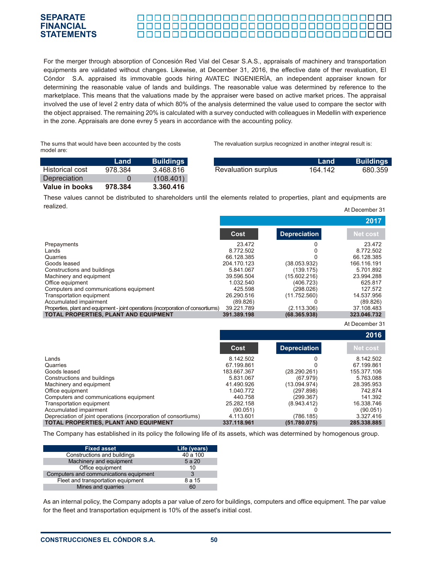#### **SEPARATE** <u>oooooooooooooooooooooooooo</u>oo **FINANCIAL** 000000000000000000000000000000000 **STATEMENTS**

For the merger through absorption of Concesión Red Vial del Cesar S.A.S., appraisals of machinery and transportation equipments are validated without changes. Likewise, at December 31, 2016, the effective date of ther revaluation, El Cóndor S.A. appraised its immovable goods hiring AVATEC INGENIERÌA, an independent appraiser known for determining the reasonable value of lands and buildings. The reasonable value was determined by reference to the marketplace. This means that the valuations made by the appraiser were based on active market prices. The appraisal involved the use of level 2 entry data of which 80% of the analysis determined the value used to compare the sector with the object appraised. The remaining 20% is calculated with a survey conducted with colleagues in Medellin with experience in the zone. Appraisals are done evrey 5 years in accordance with the accounting policy.

The sums that would have been accounted by the costs model are:

The revaluation surplus recognized in another integral result is:

|                        | Land    | <b>Buildings</b> |                            | Land    | <b>Buildings</b> |
|------------------------|---------|------------------|----------------------------|---------|------------------|
| <b>Historical cost</b> | 978.384 | 3.468.816        | <b>Revaluation surplus</b> | 164.142 | 680.359          |
| <b>Depreciation</b>    |         | (108.401)        |                            |         |                  |
| Value in books         | 978.384 | 3.360.416        |                            |         |                  |

These values cannot be distributed to shareholders until the elements related to properties, plant and equipments are realized. At December 31

|                                                                                   |             |                     | 2017            |
|-----------------------------------------------------------------------------------|-------------|---------------------|-----------------|
|                                                                                   | Cost        | <b>Depreciation</b> | <b>Net cost</b> |
| Prepayments                                                                       | 23.472      |                     | 23.472          |
| Lands                                                                             | 8.772.502   |                     | 8.772.502       |
| Quarries                                                                          | 66.128.385  |                     | 66.128.385      |
| Goods leased                                                                      | 204.170.123 | (38.053.932)        | 166.116.191     |
| Constructions and buildings                                                       | 5.841.067   | (139.175)           | 5.701.892       |
| Machinery and equipment                                                           | 39.596.504  | (15.602.216)        | 23.994.288      |
| Office equipment                                                                  | 1.032.540   | (406.723)           | 625.817         |
| Computers and communications equipment                                            | 425.598     | (298.026)           | 127.572         |
| Transportation equipment                                                          | 26.290.516  | (11.752.560)        | 14.537.956      |
| Accumulated impairment                                                            | (89.826)    |                     | (89.826)        |
| Properties, plant and equipment - joint operations (incorporation of consortiums) | 39.221.789  | (2.113.306)         | 37.108.483      |
| <b>TOTAL PROPERTIES, PLANT AND EQUIPMENT</b>                                      | 391.389.198 | (68.365.938)        | 323.046.732     |

At December 31

|                                                                 |             |                     | 2016            |
|-----------------------------------------------------------------|-------------|---------------------|-----------------|
|                                                                 | Cost        | <b>Depreciation</b> | <b>Net cost</b> |
| Lands                                                           | 8.142.502   |                     | 8.142.502       |
| Quarries                                                        | 67.199.861  |                     | 67.199.861      |
| Goods leased                                                    | 183.667.367 | (28.290.261)        | 155.377.106     |
| Constructions and buildings                                     | 5.831.067   | (67.979)            | 5.763.088       |
| Machinery and equipment                                         | 41.490.926  | (13.094.974)        | 28.395.953      |
| Office equipment                                                | 1.040.772   | (297.898)           | 742.874         |
| Computers and communications equipment                          | 440.758     | (299.367)           | 141.392         |
| Transportation equipment                                        | 25.282.158  | (8.943.412)         | 16.338.746      |
| Accumulated impairment                                          | (90.051)    |                     | (90.051)        |
| Depreciation of joint operations (incorporation of consortiums) | 4.113.601   | (786.185)           | 3.327.416       |
| TOTAL PROPERTIES, PLANT AND EQUIPMENT                           | 337.118.961 | (51.780.075)        | 285.338.885     |

The Company has established in its policy the following life of its assets, which was determined by homogenous group.

| <b>Fixed asset</b>                     | Life (years) |
|----------------------------------------|--------------|
| Constructions and buildings            | 40 a 100     |
| Machinery and equipment                | 5 a 20       |
| Office equipment                       | 10           |
| Computers and communications equipment | 3            |
| Fleet and transportation equipment     | 8 a 15       |
| Mines and quarries                     | 60           |

As an internal policy, the Company adopts a par value of zero for buildings, computers and office equipment. The par value for the fleet and transportation equipment is 10% of the asset's initial cost.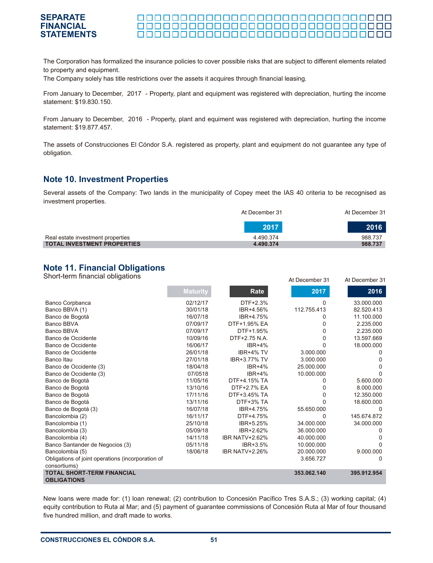#### **SEPARATE** <u> 000000000000000000000000000000000</u> **FINANCIAL STATEMENTS**

The Corporation has formalized the insurance policies to cover possible risks that are subject to different elements related to property and equipment.

The Company solely has title restrictions over the assets it acquires through financial leasing.

From January to December, 2017 - Property, plant and equipment was registered with depreciation, hurting the income statement: \$19.830.150.

From January to December, 2016 - Property, plant and equiment was registered with depreciation, hurting the income statement: \$19.877.457.

The assets of Construcciones El Cóndor S.A. registered as property, plant and equipment do not guarantee any type of obligation.

#### **Note 10. Investment Properties**

Several assets of the Company: Two lands in the municipality of Copey meet the IAS 40 criteria to be recognised as investment properties.

|                                    | At December 31 | At December 31 |  |
|------------------------------------|----------------|----------------|--|
|                                    | 2017           | 2016           |  |
| Real estate investment properties  | 4.490.374      | 988.737        |  |
| <b>TOTAL INVESTMENT PROPERTIES</b> | 4.490.374      | 988.737        |  |

At December 31 At December 31

## **Note 11. Financial Obligations**

Short-term financial obligations

|                                                         |                 |                       | un nenemmel o l | UL DECENIDEI OT |
|---------------------------------------------------------|-----------------|-----------------------|-----------------|-----------------|
|                                                         | <b>Maturity</b> | Rate                  | 2017            | 2016            |
| Banco Corpbanca                                         | 02/12/17        | DTF+2.3%              | 0               | 33.000.000      |
| Banco BBVA (1)                                          | 30/01/18        | IBR+4.56%             | 112.755.413     | 82.520.413      |
| Banco de Bogotá                                         | 16/07/18        | IBR+4.75%             | 0               | 11.100.000      |
| Banco BBVA                                              | 07/09/17        | DTF+1.95% EA          | 0               | 2.235.000       |
| Banco BBVA                                              | 07/09/17        | DTF+1.95%             | 0               | 2.235.000       |
| Banco de Occidente                                      | 10/09/16        | DTF+2.75 N.A.         | 0               | 13.597.669      |
| Banco de Occidente                                      | 16/06/17        | $IBR+4%$              | U               | 18.000.000      |
| Banco de Occidente                                      | 26/01/18        | IBR+4% TV             | 3.000.000       | O               |
| Banco Itau                                              | 27/01/18        | IBR+3.77% TV          | 3.000.000       |                 |
| Banco de Occidente (3)                                  | 18/04/18        | $IBR+4%$              | 25.000.000      |                 |
| Banco de Occidente (3)                                  | 07/0518         | $IBR+4%$              | 10.000.000      |                 |
| Banco de Bogotá                                         | 11/05/16        | DTF+4.15% TA          | 0               | 5.600.000       |
| Banco de Bogotá                                         | 13/10/16        | DTF+2.7% EA           | 0               | 8.000.000       |
| Banco de Bogotá                                         | 17/11/16        | DTF+3.45% TA          | 0               | 12.350.000      |
| Banco de Bogotá                                         | 13/11/16        | DTF+3% TA             |                 | 18.600.000      |
| Banco de Bogotá (3)                                     | 16/07/18        | IBR+4.75%             | 55.650.000      | <sup>0</sup>    |
| Bancolombia (2)                                         | 16/11/17        | DTF+4.75%             | 0               | 145.674.872     |
| Bancolombia (1)                                         | 25/10/18        | IBR+5.25%             | 34.000.000      | 34.000.000      |
| Bancolombia (3)                                         | 05/09/18        | IBR+2.62%             | 36.000.000      |                 |
| Bancolombia (4)                                         | 14/11/18        | <b>IBR NATV+2.62%</b> | 40.000.000      |                 |
| Banco Santander de Negocios (3)                         | 05/11/18        | IBR+3.5%              | 10.000.000      | 0               |
| Bancolombia (5)                                         | 18/06/18        | <b>IBR NATV+2.26%</b> | 20.000.000      | 9.000.000       |
| Obligations of joint operations (incorporation of       |                 |                       | 3.656.727       | 0               |
| consortiums)                                            |                 |                       |                 |                 |
| <b>TOTAL SHORT-TERM FINANCIAL</b><br><b>OBLIGATIONS</b> |                 |                       | 353.062.140     | 395.912.954     |

New loans were made for: (1) loan renewal; (2) contribution to Concesión Pacífico Tres S.A.S.; (3) working capital; (4) equity contribution to Ruta al Mar; and (5) payment of guarantee commissions of Concesión Ruta al Mar of four thousand five hundred million, and draft made to works.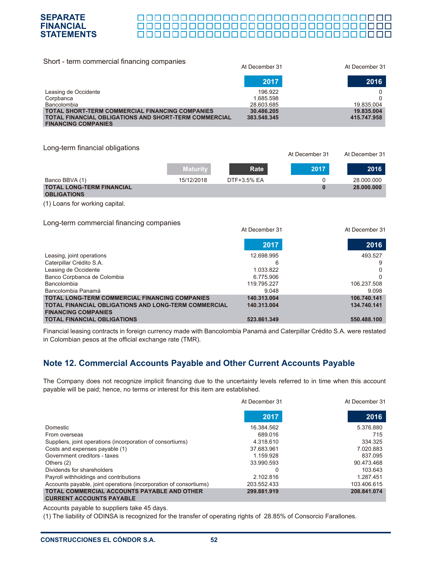

#### <u> 000000000000000000000000000000</u>

At December 31 At December 31

| Short - term commercial financing companies                                                | At December 31 | At December 31 |
|--------------------------------------------------------------------------------------------|----------------|----------------|
|                                                                                            | 2017           | 2016           |
| Leasing de Occidente                                                                       | 196.922        |                |
| Corpbanca                                                                                  | 1.685.598      |                |
| Bancolombia                                                                                | 28.603.685     | 19.835.004     |
| <b>TOTAL SHORT-TERM COMMERCIAL FINANCING COMPANIES</b>                                     | 30.486.205     | 19.835.004     |
| <b>TOTAL FINANCIAL OBLIGATIONS AND SHORT-TERM COMMERCIAL</b><br><b>FINANCING COMPANIES</b> | 383.548.345    | 415.747.958    |

Long-term financial obligations

|                                  | <b>Maturity</b> | Rate        | 2017 | 2016       |
|----------------------------------|-----------------|-------------|------|------------|
| Banco BBVA (1)                   | 15/12/2018      | DTF+3.5% EA |      | 28.000.000 |
| <b>TOTAL LONG-TERM FINANCIAL</b> |                 |             |      | 28.000.000 |
| <b>OBLIGATIONS</b>               |                 |             |      |            |

(1) Loans for working capital.

Long-term commercial financing companies

| ັ<br>ັ                                                      | At December 31 | At December 31 |
|-------------------------------------------------------------|----------------|----------------|
|                                                             | 2017           | 2016           |
| Leasing, joint operations                                   | 12.698.995     | 493.527        |
| Caterpillar Crédito S.A.                                    | 6              | 9              |
| Leasing de Occidente                                        | 1.033.822      | 0              |
| Banco Corpbanca de Colombia                                 | 6.775.906      | 0              |
| Bancolombia                                                 | 119.795.227    | 106.237.508    |
| Bancolombia Panamá                                          | 9.048          | 9.098          |
| <b>TOTAL LONG-TERM COMMERCIAL FINANCING COMPANIES</b>       | 140.313.004    | 106.740.141    |
| <b>TOTAL FINANCIAL OBLIGATIONS AND LONG-TERM COMMERCIAL</b> | 140.313.004    | 134.740.141    |
| <b>FINANCING COMPANIES</b>                                  |                |                |
| <b>TOTAL FINANCIAL OBLIGATIONS</b>                          | 523.861.349    | 550.488.100    |

Financial leasing contracts in foreign currency made with Bancolombia Panamá and Caterpillar Crédito S.A. were restated in Colombian pesos at the official exchange rate (TMR).

# **Note 12. Commercial Accounts Payable and Other Current Accounts Payable**

The Company does not recognize implicit financing due to the uncertainty levels referred to in time when this account payable will be paid; hence, no terms or interest for this item are established.

|                                                                                | At December 31 | At December 31 |  |
|--------------------------------------------------------------------------------|----------------|----------------|--|
|                                                                                | 2017           | 2016           |  |
| Domestic                                                                       | 16.384.562     | 5.376.880      |  |
| From overseas                                                                  | 689,016        | 715            |  |
| Suppliers, joint operations (incorporation of consortiums)                     | 4.318.610      | 334.325        |  |
| Costs and expenses payable (1)                                                 | 37.683.961     | 7.020.883      |  |
| Government creditors - taxes                                                   | 1.159.928      | 837.095        |  |
| Others $(2)$                                                                   | 33.990.593     | 90.473.468     |  |
| Dividends for shareholders                                                     | 0              | 103.643        |  |
| Payroll withholdings and contributions                                         | 2.102.816      | 1.287.451      |  |
| Accounts payable, joint operations (incorporation of consortiums)              | 203.552.433    | 103.406.615    |  |
| TOTAL COMMERCIAL ACCOUNTS PAYABLE AND OTHER<br><b>CURRENT ACCOUNTS PAYABLE</b> | 299.881.919    | 208.841.074    |  |

Accounts payable to suppliers take 45 days.

(1) The liability of ODINSA is recognized for the transfer of operating rights of 28.85% of Consorcio Farallones.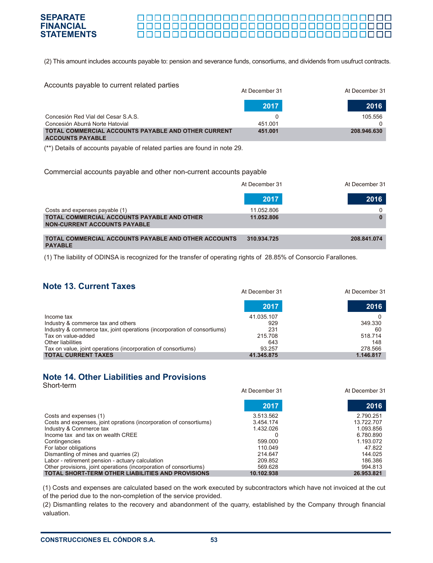

#### <u> 0000000000000000000000000000000000</u> 00000000000000000000000000000000

At December 31 At December 31

(2) This amount includes accounts payable to: pension and severance funds, consortiums, and dividends from usufruct contracts.

| Accounts payable to current related parties                                    | At December 31 | At December 31 |
|--------------------------------------------------------------------------------|----------------|----------------|
|                                                                                | 2017           | 2016           |
| Concesión Red Vial del Cesar S.A.S.<br>Concesión Aburrá Norte Hatovial         | 451.001        | 105.556        |
| TOTAL COMMERCIAL ACCOUNTS PAYABLE AND OTHER CURRENT<br><b>ACCOUNTS PAYABLE</b> | 451.001        | 208.946.630    |

(\*\*) Details of accounts payable of related parties are found in note 29.

#### Commercial accounts payable and other non-current accounts payable

|                                                                                           | At December 31 |             |
|-------------------------------------------------------------------------------------------|----------------|-------------|
|                                                                                           | 2017           | 2016        |
| Costs and expenses payable (1)                                                            | 11.052.806     |             |
| <b>TOTAL COMMERCIAL ACCOUNTS PAYABLE AND OTHER</b><br><b>NON-CURRENT ACCOUNTS PAYABLE</b> | 11.052.806     |             |
|                                                                                           |                |             |
| TOTAL COMMERCIAL ACCOUNTS PAYABLE AND OTHER ACCOUNTS<br><b>PAYABLE</b>                    | 310.934.725    | 208.841.074 |
|                                                                                           |                |             |

(1) The liability of ODINSA is recognized for the transfer of operating rights of 28.85% of Consorcio Farallones.

# **Note 13. Current Taxes**

|                                                                          | AL DECENIDEL 31 | AL DECETIDEL 31 |
|--------------------------------------------------------------------------|-----------------|-----------------|
|                                                                          | 2017            | 2016            |
| Income tax                                                               | 41.035.107      |                 |
| Industry & commerce tax and others                                       | 929             | 349.330         |
| Industry & commerce tax, joint operations (incorporation of consortiums) | 231             | 60              |
| Tax on value-added                                                       | 215.708         | 518.714         |
| Other liabilities                                                        | 643             | 148             |
| Tax on value, joint operations (incorporation of consortiums)            | 93.257          | 278.566         |
| <b>TOTAL CURRENT TAXES</b>                                               | 41.345.875      | 1.146.817       |

# **Note 14. Other Liabilities and Provisions**

| Short-term                                                         | At December 31 | At December 31 |
|--------------------------------------------------------------------|----------------|----------------|
|                                                                    | 2017           | 2016           |
| Costs and expenses (1)                                             | 3.513.562      | 2.790.251      |
| Costs and expenses, joint oprations (incorporation of consortiums) | 3.454.174      | 13.722.707     |
| Industry & Commerce tax                                            | 1.432.026      | 1.093.856      |
| Income tax and tax on wealth CREE                                  | 0              | 6.780.890      |
| Contingencies                                                      | 599,000        | 1.193.072      |
| For labor obligations                                              | 110.049        | 47.822         |
| Dismantling of mines and quarries (2)                              | 214.647        | 144.025        |
| Labor - retirement pension - actuary calculation                   | 209.852        | 186.386        |
| Other provisions, joint operations (incorporation of consortiums)  | 569.628        | 994.813        |
| <b>TOTAL SHORT-TERM OTHER LIABILITIES AND PROVISIONS</b>           | 10.102.938     | 26.953.821     |

(1) Costs and expenses are calculated based on the work executed by subcontractors which have not invoiced at the cut of the period due to the non-completion of the service provided.

(2) Dismantling relates to the recovery and abandonment of the quarry, established by the Company through financial valuation.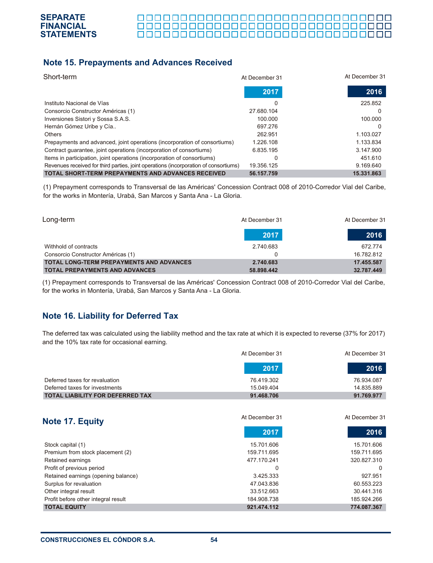

# **Note 15. Prepayments and Advances Received**

| Short-term                                                                           | At December 31 | At December 31 |
|--------------------------------------------------------------------------------------|----------------|----------------|
|                                                                                      | 2017           | 2016           |
| Instituto Nacional de Vías                                                           | 0              | 225.852        |
| Consorcio Constructor Américas (1)                                                   | 27.680.104     |                |
| Inversiones Sistori y Sossa S.A.S.                                                   | 100.000        | 100.000        |
| Hernán Gómez Uribe y Cía                                                             | 697.276        |                |
| Others                                                                               | 262.951        | 1.103.027      |
| Prepayments and advanced, joint operations (incorporation of consortiums)            | 1.226.108      | 1.133.834      |
| Contract guarantee, joint operations (incorporation of consortiums)                  | 6.835.195      | 3.147.900      |
| Items in participation, joint operations (incorporation of consortiums)              | 0              | 451.610        |
| Revenues received for third parties, joint operations (incorporation of consortiums) | 19.356.125     | 9.169.640      |
| <b>TOTAL SHORT-TERM PREPAYMENTS AND ADVANCES RECEIVED</b>                            | 56.157.759     | 15.331.863     |

(1) Prepayment corresponds to Transversal de las Américas' Concession Contract 008 of 2010-Corredor Vial del Caribe, for the works in Montería, Urabá, San Marcos y Santa Ana - La Gloria.

| Long-term                                       | At December 31 | At December 31 |
|-------------------------------------------------|----------------|----------------|
|                                                 | 2017           | 2016           |
| Withhold of contracts                           | 2.740.683      | 672.774        |
| Consorcio Constructor Américas (1)              |                | 16.782.812     |
| <b>TOTAL LONG-TERM PREPAYMENTS AND ADVANCES</b> | 2.740.683      | 17.455.587     |
| <b>TOTAL PREPAYMENTS AND ADVANCES</b>           | 58.898.442     | 32.787.449     |

(1) Prepayment corresponds to Transversal de las Américas' Concession Contract 008 of 2010-Corredor Vial del Caribe, for the works in Montería, Urabá, San Marcos y Santa Ana - La Gloria.

# **Note 16. Liability for Deferred Tax**

The deferred tax was calculated using the liability method and the tax rate at which it is expected to reverse (37% for 2017) and the 10% tax rate for occasional earning.

|                                         | At December 31 | At December 31 |
|-----------------------------------------|----------------|----------------|
|                                         | 2017           | 2016           |
| Deferred taxes for revaluation          | 76.419.302     | 76.934.087     |
| Deferred taxes for investments          | 15.049.404     | 14.835.889     |
| <b>TOTAL LIABILITY FOR DEFERRED TAX</b> | 91.468.706     | 91.769.977     |

| <b>Note 17. Equity</b>              | At December 31 | At December 31 |
|-------------------------------------|----------------|----------------|
|                                     | 2017           | 2016           |
| Stock capital (1)                   | 15.701.606     | 15.701.606     |
| Premium from stock placement (2)    | 159.711.695    | 159.711.695    |
| Retained earnings                   | 477.170.241    | 320.827.310    |
| Profit of previous period           | 0              | O              |
| Retained earnings (opening balance) | 3.425.333      | 927.951        |
| Surplus for revaluation             | 47.043.836     | 60.553.223     |
| Other integral result               | 33.512.663     | 30.441.316     |
| Profit before other integral result | 184.908.738    | 185.924.266    |
| <b>TOTAL EQUITY</b>                 | 921.474.112    | 774.087.367    |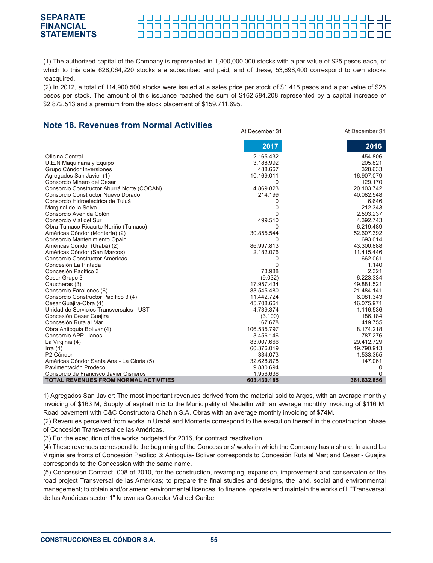#### **STATEMENTS**

(1) The authorized capital of the Company is represented in 1,400,000,000 stocks with a par value of \$25 pesos each, of which to this date 628,064,220 stocks are subscribed and paid, and of these, 53,698,400 correspond to own stocks reacquired.

(2) In 2012, a total of 114,900,500 stocks were issued at a sales price per stock of \$1.415 pesos and a par value of \$25 pesos per stock. The amount of this issuance reached the sum of \$162.584.208 represented by a capital increase of \$2.872.513 and a premium from the stock placement of \$159.711.695.

At December 31 At December 31

## **Note 18. Revenues from Normal Activities**

**SEPARATE FINANCIAL**

|                                              | AL Deceniber o i | AL DECETIDEL 31 |
|----------------------------------------------|------------------|-----------------|
|                                              | 2017             | 2016            |
| Oficina Central                              | 2.165.432        | 454.806         |
| U.E.N Maquinaria y Equipo                    | 3.188.992        | 205.821         |
| Grupo Cóndor Inversiones                     | 488.667          | 328.633         |
| Agregados San Javier (1)                     | 10.169.011       | 16.907.079      |
| Consorcio Minero del Cesar                   | 0                | 129.170         |
| Consorcio Constructor Aburrá Norte (COCAN)   | 4.869.823        | 20.103.742      |
| Consorcio Constructor Nuevo Dorado           | 214.199          | 40.082.548      |
| Consorcio Hidroeléctrica de Tuluá            | 0                | 6.646           |
| Marginal de la Selva                         | $\Omega$         | 212.343         |
| Consorcio Avenida Colón                      | 0                | 2.593.237       |
| Consorcio Vial del Sur                       | 499.510          | 4.392.743       |
| Obra Tumaco Ricaurte Nariño (Tumaco)         | 0                | 6.219.489       |
| Américas Cóndor (Montería) (2)               | 30.855.544       | 52.607.392      |
| Consorcio Mantenimiento Opain                | 0                | 693.014         |
| Américas Cóndor (Urabá) (2)                  | 86.997.813       | 43.300.888      |
| Américas Cóndor (San Marcos)                 | 2.182.076        | 11.415.446      |
| Consorcio Constructor Américas               | 0                | 662.061         |
| Concesión La Pintada                         | 0                | 1.140           |
| Concesión Pacífico 3                         | 73.988           | 2.321           |
| Cesar Grupo 3                                | (9.032)          | 6.223.334       |
| Caucheras (3)                                | 17.957.434       | 49.881.521      |
| Consorcio Farallones (6)                     | 83.545.480       | 21.484.141      |
| Consorcio Constructor Pacífico 3 (4)         | 11.442.724       | 6.081.343       |
| Cesar Guajira-Obra (4)                       | 45.708.661       | 16.075.971      |
| Unidad de Servicios Transversales - UST      | 4.739.374        | 1.116.536       |
| Concesión Cesar Guajira                      | (3.100)          | 186.184         |
| Concesión Ruta al Mar                        | 167.678          | 419.755         |
| Obra Antioquia Bolívar (4)                   | 106.535.797      | 8.174.218       |
| Consorcio APP Llanos                         | 3.456.146        | 787.276         |
| La Virginia (4)                              | 83.007.666       | 29.412.729      |
| Irra $(4)$                                   | 60.376.019       | 19.790.913      |
| P <sub>2</sub> Cóndor                        | 334.073          | 1.533.355       |
| Américas Cóndor Santa Ana - La Gloria (5)    | 32.628.878       | 147.061         |
| Pavimentación Prodeco                        | 9.880.694        | 0               |
| Consorcio de Francisco Javier Cisneros       | 1.956.636        | 0               |
| <b>TOTAL REVENUES FROM NORMAL ACTIVITIES</b> | 603.430.185      | 361.632.856     |

1) Agregados San Javier: The most important revenues derived from the material sold to Argos, with an average monthly invoicing of \$163 M; Supply of asphalt mix to the Municipality of Medellin with an average monthly invoicing of \$116 M; Road pavement with C&C Constructora Chahin S.A. Obras with an average monthly invoicing of \$74M.

(2) Revenues perceived from works in Urabá and Montería correspond to the execution thereof in the construction phase of Concesión Transversal de las Américas.

(3) For the execution of the works budgeted for 2016, for contract reactivation.

(4) These revenues correspond to the beginning of the Concessions' works in which the Company has a share: Irra and La Virginia are fronts of Concesión Pacifico 3; Antioquia- Bolivar corresponds to Concesión Ruta al Mar; and Cesar - Guajira corresponds to the Concession with the same name.

(5) Concession Contract 008 of 2010, for the construction, revamping, expansion, improvement and conservaton of the road project Transversal de las Américas; to prepare the final studies and designs, the land, social and environmental management; to obtain and/or amend environmental licences; to finance, operate and maintain the works of l "Transversal de las Américas sector 1" known as Corredor Vial del Caribe.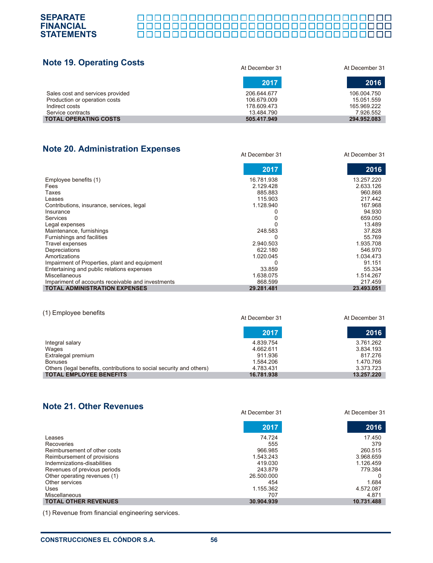

| <b>Note 19. Operating Costs</b>                                   | At December 31             | At December 31            |
|-------------------------------------------------------------------|----------------------------|---------------------------|
|                                                                   | 2017                       | 2016                      |
| Sales cost and services provided<br>Production or operation costs | 206.644.677<br>106.679.009 | 106.004.750<br>15.051.559 |
| Indirect costs<br>Service contracts                               | 178.609.473<br>13.484.790  | 165.969.222<br>7.926.552  |
| <b>TOTAL OPERATING COSTS</b>                                      | 505.417.949                | 294.952.083               |

At December 31 At December 31

# **Note 20. Administration Expenses**

|                                                   | 2017       | 2016       |
|---------------------------------------------------|------------|------------|
| Employee benefits (1)                             | 16.781.938 | 13.257.220 |
| Fees                                              | 2.129.428  | 2.633.126  |
| Taxes                                             | 885.883    | 960.868    |
| Leases                                            | 115.903    | 217.442    |
| Contributions, insurance, services, legal         | 1.128.940  | 167.968    |
| Insurance                                         |            | 94.930     |
| Services                                          |            | 659.050    |
| Legal expenses                                    |            | 13.489     |
| Maintenance, furnishings                          | 248.583    | 37.828     |
| Furnishings and facilities                        |            | 55.769     |
| Travel expenses                                   | 2.940.503  | 1.935.708  |
| Depreciations                                     | 622.180    | 546.970    |
| Amortizations                                     | 1.020.045  | 1.034.473  |
| Impairment of Properties, plant and equipment     |            | 91.151     |
| Entertaining and public relations expenses        | 33.859     | 55.334     |
| <b>Miscellaneous</b>                              | 1.638.075  | 1.514.267  |
| Impariment of accounts receivable and investments | 868.599    | 217.459    |
| <b>TOTAL ADMINISTRATION EXPENSES</b>              | 29.281.481 | 23.493.051 |

#### (1) Employee benefits

| <b>TILE LITTLE AND ACTIVITIES</b>                                    | At December 31 | At December 31 |
|----------------------------------------------------------------------|----------------|----------------|
|                                                                      | 2017           | 2016           |
| Integral salary                                                      | 4.839.754      | 3.761.262      |
| Wages                                                                | 4.662.611      | 3.834.193      |
| Extralegal premium                                                   | 911.936        | 817.276        |
| <b>Bonuses</b>                                                       | 1.584.206      | 1.470.766      |
| Others (legal benefits, contributions to social security and others) | 4.783.431      | 3.373.723      |
| <b>TOTAL EMPLOYEE BENEFITS</b>                                       | 16.781.938     | 13.257.220     |

# **Note 21. Other Revenues**

|                              | At December 31 | At December 31 |
|------------------------------|----------------|----------------|
|                              | 2017           | 2016           |
| Leases                       | 74.724         | 17.450         |
| Recoveries                   | 555            | 379            |
| Reimbursement of other costs | 966.985        | 260.515        |
| Reimbursement of provisions  | 1.543.243      | 3.968.659      |
| Indemnizations-disabilities  | 419.030        | 1.126.459      |
| Revenues of previous periods | 243.879        | 779.384        |
| Other operating revenues (1) | 26.500.000     | 0              |
| Other services               | 454            | 1.684          |
| Uses                         | 1.155.362      | 4.572.087      |
| Miscellaneous                | 707            | 4.871          |
| <b>TOTAL OTHER REVENUES</b>  | 30.904.939     | 10.731.488     |

(1) Revenue from financial engineering services.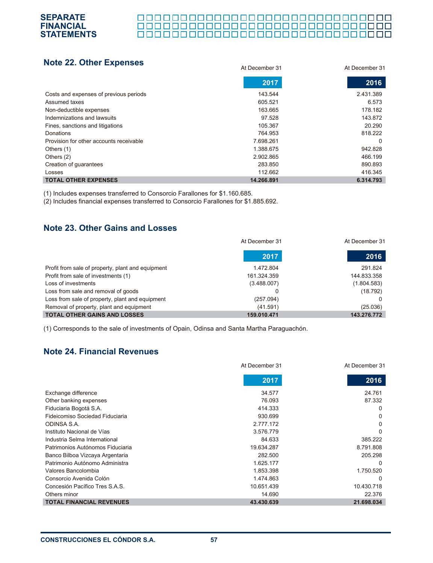### <u> 00000000000000000000000000000</u> 000000000000000000000000000000000

#### **Note 22. Other Expenses** At December 31 At December 31 **2017 2016** Costs and expenses of previous periods Assumed taxes Non-deductible expenses Indemnizations and lawsuits Fines, sanctions and litigations Donations Provision for other accounts receivable Others (1) Others (2) Creation of guarantees Losses **TOTAL OTHER EXPENSES** 2.431.389 6.573 178.182 143.872 20.290 818.222 0 942.828 466.199 890.893 416.345  **6.314.793**  143.544 605.521 163.665 97.528 105.367 764.953 7.698.261 1.388.675 2.902.865 283.850 112.662  **14.266.891**

(1) Includes expenses transferred to Consorcio Farallones for \$1.160.685.

(2) Includes financial expenses transferred to Consorcio Farallones for \$1.885.692.

# **Note 23. Other Gains and Losses**

**SEPARATE FINANCIAL STATEMENTS**

|                                                   | At December 31 | At December 31 |  |
|---------------------------------------------------|----------------|----------------|--|
|                                                   | 2017           | 2016           |  |
| Profit from sale of property, plant and equipment | 1.472.804      | 291.824        |  |
| Profit from sale of investments (1)               | 161.324.359    | 144.833.358    |  |
| Loss of investments                               | (3.488.007)    | (1.804.583)    |  |
| Loss from sale and removal of goods               |                | (18.792)       |  |
| Loss from sale of property, plant and equipment   | (257.094)      |                |  |
| Removal of property, plant and equipment          | (41.591)       | (25.036)       |  |
| <b>TOTAL OTHER GAINS AND LOSSES</b>               | 159.010.471    | 143.276.772    |  |

(1) Corresponds to the sale of investments of Opain, Odinsa and Santa Martha Paraguachón.

# **Note 24. Financial Revenues**

|                                  | At December 31 | At December 31 |
|----------------------------------|----------------|----------------|
|                                  | 2017           | 2016           |
| Exchange difference              | 34.577         | 24.761         |
| Other banking expenses           | 76.093         | 87.332         |
| Fiduciaria Bogotá S.A.           | 414.333        | 0              |
| Fideicomiso Sociedad Fiduciaria  | 930.699        | 0              |
| ODINSA S.A.                      | 2.777.172      | 0              |
| Instituto Nacional de Vías       | 3.576.779      | $\Omega$       |
| Industria Selma International    | 84.633         | 385.222        |
| Patrimonios Autónomos Fiduciaria | 19.634.287     | 8.791.808      |
| Banco Bilboa Vizcaya Argentaria  | 282.500        | 205.298        |
| Patrimonio Autónomo Administra   | 1.625.177      | $\Omega$       |
| Valores Bancolombia              | 1.853.398      | 1.750.520      |
| Consorcio Avenida Colón          | 1.474.863      | $\Omega$       |
| Concesión Pacífico Tres S.A.S.   | 10.651.439     | 10.430.718     |
| Others minor                     | 14.690         | 22.376         |
| <b>TOTAL FINANCIAL REVENUES</b>  | 43.430.639     | 21.698.034     |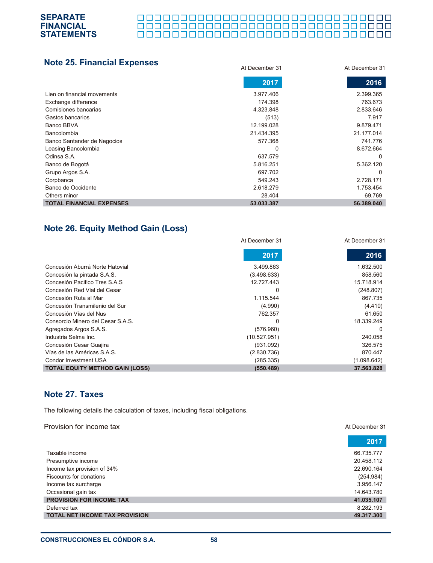#### 

| <b>Note 25. Financial Expenses</b> | At December 31 | At December 31 |  |
|------------------------------------|----------------|----------------|--|
|                                    | 2017           | 2016           |  |
| Lien on financial movements        | 3.977.406      | 2.399.365      |  |
| Exchange difference                | 174.398        | 763.673        |  |
| Comisiones bancarias               | 4.323.848      | 2.833.646      |  |
| Gastos bancarios                   | (513)          | 7.917          |  |
| Banco BBVA                         | 12.199.028     | 9.879.471      |  |
| Bancolombia                        | 21.434.395     | 21.177.014     |  |
| Banco Santander de Negocios        | 577.368        | 741.776        |  |
| Leasing Bancolombia                | 0              | 8.672.664      |  |
| Odinsa S.A.                        | 637.579        | 0              |  |
| Banco de Bogotá                    | 5.816.251      | 5.362.120      |  |
| Grupo Argos S.A.                   | 697.702        | $\Omega$       |  |
| Corpbanca                          | 549.243        | 2.728.171      |  |
| Banco de Occidente                 | 2.618.279      | 1.753.454      |  |
| Others minor                       | 28.404         | 69.769         |  |
| <b>TOTAL FINANCIAL EXPENSES</b>    | 53.033.387     | 56.389.040     |  |

# **Note 26. Equity Method Gain (Loss)**

|                                        | At December 31 | At December 31 |
|----------------------------------------|----------------|----------------|
|                                        | 2017           | 2016           |
| Concesión Aburrá Norte Hatovial        | 3.499.863      | 1.632.500      |
| Concesión la pintada S.A.S.            | (3.498.633)    | 858.560        |
| Concesión Pacifico Tres S.A.S          | 12.727.443     | 15.718.914     |
| Concesión Red Vial del Cesar           | 0              | (248.807)      |
| Concesión Ruta al Mar                  | 1.115.544      | 867.735        |
| Concesión Transmilenio del Sur         | (4.990)        | (4.410)        |
| Concesión Vías del Nus                 | 762.357        | 61.650         |
| Consorcio Minero del Cesar S.A.S.      | 0              | 18.339.249     |
| Agregados Argos S.A.S.                 | (576.960)      | $\Omega$       |
| Industria Selma Inc.                   | (10.527.951)   | 240.058        |
| Concesión Cesar Guajira                | (931.092)      | 326.575        |
| Vías de las Américas S.A.S.            | (2.830.736)    | 870.447        |
| Condor Investment USA                  | (285.335)      | (1.098.642)    |
| <b>TOTAL EQUITY METHOD GAIN (LOSS)</b> | (550.489)      | 37.563.828     |

# **Note 27. Taxes**

**SEPARATE FINANCIAL STATEMENTS**

The following details the calculation of taxes, including fiscal obligations.

| Provision for income tax              | At December 31 |
|---------------------------------------|----------------|
|                                       | 2017           |
| Taxable income                        | 66.735.777     |
| Presumptive income                    | 20.458.112     |
| Income tax provision of 34%           | 22.690.164     |
| Fiscounts for donations               | (254.984)      |
| Income tax surcharge                  | 3.956.147      |
| Occasional gain tax                   | 14.643.780     |
| <b>PROVISION FOR INCOME TAX</b>       | 41.035.107     |
| Deferred tax                          | 8.282.193      |
| <b>TOTAL NET INCOME TAX PROVISION</b> | 49.317.300     |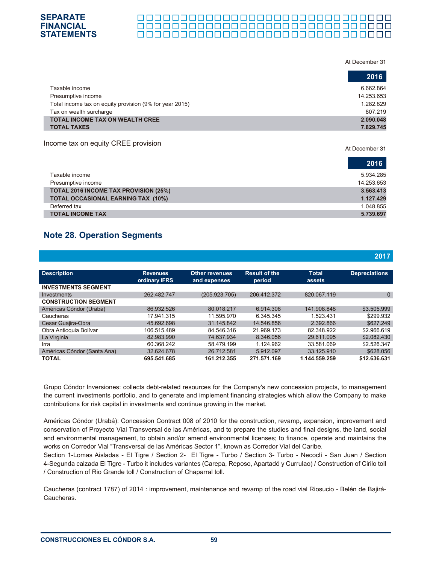#### At December 31

At December 31

|                                                         | 2016       |
|---------------------------------------------------------|------------|
| Taxable income                                          | 6.662.864  |
| Presumptive income                                      | 14.253.653 |
| Total income tax on equity provision (9% for year 2015) | 1.282.829  |
| Tax on wealth surcharge                                 | 807.219    |
| <b>TOTAL INCOME TAX ON WEALTH CREE</b>                  | 2.090.048  |
| <b>TOTAL TAXES</b>                                      | 7.829.745  |

#### Income tax on equity CREE provision

|                                           | 2016       |
|-------------------------------------------|------------|
| Taxable income                            | 5.934.285  |
| Presumptive income                        | 14.253.653 |
| TOTAL 2016 INCOME TAX PROVISION (25%)     | 3.563.413  |
| <b>TOTAL OCCASIONAL EARNING TAX (10%)</b> | 1.127.429  |
| Deferred tax                              | 1.048.855  |
| <b>TOTAL INCOME TAX</b>                   | 5.739.697  |

# **Note 28. Operation Segments**

|                             |                                  |                                       |                                |                        | 2017                 |
|-----------------------------|----------------------------------|---------------------------------------|--------------------------------|------------------------|----------------------|
| <b>Description</b>          | <b>Revenues</b><br>ordinary IFRS | <b>Other revenues</b><br>and expenses | <b>Result of the</b><br>period | <b>Total</b><br>assets | <b>Depreciations</b> |
| <b>INVESTMENTS SEGMENT</b>  |                                  |                                       |                                |                        |                      |
| Investments                 | 262.482.747                      | (205.923.705)                         | 206.412.372                    | 820.067.119            | $\Omega$             |
| <b>CONSTRUCTION SEGMENT</b> |                                  |                                       |                                |                        |                      |
| Américas Cóndor (Urabá)     | 86.932.526                       | 80.018.217                            | 6.914.308                      | 141.908.848            | \$3.505.999          |
| Caucheras                   | 17.941.315                       | 11.595.970                            | 6.345.345                      | 1.523.431              | \$299.932            |
| Cesar Guajira-Obra          | 45.692.698                       | 31.145.842                            | 14.546.856                     | 2.392.866              | \$627.249            |
| Obra Antioquia Bolívar      | 106.515.489                      | 84.546.316                            | 21.969.173                     | 82.348.922             | \$2.966.619          |
| La Virginia                 | 82.983.990                       | 74.637.934                            | 8.346.056                      | 29.611.095             | \$2.082.430          |
| Irra                        | 60.368.242                       | 58.479.199                            | 1.124.962                      | 33.581.069             | \$2.526.347          |
| Américas Cóndor (Santa Ana) | 32.624.678                       | 26.712.581                            | 5.912.097                      | 33.125.910             | \$628,056            |
| <b>TOTAL</b>                | 695.541.685                      | 161.212.355                           | 271.571.169                    | 1.144.559.259          | \$12.636.631         |

Grupo Cóndor Inversiones: collects debt-related resources for the Company's new concession projects, to management the current investments portfolio, and to generate and implement financing strategies which allow the Company to make contributions for risk capital in investments and continue growing in the market.

Américas Cóndor (Urabá): Concession Contract 008 of 2010 for the construction, revamp, expansion, improvement and conservation of Proyecto Vial Transversal de las Américas, and to prepare the studies and final designs, the land, social and environmental management, to obtain and/or amend environmental licenses; to finance, operate and maintains the works on Corredor Vial "Transversal de las Américas Sector 1", known as Corredor Vial del Caribe.

Section 1-Lomas Aisladas - El Tigre / Section 2- El Tigre - Turbo / Section 3- Turbo - Necoclí - San Juan / Section 4-Segunda calzada El Tigre - Turbo it includes variantes (Carepa, Reposo, Apartadó y Currulao) / Construction of Cirilo toll / Construction of Rio Grande toll / Construction of Chaparral toll.

Caucheras (contract 1787) of 2014 : improvement, maintenance and revamp of the road vial Riosucio - Belén de Bajirá-Caucheras.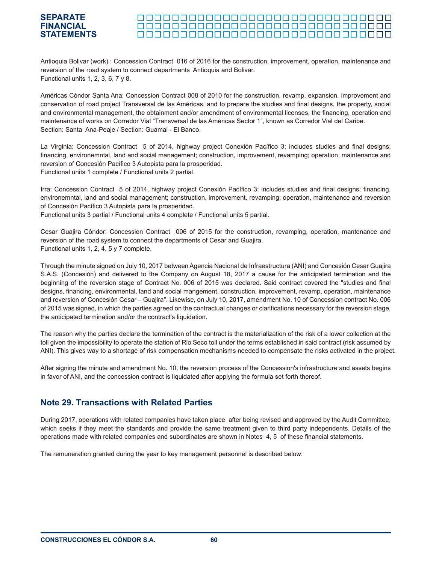#### **STATEMENTS**

Antioquia Bolivar (work) : Concession Contract 016 of 2016 for the construction, improvement, operation, maintenance and reversion of the road system to connect departments Antioquia and Bolivar. Functional units 1, 2, 3, 6, 7 y 8.

Américas Cóndor Santa Ana: Concession Contract 008 of 2010 for the construction, revamp, expansion, improvement and conservation of road project Transversal de las Américas, and to prepare the studies and final designs, the property, social and environmental management, the obtainment and/or amendment of environmental licenses, the financing, operation and maintenance of works on Corredor Vial "Transversal de las Américas Sector 1", known as Corredor Vial del Caribe. Section: Santa Ana-Peaje / Section: Guamal - El Banco.

La Virginia: Concession Contract 5 of 2014, highway project Conexión Pacífico 3; includes studies and final designs; financing, environemntal, land and social management; construction, improvement, revamping; operation, maintenance and reversion of Concesión Pacífico 3 Autopista para la prosperidad. Functional units 1 complete / Functional units 2 partial.

Irra: Concession Contract 5 of 2014, highway project Conexión Pacífico 3; includes studies and final designs; financing, environemntal, land and social management; construction, improvement, revamping; operation, maintenance and reversion of Concesión Pacífico 3 Autopista para la prosperidad. Functional units 3 partial / Functional units 4 complete / Functional units 5 partial.

Cesar Guajira Cóndor: Concession Contract 006 of 2015 for the construction, revamping, operation, mantenance and reversion of the road system to connect the departments of Cesar and Guajira. Functional units 1, 2, 4, 5 y 7 complete.

Through the minute signed on July 10, 2017 between Agencia Nacional de Infraestructura (ANI) and Concesión Cesar Guajira S.A.S. (Concesión) and delivered to the Company on August 18, 2017 a cause for the anticipated termination and the beginning of the reversion stage of Contract No. 006 of 2015 was declared. Said contract covered the "studies and final designs, financing, environmental, land and social mangement, construction, improvement, revamp, operation, maintenance and reversion of Concesión Cesar – Guajira". Likewise, on July 10, 2017, amendment No. 10 of Concession contract No. 006 of 2015 was signed, in which the parties agreed on the contractual changes or clarifications necessary for the reversion stage, the anticipated termination and/or the contract's liquidation.

The reason why the parties declare the termination of the contract is the materialization of the risk of a lower collection at the toll given the impossibility to operate the station of Rio Seco toll under the terms established in said contract (risk assumed by ANI). This gives way to a shortage of risk compensation mechanisms needed to compensate the risks activated in the project.

After signing the minute and amendment No. 10, the reversion process of the Concession's infrastructure and assets begins in favor of ANI, and the concession contract is liquidated after applying the formula set forth thereof.

# **Note 29. Transactions with Related Parties**

During 2017, operations with related companies have taken place after being revised and approved by the Audit Committee, which seeks if they meet the standards and provide the same treatment given to third party independents. Details of the operations made with related companies and subordinates are shown in Notes 4, 5 of these financial statements.

The remuneration granted during the year to key management personnel is described below:

**SEPARATE FINANCIAL**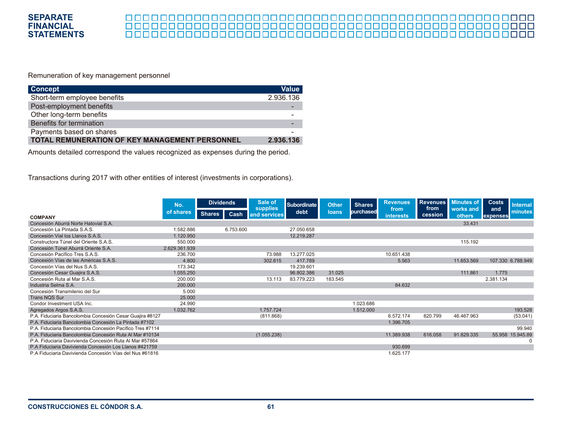

# 

Remuneration of key management personnel

| <b>Concept</b>                                 | <b>Value</b> |
|------------------------------------------------|--------------|
| Short-term employee benefits                   | 2.936.136    |
| Post-employment benefits                       |              |
| Other long-term benefits                       |              |
| Benefits for termination                       |              |
| Payments based on shares                       |              |
| TOTAL REMUNERATION OF KEY MANAGEMENT PERSONNEL | 2.936.136    |

Amounts detailed correspond the values recognized as expenses during the period.

Transactions during 2017 with other entities of interest (investments in corporations).

|                                                           | No.           | <b>Dividends</b> |           | Sale of<br>supplies | <b>Subordinate</b> | <b>Other</b> |           | <b>Shares</b>     | <b>Revenues</b> | <b>Revenues</b><br>from | <b>Minutes of</b> | <b>Costs</b>      | <b>Internal</b> |
|-----------------------------------------------------------|---------------|------------------|-----------|---------------------|--------------------|--------------|-----------|-------------------|-----------------|-------------------------|-------------------|-------------------|-----------------|
| <b>COMPANY</b>                                            | of shares     | <b>Shares</b>    | Cash      | and services        | debt               | loans        | purchased | from<br>interests | cession         | works and<br>others     | and<br>expenses   | minutes           |                 |
| Concesión Aburrá Norte Hatovial S.A.                      |               |                  |           |                     |                    |              |           |                   |                 | 33.431                  |                   |                   |                 |
| Concesión La Pintada S.A.S.                               | 1.582.886     |                  | 6.753.600 |                     | 27.050.658         |              |           |                   |                 |                         |                   |                   |                 |
| Concesión Vial los Llanos S.A.S.                          | 1.120.950     |                  |           |                     | 12.219.287         |              |           |                   |                 |                         |                   |                   |                 |
| Constructora Túnel del Oriente S.A.S.                     | 550.000       |                  |           |                     |                    |              |           |                   |                 | 115.192                 |                   |                   |                 |
| Concesión Túnel Aburrá Oriente S.A.                       | 2.629.361.939 |                  |           |                     |                    |              |           |                   |                 |                         |                   |                   |                 |
| Concesión Pacífico Tres S.A.S                             | 236.700       |                  |           | 73.988              | 13.277.025         |              |           | 10.651.438        |                 |                         |                   |                   |                 |
| Concesión Vías de las Américas S.A.S.                     | 4.800         |                  |           | 302.615             | 417.789            |              |           | 5.563             |                 | 11.653.569              |                   | 107.330 6.788.949 |                 |
| Concesión Vías del Nus S.A.S.                             | 173.342       |                  |           |                     | 19.239.601         |              |           |                   |                 |                         |                   |                   |                 |
| Concesión Cesar Guajira S.A.S.                            | 1.055.250     |                  |           |                     | 96.802.386         | 31.025       |           |                   |                 | 111.861                 | 1.775             |                   |                 |
| Concesión Ruta al Mar S.A.S.                              | 200.000       |                  |           | 13.113              | 83.779.223         | 183.545      |           |                   |                 |                         | 2.381.134         |                   |                 |
| Industria Selma S.A.                                      | 200,000       |                  |           |                     |                    |              |           | 84.632            |                 |                         |                   |                   |                 |
| Concesión Transmilenio del Sur                            | 5.000         |                  |           |                     |                    |              |           |                   |                 |                         |                   |                   |                 |
| <b>Trans NQS Sur</b>                                      | 25,000        |                  |           |                     |                    |              |           |                   |                 |                         |                   |                   |                 |
| Condor Investment USA Inc.                                | 24.990        |                  |           |                     |                    |              | 1.023.686 |                   |                 |                         |                   |                   |                 |
| Agregados Argos S.A.S.                                    | 1.032.762     |                  |           | 1.757.724           |                    |              | 1.512.000 |                   |                 |                         |                   | 193.528           |                 |
| P.A. Fiduciaria Bancolombia Concesión Cesar Guajira #8127 |               |                  |           | (811.868)           |                    |              |           | 6.572.174         | 820.799         | 46.467.963              |                   | (53.041)          |                 |
| P.A. Fiduciaria Bancolombia Concesión La Pintada #7102    |               |                  |           |                     |                    |              |           | 1.396.705         |                 |                         |                   |                   |                 |
| P.A. Fiduciaria Bancolombia Concesión Pacífico Tres #7114 |               |                  |           |                     |                    |              |           |                   |                 |                         |                   | 99.940            |                 |
| P.A. Fiduciaria Bancolombia Concesión Ruta Al Mar #10134  |               |                  |           | (1.055.238)         |                    |              |           | 11.389.938        | 616.058         | 91.829.335              |                   | 55.958 15.945.89  |                 |
| P.A. Fiduciaria Davivienda Concesión Ruta Al Mar #57864   |               |                  |           |                     |                    |              |           |                   |                 |                         |                   | $\Omega$          |                 |
| P.A Fiduciaria Davivienda Concesión Los Llanos #421759    |               |                  |           |                     |                    |              |           | 930.699           |                 |                         |                   |                   |                 |
| P.A Fiduciaria Davivienda Concesión Vías del Nus #61816   |               |                  |           |                     |                    |              |           | 1.625.177         |                 |                         |                   |                   |                 |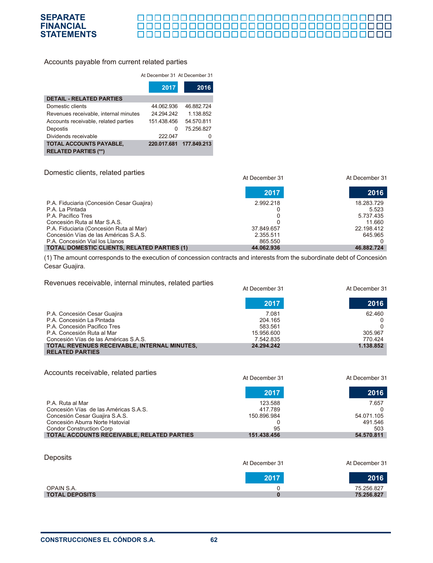

#### 00000000000000000000000000000000000 000000000000000000000000000000

#### Accounts payable from current related parties

#### At December 31 At December 31

|                                       | 2017        | 2016        |
|---------------------------------------|-------------|-------------|
| <b>DETAIL - RELATED PARTIES</b>       |             |             |
| Domestic clients                      | 44.062.936  | 46.882.724  |
| Revenues receivable, internal minutes | 24.294.242  | 1.138.852   |
| Accounts receivable, related parties  | 151.438.456 | 54.570.811  |
| Depostis                              | 0           | 75.256.827  |
| Dividends receivable                  | 222.047     |             |
| <b>TOTAL ACCOUNTS PAYABLE,</b>        | 220.017.681 | 177.849.213 |
| <b>RELATED PARTIES (**)</b>           |             |             |

Domestic clients, related parties

|                                                    | At December 31 | At December 31 |
|----------------------------------------------------|----------------|----------------|
|                                                    | 2017           | 2016           |
| P.A. Fiduciaria (Concesión Cesar Guajira)          | 2.992.218      | 18.283.729     |
| P.A. La Pintada                                    |                | 5.523          |
| P.A. Pacífico Tres                                 |                | 5.737.435      |
| Concesión Ruta al Mar S.A.S.                       |                | 11.660         |
| P.A. Fiduciaria (Concesión Ruta al Mar)            | 37.849.657     | 22.198.412     |
| Concesión Vías de las Américas S.A.S.              | 2.355.511      | 645.965        |
| P.A. Concesión Vial los Llanos                     | 865.550        |                |
| <b>TOTAL DOMESTIC CLIENTS, RELATED PARTIES (1)</b> | 44.062.936     | 46.882.724     |

(1) The amount corresponds to the execution of concession contracts and interests from the subordinate debt of Concesión Cesar Guajira.

Revenues receivable, internal minutes, related parties

| $1.0.01$ and $0.0001$ , and $0.011$ and $0.011$ and $0.0001$ , $0.0010$ and $0.000$ | At December 31 | At December 31 |
|-------------------------------------------------------------------------------------|----------------|----------------|
|                                                                                     | 2017           | 2016           |
| P.A. Concesión Cesar Guajira                                                        | 7.081          | 62.460         |
| P.A. Concesión La Pintada                                                           | 204.165        |                |
| P.A. Concesión Pacifico Tres                                                        | 583.561        |                |
| P.A. Concesión Ruta al Mar                                                          | 15.956.600     | 305.967        |
| Concesión Vías de las Américas S.A.S.                                               | 7.542.835      | 770.424        |
| TOTAL REVENUES RECEIVABLE, INTERNAL MINUTES,                                        | 24.294.242     | 1.138.852      |
| <b>RELATED PARTIES</b>                                                              |                |                |

Accounts receivable, related parties

|                                                   | At December 31 | At December 31 |
|---------------------------------------------------|----------------|----------------|
|                                                   | 2017           | 2016           |
| P.A. Ruta al Mar                                  | 123.588        | 7.657          |
| Concesión Vías de las Américas S.A.S.             | 417.789        |                |
| Concesión Cesar Guajira S.A.S.                    | 150.896.984    | 54.071.105     |
| Concesión Aburra Norte Hatovial                   |                | 491.546        |
| <b>Condor Construction Corp</b>                   | 95             | 503            |
| <b>TOTAL ACCOUNTS RECEIVABLE. RELATED PARTIES</b> | 151.438.456    | 54.570.811     |

| Deposits              | At December 31 | At December 31 |
|-----------------------|----------------|----------------|
|                       | 2017           | 2016           |
| OPAIN S.A.            |                | 75.256.827     |
| <b>TOTAL DEPOSITS</b> |                | 75.256.827     |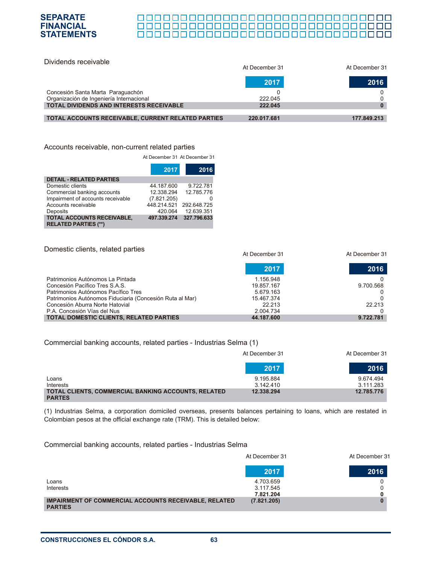#### 000000000000000000000000000000000 П ПП

| Dividends receivable                               | At December 31 | At December 31 |
|----------------------------------------------------|----------------|----------------|
|                                                    | 2017           | 2016           |
| Concesión Santa Marta Paraguachón                  |                |                |
| Organización de Ingeniería Internacional           | 222.045        |                |
| <b>TOTAL DIVIDENDS AND INTERESTS RECEIVABLE</b>    | 222.045        |                |
|                                                    |                |                |
| TOTAL ACCOUNTS RECEIVABLE, CURRENT RELATED PARTIES | 220.017.681    | 177.849.213    |

#### Accounts receivable, non-current related parties

**SEPARATE FINANCIAL STATEMENTS**

At December 31 At December 31

|                                                                  | 2017        | 2016        |
|------------------------------------------------------------------|-------------|-------------|
| <b>DETAIL - RELATED PARTIES</b>                                  |             |             |
| Domestic clients                                                 | 44.187.600  | 9.722.781   |
| Commercial banking accounts                                      | 12.338.294  | 12.785.776  |
| Impairment of accounts receivable                                | (7.821.205) |             |
| Accounts receivable                                              | 448.214.521 | 292.648.725 |
| Deposits                                                         | 420.064     | 12.639.351  |
| <b>TOTAL ACCOUNTS RECEIVABLE,</b><br><b>RELATED PARTIES (**)</b> | 497.339.274 | 327.796.633 |

| Domestic clients, related parties                        | At December 31 | At December 31 |
|----------------------------------------------------------|----------------|----------------|
|                                                          | 2017           | 2016           |
| Patrimonios Autónomos La Pintada                         | 1.156.948      |                |
| Concesión Pacífico Tres S.A.S.                           | 19.857.167     | 9.700.568      |
| Patrimonios Autónomos Pacífico Tres                      | 5.679.163      |                |
| Patrimonios Autónomos Fiduciaria (Concesión Ruta al Mar) | 15.467.374     |                |
| Concesión Aburra Norte Hatovial                          | 22.213         | 22.213         |
| P.A. Concesión Vías del Nus                              | 2.004.734      |                |
| <b>TOTAL DOMESTIC CLIENTS, RELATED PARTIES</b>           | 44.187.600     | 9.722.781      |

#### Commercial banking accounts, related parties - Industrias Selma (1)

|                                                                             | At December 31 | At December 31 |
|-----------------------------------------------------------------------------|----------------|----------------|
|                                                                             | 2017           | 2016           |
| Loans                                                                       | 9.195.884      | 9.674.494      |
| Interests                                                                   | 3.142.410      | 3.111.283      |
| <b>TOTAL CLIENTS, COMMERCIAL BANKING ACCOUNTS, RELATED</b><br><b>PARTES</b> | 12.338.294     | 12.785.776     |

(1) Industrias Selma, a corporation domiciled overseas, presents balances pertaining to loans, which are restated in Colombian pesos at the official exchange rate (TRM). This is detailed below:

#### Commercial banking accounts, related parties - Industrias Selma

| At December 31         | At December 31 |
|------------------------|----------------|
| 2017                   | 2016           |
| 4.703.659<br>3.117.545 |                |
| (7.821.205)            |                |
|                        | 7.821.204      |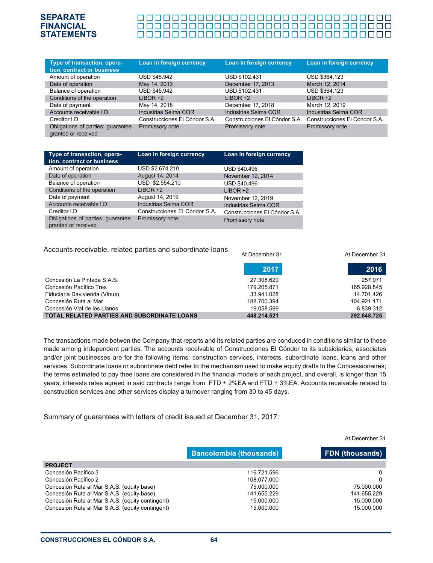#### 000000000000000000000000000000000 <u> 00000000000000000000000000000</u> 0000000000000000000000000000000000

| Type of transaction, opera-<br>tion, contract or business | Loan in foreign currency      | Loan in foreign currency      | Loan in foreign currency      |
|-----------------------------------------------------------|-------------------------------|-------------------------------|-------------------------------|
| Amount of operation                                       | USD \$45.942                  | USD \$102.431                 | USD \$364.123                 |
| Date of operation                                         | May 14, 2013                  | December 17, 2013             | March 12, 2014                |
| Balance of operation                                      | USD \$45.942                  | USD \$102.431                 | USD \$364.123                 |
| Conditions of the operation                               | $LIBOR +2$                    | $LIBOR +2$                    | $LIBOR +2$                    |
| Date of payment                                           | May 14, 2018                  | December 17, 2018             | March 12, 2019                |
| Accounts receivable I.D.                                  | Industrias Selma COR          | Industrias Selma COR          | Industrias Selma COR          |
| Creditor I.D.                                             | Construcciones El Cóndor S.A. | Construcciones El Cóndor S.A. | Construcciones El Cóndor S.A. |
| Obligations of parties: guarantee<br>granted or received  | Promissory note               | Promissory note               | Promissory note               |

| Type of transaction, opera-<br>tion, contract or business | Loan in foreign currency      | Loan in foreign currency      |
|-----------------------------------------------------------|-------------------------------|-------------------------------|
| Amount of operation                                       | USD \$2.674.210               | USD \$40.496                  |
| Date of operation                                         | August 14, 2014               | November 12, 2014             |
| Balance of operation                                      | USD \$2.554.210               | <b>USD \$40.496</b>           |
| Conditions of the operation                               | $LIBOR +2$                    | $LIBOR +2$                    |
| Date of payment                                           | August 14, 2019               | November 12, 2019             |
| Accounts receivable I.D.                                  | <b>Industrias Selma COR</b>   | Industrias Selma COR          |
| Creditor I.D.                                             | Construcciones El Cóndor S.A. | Construcciones El Cóndor S.A. |
| Obligations of parties: guarantee<br>granted or received  | Promissory note               | Promissory note               |

#### Accounts receivable, related parties and subordinate loans

|                                             | At December 31 | At December 31 |
|---------------------------------------------|----------------|----------------|
|                                             | 2017           | 2016           |
| Concesión La Pintada S.A.S.                 | 27.308.629     | 257.971        |
| Concesión Pacífico Tres                     | 179.205.871    | 165.928.845    |
| Fiduciaria Davivienda (Vinus)               | 33.941.028     | 14.701.426     |
| Concesión Ruta al Mar                       | 188.700.394    | 104.921.171    |
| Concesión Vial de los Llanos                | 19.058.599     | 6.839.312      |
| TOTAL RELATED PARTIES AND SUBORDINATE LOANS | 448.214.521    | 292.648.725    |

The transactions made betwen the Company that reports and its related parties are conduced in conditions similar to those made among independent parties. The accounts receivable of Construcciones El Cóndor to its subsidiaries, associates and/or joint businesses are for the following items: construction services, interests, subordinate loans, loans and other services. Subordinate loans or subordinate debt refer to the mechanism used to make equity drafts to the Concessionaires; the terms estimated to pay thee loans are considered in the financial models of each project, and overall, is longer than 15 years; interests rates agreed in said contracts range from FTD + 2%EA and FTD + 3%EA. Accounts receivable related to construction services and other services display a turnover ranging from 30 to 45 days.

Summary of guarantees with letters of credit issued at December 31, 2017:

|                                                  |                                | At December 31         |
|--------------------------------------------------|--------------------------------|------------------------|
|                                                  | <b>Bancolombia (thousands)</b> | <b>FDN</b> (thousands) |
| <b>PROJECT</b>                                   |                                |                        |
| Concesión Pacífico 3                             | 116.721.596                    | 0                      |
| Concesión Pacífico 2                             | 108.077.000                    | 0                      |
| Concesión Ruta al Mar S.A.S. (equity base)       | 75.000.000                     | 75.000.000             |
| Concesión Ruta al Mar S.A.S. (equity base)       | 141.655.229                    | 141.655.229            |
| Concesión Ruta al Mar S.A.S. (equity contingent) | 15.000.000                     | 15.000.000             |
| Concesión Ruta al Mar S.A.S. (equity contingent) | 15.000.000                     | 15.000.000             |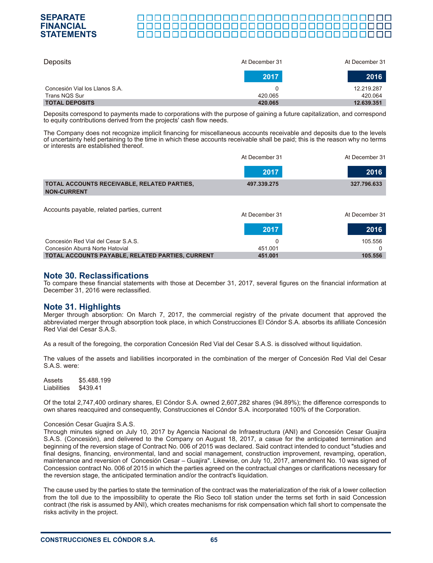#### **SEPARATE** 00000000000000000000000000000000 **FINANCIAL** 000000000000000000000000000000000 **STATEMENTS**

| Deposits                       | At December 31 | At December 31 |
|--------------------------------|----------------|----------------|
|                                | 2017           | 2016           |
| Concesión Vial los Llanos S.A. |                | 12.219.287     |
| Trans NQS Sur                  | 420.065        | 420.064        |
| <b>TOTAL DEPOSITS</b>          | 420.065        | 12.639.351     |

Deposits correspond to payments made to corporations with the purpose of gaining a future capitalization, and correspond to equity contributions derived from the projects' cash flow needs.

The Company does not recognize implicit financing for miscellaneous accounts receivable and deposits due to the levels of uncertainty held pertaining to the time in which these accounts receivable shall be paid; this is the reason why no terms or interests are established thereof.

|                                                                   | At December 31 | At December 31 |
|-------------------------------------------------------------------|----------------|----------------|
|                                                                   | 2017           | 2016           |
| TOTAL ACCOUNTS RECEIVABLE, RELATED PARTIES,<br><b>NON-CURRENT</b> | 497.339.275    | 327.796.633    |
|                                                                   |                |                |
| Accounts payable, related parties, current                        | At December 31 | At December 31 |
|                                                                   | 2017           | 2016           |
| Concesión Red Vial del Cesar S.A.S.                               | $\Omega$       | 105.556        |
| Concesión Aburrá Norte Hatovial                                   | 451.001        |                |
| TOTAL ACCOUNTS PAYABLE, RELATED PARTIES, CURRENT                  | 451.001        | 105.556        |

### **Note 30. Reclassifications**

To compare these financial statements with those at December 31, 2017, several figures on the financial information at December 31, 2016 were reclassified.

#### **Note 31. Highlights**

Merger through absorption: On March 7, 2017, the commercial registry of the private document that approved the abbreviated merger through absorption took place, in which Construcciones El Cóndor S.A. absorbs its afilliate Concesión Red Vial del Cesar S.A.S.

As a result of the foregoing, the corporation Concesión Red Vial del Cesar S.A.S. is dissolved without liquidation.

The values of the assets and liabilities incorporated in the combination of the merger of Concesión Red Vial del Cesar S.A.S. were:

Assets \$5.488.199 Liabilities \$439.41

Of the total 2,747,400 ordinary shares, El Cóndor S.A. owned 2,607,282 shares (94.89%); the difference corresponds to own shares reacquired and consequently, Construcciones el Cóndor S.A. incorporated 100% of the Corporation.

#### Concesión Cesar Guajira S.A.S.

Through minutes signed on July 10, 2017 by Agencia Nacional de Infraestructura (ANI) and Concesión Cesar Guajira S.A.S. (Concesión), and delivered to the Company on August 18, 2017, a casue for the anticipated termination and beginning of the reversion stage of Contract No. 006 of 2015 was declared. Said contract intended to conduct "studies and final designs, financing, environmental, land and social management, construction improvement, revamping, operation, maintenance and reversion of Concesión Cesar – Guajira". Likewise, on July 10, 2017, amendment No. 10 was signed of Concession contract No. 006 of 2015 in which the parties agreed on the contractual changes or clarifications necessary for the reversion stage, the anticipated termination and/or the contract's liquidation.

The cause used by the parties to state the termination of the contract was the materialization of the risk of a lower collection from the toll due to the impossibility to operate the Rio Seco toll station under the terms set forth in said Concession contract (the risk is assumed by ANI), which creates mechanisms for risk compensation which fall short to compensate the risks activity in the project.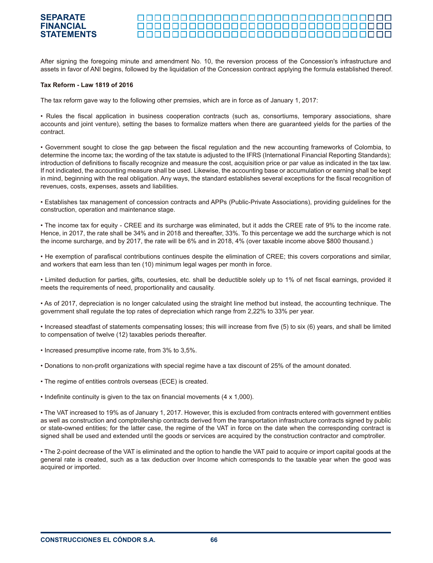#### **SEPARATE FINANCIAL** <u> AAAAAAAAAAAAAAAAAAAAAAAAAAAAA</u> **STATEMENTS**

After signing the foregoing minute and amendment No. 10, the reversion process of the Concession's infrastructure and assets in favor of ANI begins, followed by the liquidation of the Concession contract applying the formula established thereof.

#### **Tax Reform - Law 1819 of 2016**

The tax reform gave way to the following other premsies, which are in force as of January 1, 2017:

• Rules the fiscal application in business cooperation contracts (such as, consortiums, temporary associations, share accounts and joint venture), setting the bases to formalize matters when there are guaranteed yields for the parties of the contract.

• Government sought to close the gap between the fiscal regulation and the new accounting frameworks of Colombia, to determine the income tax; the wording of the tax statute is adjusted to the IFRS (International Financial Reporting Standards); introduction of definitions to fiscally recognize and measure the cost, acquisition price or par value as indicated in the tax law. If not indicated, the accounting measure shall be used. Likewise, the accounting base or accumulation or earning shall be kept in mind, beginning with the real obligation. Any ways, the standard establishes several exceptions for the fiscal recognition of revenues, costs, expenses, assets and liabilities.

• Establishes tax management of concession contracts and APPs (Public-Private Associations), providing guidelines for the construction, operation and maintenance stage.

• The income tax for equity - CREE and its surcharge was eliminated, but it adds the CREE rate of 9% to the income rate. Hence, in 2017, the rate shall be 34% and in 2018 and thereafter, 33%. To this percentage we add the surcharge which is not the income surcharge, and by 2017, the rate will be 6% and in 2018, 4% (over taxable income above \$800 thousand.)

• He exemption of parafiscal contributions continues despite the elimination of CREE; this covers corporations and similar, and workers that earn less than ten (10) minimum legal wages per month in force.

• Limited deduction for parties, gifts, courtesies, etc. shall be deductible solely up to 1% of net fiscal earnings, provided it meets the requirements of need, proportionality and causality.

• As of 2017, depreciation is no longer calculated using the straight line method but instead, the accounting technique. The government shall regulate the top rates of depreciation which range from 2,22% to 33% per year.

• Increased steadfast of statements compensating losses; this will increase from five (5) to six (6) years, and shall be limited to compensation of twelve (12) taxables periods thereafter.

- Increased presumptive income rate, from 3% to 3,5%.
- Donations to non-profit organizations with special regime have a tax discount of 25% of the amount donated.
- The regime of entities controls overseas (ECE) is created.

• Indefinite continuity is given to the tax on financial movements (4 x 1,000).

• The VAT increased to 19% as of January 1, 2017. However, this is excluded from contracts entered with government entities as well as construction and comptrollership contracts derived from the transportation infrastructure contracts signed by public or state-owned entities; for the latter case, the regime of the VAT in force on the date when the corresponding contract is signed shall be used and extended until the goods or services are acquired by the construction contractor and comptroller.

• The 2-point decrease of the VAT is eliminated and the option to handle the VAT paid to acquire or import capital goods at the general rate is created, such as a tax deduction over Income which corresponds to the taxable year when the good was acquired or imported.